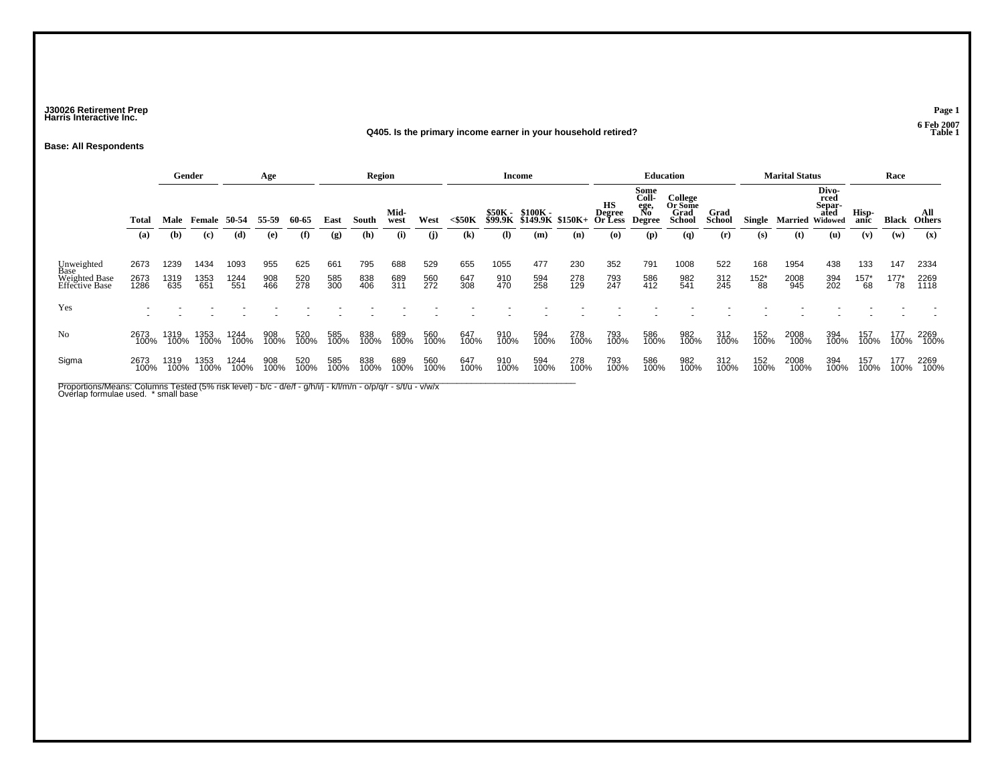### **J30026 Retirement Prep Page 1 Harris Interactive Inc.**

#### **Q405. Is the primary income earner in your household retired?**

**Base: All Respondents**

|                                                       |                      |                                                                  | Gender              |                     | Age               |                   |                   | <b>Region</b>     |                   |                   |                   | <b>Income</b>                                |                   |                                 |                                              |                                      | <b>Education</b>      |                   |                             | <b>Marital Status</b>           |                   |                      | Race                   |                      |
|-------------------------------------------------------|----------------------|------------------------------------------------------------------|---------------------|---------------------|-------------------|-------------------|-------------------|-------------------|-------------------|-------------------|-------------------|----------------------------------------------|-------------------|---------------------------------|----------------------------------------------|--------------------------------------|-----------------------|-------------------|-----------------------------|---------------------------------|-------------------|----------------------|------------------------|----------------------|
|                                                       | Total                | 55-59<br>Male<br><b>Female 50-54</b><br>(b)<br>(c)<br>(d)<br>(e) |                     |                     | 60-65             | East              | South             | Mid-<br>west      | West              | $<$ \$50K         |                   | \$50K - \$100K -<br>\$99.9K \$149.9K \$150K+ |                   | нs<br><b>Degree<br/>Or Less</b> | Some<br>Coll-<br>ege,<br>No<br><b>Degree</b> | College<br>Or Some<br>Grad<br>School | Grad<br><b>School</b> | Single            | <b>Married Widowed</b>      | Divo-<br>rced<br>Separ-<br>ated | Hisp-<br>anic     | Black                | All<br><b>Others</b>   |                      |
|                                                       | (a)                  |                                                                  |                     |                     |                   | (f)               | (g)               | (h)               | (i)               | (i)               | (k)               | $\mathbf{I}$                                 | (m)               | (n)                             | $\boldsymbol{\left( \mathbf{0} \right)}$     | (p)                                  | (q)                   | (r)               | (s)                         | (t)                             | (u)               | (v)                  | (w)                    | (x)                  |
| Unweighted<br>Base<br>Weighted Base<br>Effective Base | 2673<br>2673<br>1286 | 1239<br>1319<br>635                                              | 1434<br>1353<br>651 | 1093<br>1244<br>551 | 955<br>908<br>466 | 625<br>520<br>278 | 661<br>585<br>300 | 795<br>838<br>406 | 688<br>689<br>311 | 529<br>560<br>272 | 655<br>647<br>308 | 1055<br>910<br>470                           | 477<br>594<br>258 | 230<br>278<br>129               | 352<br>793<br>247                            | 791<br>586<br>412                    | 1008<br>982<br>541    | 522<br>312<br>245 | 168<br>$^{152^{\ast}}_{88}$ | 1954<br>2008<br>945             | 438<br>394<br>202 | 133<br>$^{157}_{68}$ | 147<br>$^{177^*}_{78}$ | 2334<br>2269<br>1118 |
| Yes                                                   |                      |                                                                  |                     |                     |                   |                   |                   |                   |                   |                   |                   |                                              |                   |                                 |                                              |                                      |                       |                   |                             |                                 |                   |                      |                        |                      |
| N <sub>o</sub>                                        | 2673<br>100%         | 1319<br>100%                                                     | 1353<br>100%        | 1244<br>100%        | 908<br>100%       | 520<br>100%       | 585<br>100%       | 838<br>100%       | 689<br>100%       | 560<br>100%       | 647<br>100%       | 910<br>100%                                  | 594<br>100%       | 278<br>100%                     | 793<br>100%                                  | 586<br>100%                          | 982<br>100%           | 312<br>100%       | 152<br>100%                 | 2008<br>100%                    | 394<br>100%       | 157<br>100%          | 177<br>100%            | 2269<br>100%         |
| Sigma                                                 | 2673<br>100%         | 1319<br>100%                                                     | 1353<br>100%        | 1244<br>100%        | 908<br>100%       | 520<br>100%       | 585<br>100%       | 838<br>100%       | 689<br>100%       | 560<br>100%       | 647<br>100%       | 910<br>100%                                  | 594<br>100%       | 278<br>100%                     | 793<br>100%                                  | 586<br>100%                          | 982<br>100%           | 312<br>100%       | 152<br>100%                 | 2008<br>100%                    | 394<br>100%       | 157<br>100%          | 177<br>100%            | 2269<br>100%         |

Proportions/Means: Columns Tested (5% risk level) - b/c - d/e/f - g/h/i/j - k/l/m/n - o/p/q/r - s/t/u - v/w/x<br>Overlap formulae used. \* small base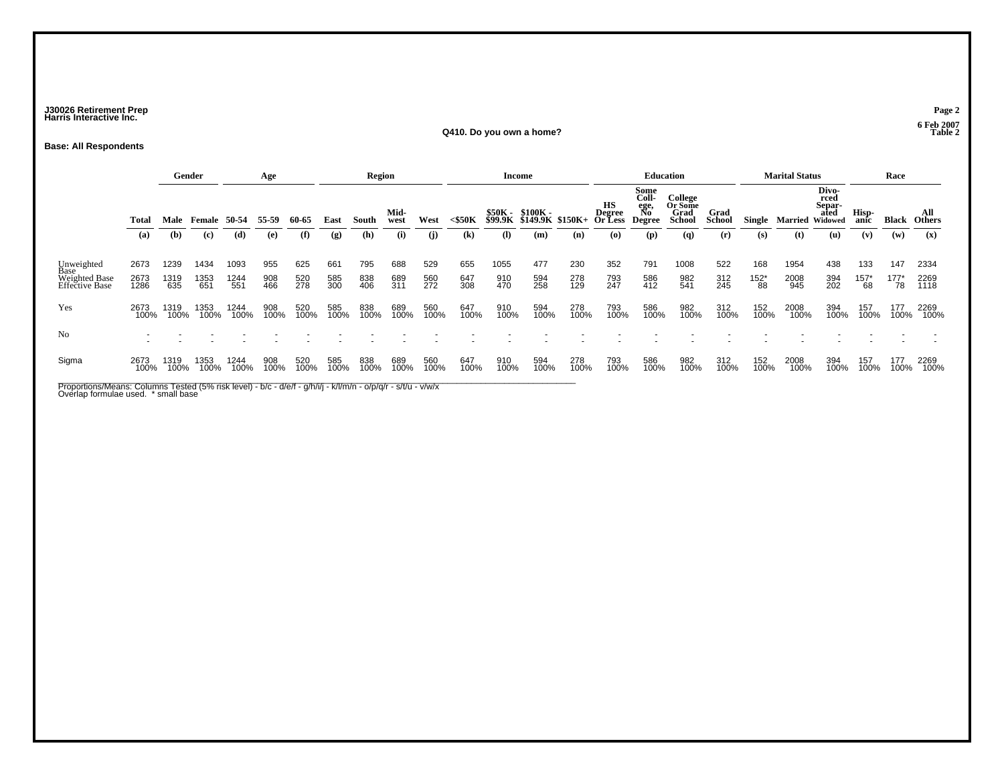### **J30026 Retirement Prep Page 2 Harris Interactive Inc.**

#### **Q410. Do you own a home?**

#### **Base: All Respondents**

|                                                       |                      |                                                        | Gender              |                     | Age               |                   |                   | <b>Region</b>     |                   |                   |                            |                              | Income            |                                       |                                          |                                             | <b>Education</b>      |                   |                             | <b>Marital Status</b>                      |                   |                        | Race                   |                      |
|-------------------------------------------------------|----------------------|--------------------------------------------------------|---------------------|---------------------|-------------------|-------------------|-------------------|-------------------|-------------------|-------------------|----------------------------|------------------------------|-------------------|---------------------------------------|------------------------------------------|---------------------------------------------|-----------------------|-------------------|-----------------------------|--------------------------------------------|-------------------|------------------------|------------------------|----------------------|
|                                                       | Total                | Male Female 50-54<br>55-59<br>(b)<br>(d)<br>(c)<br>(e) |                     |                     | 60-65             | East              | South             | Mid-<br>west      | West              | $<$ \$50 $K$      | \$50K -<br>\$99.9K         | \$100K -<br>\$149.9K \$150K+ |                   | нs<br><b>Degree</b><br><b>Or Less</b> | Some<br>Coll-<br>ege,<br>No<br>Degree    | College<br>Or Some<br>Grad<br><b>School</b> | Grad<br><b>School</b> | Single            | Married                     | Divo-<br>rced<br>Separ-<br>ated<br>Widowed | Hisp-<br>anic     | Black                  | All<br><b>Others</b>   |                      |
|                                                       | (a)                  |                                                        |                     |                     |                   | (f)               | (g)               | (h)               | (i)               | (i)               | $\left( \mathbf{k}\right)$ | $\Omega$                     | (m)               | (n)                                   | $\boldsymbol{\left( \mathbf{0} \right)}$ | (p)                                         | (q)                   | (r)               | (s)                         | (t)                                        | (u)               | (v)                    | (w)                    | (x)                  |
| Unweighted<br>Base<br>Weighted Base<br>Effective Base | 2673<br>2673<br>1286 | 1239<br>1319<br>635                                    | 1434<br>1353<br>651 | 1093<br>1244<br>551 | 955<br>908<br>466 | 625<br>520<br>278 | 661<br>585<br>300 | 795<br>838<br>406 | 688<br>689<br>311 | 529<br>560<br>272 | 655<br>647<br>308          | 1055<br>910<br>470           | 477<br>594<br>258 | 230<br>278<br>129                     | 352<br>793<br>247                        | 791<br>586<br>412                           | 1008<br>982<br>541    | 522<br>312<br>245 | 168<br>$^{152^{\ast}}_{88}$ | 1954<br>2008<br>945                        | 438<br>394<br>202 | 133<br>$^{157^*}_{68}$ | 147<br>$^{177^*}_{78}$ | 2334<br>2269<br>1118 |
| Yes                                                   | 2673<br>100%         | 1319<br>100%                                           | 1353<br>100%        | 1244<br>100%        | 908<br>100%       | 520<br>100%       | 585<br>100%       | 838<br>100%       | 689<br>100%       | 560<br>100%       | 647<br>100%                | 910<br>100%                  | 594<br>100%       | 278<br>100%                           | 793<br>100%                              | 586<br>100%                                 | 982<br>100%           | 312<br>100%       | 152<br>100%                 | 2008<br>100%                               | 394<br>100%       | 157<br>100%            | 177<br>100%            | 2269<br>100%         |
| No                                                    |                      |                                                        |                     |                     |                   |                   |                   |                   |                   |                   |                            |                              |                   |                                       |                                          |                                             |                       |                   |                             |                                            |                   |                        |                        |                      |
| Sigma                                                 | 2673<br>100%         | 1319<br>100%                                           | 1353<br>100%        | 1244<br>100%        | 908<br>100%       | 520<br>100%       | 585<br>100%       | 838<br>100%       | 689<br>100%       | 560<br>100%       | 647<br>100%                | 910<br>100%                  | 594<br>100%       | 278<br>100%                           | 793<br>100%                              | 586<br>100%                                 | 982<br>100%           | 312<br>100%       | 152<br>100%                 | 2008<br>100%                               | 394<br>100%       | 157<br>100%            | 177<br>100%            | 2269<br>100%         |

Proportions/Means: Columns Tested (5% risk level) - b/c - d/e/f - g/h/i/j - k/l/m/n - o/p/q/r - s/t/u - v/w/x<br>Overlap formulae used. \* small base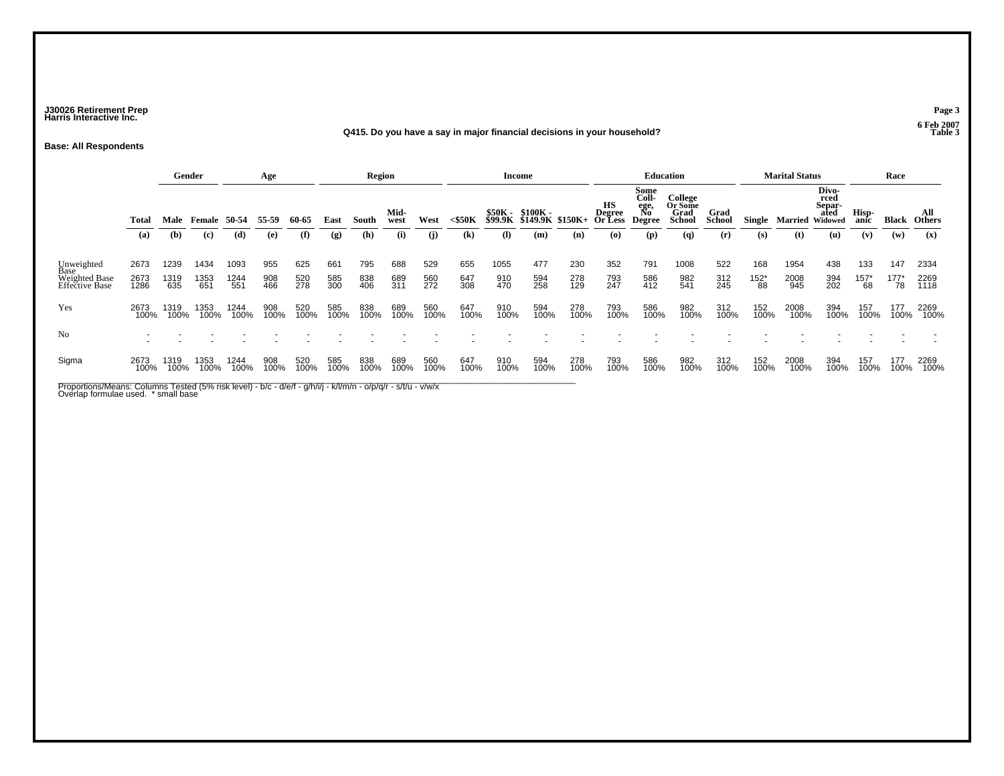### **J30026 Retirement Prep Page 3 Harris Interactive Inc.**

#### **Q415. Do you have a say in major financial decisions in your household? Table 3**

**Base: All Respondents**

|                                                       |                      |                                                        | Gender              |                     | Age               |                   |                   | <b>Region</b>     |                   |                   |                            |                                              | Income            |                                 |                                              |                                                    | <b>Education</b>      |                   |                             | <b>Marital Status</b>           |                   |                        | Race                   |                      |
|-------------------------------------------------------|----------------------|--------------------------------------------------------|---------------------|---------------------|-------------------|-------------------|-------------------|-------------------|-------------------|-------------------|----------------------------|----------------------------------------------|-------------------|---------------------------------|----------------------------------------------|----------------------------------------------------|-----------------------|-------------------|-----------------------------|---------------------------------|-------------------|------------------------|------------------------|----------------------|
|                                                       | <b>Total</b>         | Male Female 50-54<br>55-59<br>(b)<br>(c)<br>(d)<br>(e) |                     |                     | 60-65             | East              | South             | Mid-<br>west      | West              | <\$50K            |                            | \$50K - \$100K -<br>\$99.9K \$149.9K \$150K+ |                   | <b>Degree</b><br><b>Or Less</b> | Some<br>Coll-<br>ege,<br>No<br><b>Degree</b> | College<br>Or Some<br><b>Grad</b><br><b>School</b> | Grad<br><b>School</b> | Single            | <b>Married Widowed</b>      | Divo-<br>rced<br>Separ-<br>ated | Hisp-<br>anic     | Black                  | All<br><b>Others</b>   |                      |
|                                                       | (a)                  |                                                        |                     |                     |                   | (f)               | (g)               | (h)               | (i)               | (i)               | $\left( \mathbf{k}\right)$ | $\mathbf{I}$                                 | (m)               | (n)                             | $\boldsymbol{\left( \mathbf{0} \right)}$     | $(\mathbf{p})$                                     | $\mathbf{q}$          | (r)               | (s)                         | (t)                             | (u)               | (v)                    | (w)                    | (x)                  |
| Unweighted<br>Base<br>Weighted Base<br>Effective Base | 2673<br>2673<br>1286 | 1239<br>1319<br>635                                    | 1434<br>1353<br>651 | 1093<br>1244<br>551 | 955<br>908<br>466 | 625<br>520<br>278 | 661<br>585<br>300 | 795<br>838<br>406 | 688<br>689<br>311 | 529<br>560<br>272 | 655<br>647<br>308          | 1055<br>910<br>470                           | 477<br>594<br>258 | 230<br>278<br>129               | 352<br>793<br>247                            | 791<br>586<br>412                                  | 1008<br>982<br>541    | 522<br>312<br>245 | 168<br>$^{152^{\ast}}_{88}$ | 1954<br>2008<br>945             | 438<br>394<br>202 | 133<br>$^{157^*}_{68}$ | 147<br>$^{177^*}_{78}$ | 2334<br>2269<br>1118 |
| Yes                                                   | 2673<br>100%         | 1319<br>100%                                           | 1353<br>100%        | 1244<br>100%        | 908<br>100%       | 520<br>100%       | 585<br>100%       | 838<br>100%       | 689<br>100%       | 560<br>100%       | 647<br>100%                | 910<br>100%                                  | 594<br>100%       | 278<br>100%                     | 793<br>100%                                  | 586<br>100%                                        | 982<br>100%           | 312<br>100%       | 152<br>100%                 | 2008<br>100%                    | 394<br>100%       | 157<br>100%            | 177<br>100%            | 2269<br>100%         |
| N <sub>0</sub>                                        |                      |                                                        |                     |                     |                   |                   |                   |                   |                   |                   |                            |                                              |                   |                                 |                                              |                                                    |                       |                   |                             |                                 |                   |                        |                        |                      |
| Sigma                                                 | 2673<br>100%         | 1319<br>100%                                           | 1353<br>100%        | 1244<br>100%        | 908<br>100%       | 520<br>100%       | 585<br>100%       | 838<br>100%       | 689<br>100%       | 560<br>100%       | 647<br>100%                | 910<br>100%                                  | 594<br>100%       | 278<br>100%                     | 793<br>100%                                  | 586<br>100%                                        | 982<br>100%           | 312<br>100%       | 152<br>100%                 | 2008<br>100%                    | 394<br>100%       | 157<br>100%            | 177<br>100%            | 2269<br>100%         |

Proportions/Means: Columns Tested (5% risk level) - b/c - d/e/f - g/h/i/j - k/l/m/n - o/p/q/r - s/t/u - v/w/x<br>Overlap formulae used. \* small base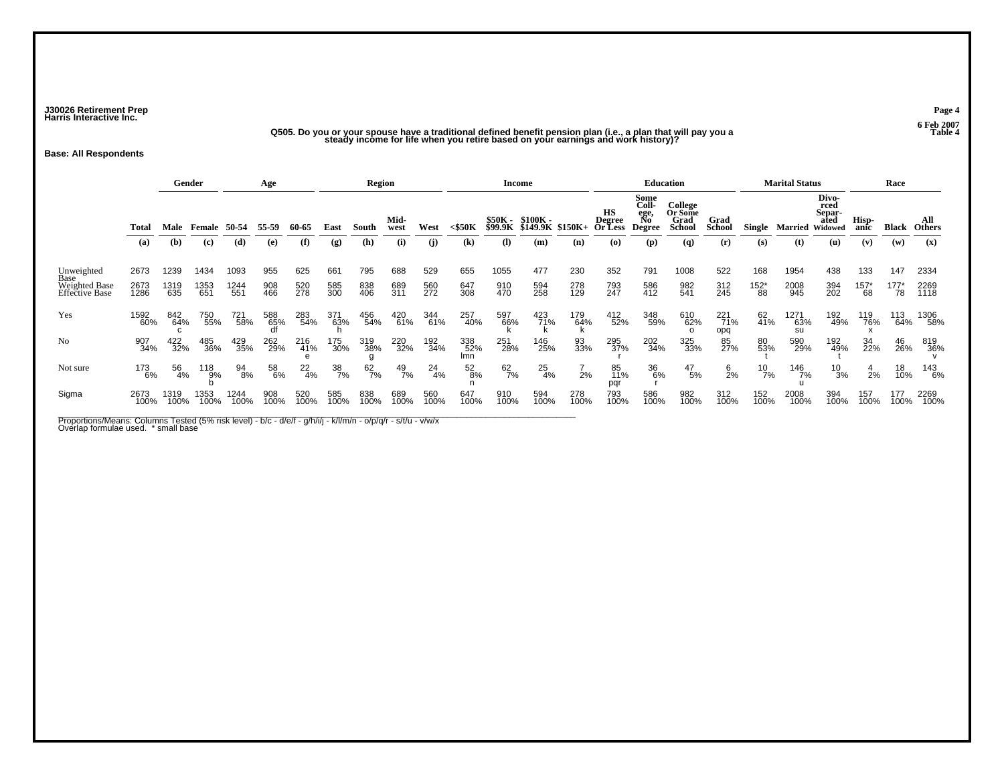**J30026 Retirement Prep Page 4 Harris Interactive Inc.**

**Q505. Do you or your spouse have a traditional defined benefit pension plan (i.e., a plan that will pay you a Table 4 steady income for life when you retire based on your earnings and work history)?**

**Base: All Respondents**

|                                         |              |              | Gender         |              | Age              |                 |                  | Region      |              |               |                            |                                  | Income                       |             |                                              |                                              | Education                                          |                       |                      | <b>Marital Status</b> |                                            |                      | Race            |                      |
|-----------------------------------------|--------------|--------------|----------------|--------------|------------------|-----------------|------------------|-------------|--------------|---------------|----------------------------|----------------------------------|------------------------------|-------------|----------------------------------------------|----------------------------------------------|----------------------------------------------------|-----------------------|----------------------|-----------------------|--------------------------------------------|----------------------|-----------------|----------------------|
|                                         | <b>Total</b> | Male         |                | 50-54        | 55-59            | 60-65           | East             | South       | Mid-<br>west | West          | $<$ \$50 $K$               | <b>\$50K -</b><br><b>\$99.9K</b> | $$100K -$<br><b>\$149.9K</b> | $$150K+$    | <b>HS</b><br><b>Degree</b><br><b>Or Less</b> | Some<br>Coll-<br>ege,<br>No<br><b>Degree</b> | <b>College</b><br>Or Some<br>Grad<br><b>School</b> | Grad<br><b>School</b> | Single               | <b>Married</b>        | Divo-<br>rced<br>Separ-<br>ated<br>Widowed | Hisp-<br>anic        | <b>Black</b>    | All<br><b>Others</b> |
|                                         | (a)          | (b)          | (c)            | (d)          | (e)              | (f)             | (g)              | (h)         | (i)          | (i)           | $\left( \mathbf{k}\right)$ | (I)                              | (m)                          | (n)         | (O)                                          | (p)                                          | (q)                                                | (r)                   | (s)                  | (t)                   | (u)                                        | (v)                  | (w)             | (x)                  |
| Unweighted                              | 2673         | 1239         | 1434           | 1093         | 955              | 625             | 661              | 795         | 688          | 529           | 655                        | 1055                             | 477                          | 230         | 352                                          | 791                                          | 1008                                               | 522                   | 168                  | 1954                  | 438                                        | 133                  | 147             | 2334                 |
| Base<br>Weighted Base<br>Effective Base | 2673<br>1286 | 1319<br>635  | 1353<br>651    | 1244<br>551  | 908<br>466       | 520<br>278      | 585<br>300       | 838<br>406  | 689<br>311   | 560<br>272    | 647<br>308                 | 910<br>470                       | 594<br>258                   | 278<br>129  | 793<br>247                                   | 586<br>412                                   | 982<br>541                                         | 312<br>245            | $^{152^{\ast}}_{88}$ | 2008<br>945           | 394<br>202                                 | $^{157^{\ast}}_{68}$ | $^{177^*}_{78}$ | 2269<br>1118         |
| Yes                                     | 1592<br>60%  | 842<br>64%   | 750<br>55%     | 721<br>58%   | 588<br>65%<br>df | 283<br>54%      | 371<br>63%       | 456<br>54%  | 420<br>61%   | 344<br>61%    | 257<br>40%                 | 597<br>66%                       | 423<br>71%                   | 179<br>64%  | 412<br>52%                                   | 348<br>59%                                   | 610<br>62%                                         | 221<br>71%<br>opq     | 62<br>41%            | 1271<br>63%<br>su     | 192<br>49%                                 | 119<br>76%           | 113<br>64%      | 1306<br>58%          |
| N <sub>0</sub>                          | 907<br>34%   | 422<br>32%   | 485<br>36%     | 429<br>35%   | 262<br>29%       | 216<br>41%<br>e | 175<br>30%       | 319<br>38%  | 220<br>32%   | 192<br>34%    | 338<br>52%<br>lmn          | 251<br>28%                       | 146<br>25%                   | 93<br>33%   | 295<br>37%                                   | 202<br>34%                                   | 325<br>33%                                         | 85<br>27%             | 80<br>53%            | 590<br>29%            | 192<br>49%                                 | 34<br>22%            | 46<br>26%       | 819<br>36%           |
| Not sure                                | 173<br>6%    | 56<br>4%     | $^{118}_{9\%}$ | 94<br>8%     | 58<br>6%         | $^{22}_{4\%}$   | $\frac{38}{7\%}$ | 62<br>7%    | 49<br>7%     | $^{24}_{4\%}$ | 52<br>8%                   | 62<br>7%                         | $^{25}_{4\%}$                | 2%          | 85<br>11%<br>pqr                             | 36<br>6%                                     | $^{47}_{\ 5\%}$                                    | $\frac{6}{2%}$        | $^{10}_{7\%}$        | 146<br>7%             | $^{10}_{3\%}$                              | 2%                   | 18<br>10%       | 143<br>6%            |
| Sigma                                   | 2673<br>100% | 1319<br>100% | 1353<br>100%   | 1244<br>100% | 908<br>100%      | 520<br>100%     | 585<br>100%      | 838<br>100% | 689<br>100%  | 560<br>100%   | 647<br>100%                | 910<br>100%                      | 594<br>100%                  | 278<br>100% | 793<br>100%                                  | 586<br>100%                                  | 982<br>100%                                        | 312<br>100%           | 152<br>100%          | 2008<br>100%          | 394<br>100%                                | 157<br>100%          | 177<br>100%     | 2269<br>100%         |

Proportions/Means: Columns Tested (5% risk level) - b/c - d/e/f - g/h/i/j - k/l/m/n - o/p/q/r - s/t/u - v/w/x<br>Overlap formulae used. \* small base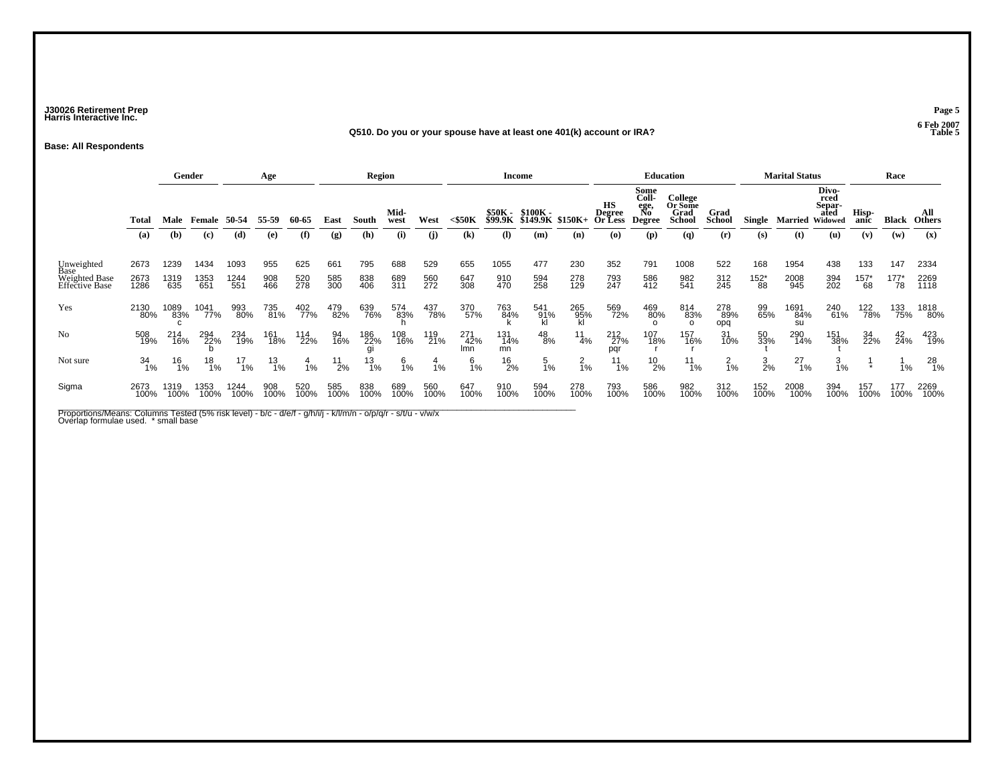### **J30026 Retirement Prep Page 5 Harris Interactive Inc.**

#### **Q510. Do you or your spouse have at least one 401(k) account or IRA?**

**Base: All Respondents**

|                                 |              |                  | Gender           |                  | Age         |             |               | <b>Region</b>    |              |             |                   |                    | <b>Income</b>                |                  |                                |                                              | <b>Education</b>                            |                       |                      | <b>Marital Status</b> |                                            |                 | Race            |                      |
|---------------------------------|--------------|------------------|------------------|------------------|-------------|-------------|---------------|------------------|--------------|-------------|-------------------|--------------------|------------------------------|------------------|--------------------------------|----------------------------------------------|---------------------------------------------|-----------------------|----------------------|-----------------------|--------------------------------------------|-----------------|-----------------|----------------------|
|                                 | Total        | Male             | Female           | 50-54            | 55-59       | 60-65       | East          | South            | Mid-<br>west | West        | $<$ \$50 $K$      | \$50K -<br>\$99.9K | \$100K -<br>\$149.9K \$150K+ |                  | нs<br><b>Degree</b><br>Or Less | Some<br>Coll-<br>ege,<br>No<br><b>Degree</b> | College<br>Or Some<br>Grad<br><b>School</b> | Grad<br><b>School</b> | Single               | Married               | Divo-<br>rced<br>Separ-<br>ated<br>Widowed | Hisp-<br>anic   | <b>Black</b>    | All<br><b>Others</b> |
|                                 | (a)          | (b)              | (c)              | (d)              | (e)         | (f)         | (g)           | (h)              | (i)          | (i)         | (k)               | (I)                | (m)                          | (n)              | (o)                            | (p)                                          | (q)                                         | (r)                   | (s)                  | (t)                   | (u)                                        | (v)             | (w)             | (x)                  |
| Unweighted<br>Base              | 2673         | 1239             | 1434             | 1093             | 955         | 625         | 661           | 795              | 688          | 529         | 655               | 1055               | 477                          | 230              | 352                            | 791                                          | 1008                                        | 522                   | 168                  | 1954                  | 438                                        | 133             | 147             | 2334                 |
| Weighted Base<br>Effective Base | 2673<br>1286 | 1319<br>635      | 1353<br>651      | 1244<br>551      | 908<br>466  | 520<br>278  | 585<br>300    | 838<br>406       | 689<br>311   | 560<br>272  | 647<br>308        | 910<br>470         | 594<br>258                   | 278<br>129       | 793<br>247                     | 586<br>412                                   | 982<br>541                                  | 312<br>245            | $^{152^{\ast}}_{88}$ | 2008<br>945           | 394<br>202                                 | $^{157^*}_{68}$ | $^{177^*}_{78}$ | 2269<br>1118         |
| Yes                             | 2130<br>80%  | 1089<br>83%      | 1041<br>77%      | 993<br>80%       | 735<br>81%  | 402<br>77%  | 479<br>82%    | 639<br>76%       | 574<br>83%   | 437<br>78%  | 370<br>57%        | 763<br>84%         | 541<br>91%<br>kl             | 265<br>95%<br>kl | 569<br>72%                     | 469<br>80%<br>$\Omega$                       | 814<br>83%<br>$\Omega$                      | 278<br>89%<br>opq     | 99<br>65%            | 1691<br>84%<br>su     | 240<br>61%                                 | 122<br>78%      | 133<br>75%      | 1818<br>80%          |
| N <sub>0</sub>                  | 508<br>19%   | 214<br>16%       | 294<br>22%       | 234<br>19%       | 161<br>18%  | 114<br>22%  | 94<br>16%     | 186<br>22%       | 108<br>16%   | 119<br>21%  | 271<br>42%<br>Imn | 131<br>14%<br>mn   | $^{48}_{\ 8\%}$              | $\frac{11}{4\%}$ | 212<br>27%<br>pqr              | 107<br>18%                                   | 157<br>16%                                  | 31<br>10%             | 50<br>33%            | 290<br>14%            | 151<br>38%                                 | 34<br>22%       | 42<br>24%       | 423<br>19%           |
| Not sure                        | 34<br>1%     | $\frac{16}{1\%}$ | $\frac{18}{1\%}$ | $\frac{17}{1\%}$ | 13<br>1%    | 4<br>1%     | $^{11}_{2\%}$ | $\frac{13}{1\%}$ | 6<br>1%      | 4<br>1%     | 6<br>1%           | $^{16}_{2\%}$      | $\mathbf{p}$<br>1%           | $^{2}_{1\%}$     | 11<br>1%                       | $^{10}_{2\%}$                                | 11<br>1%                                    | $^{2}_{1\%}$          | $\frac{3}{2\%}$      | $^{27}_{1\%}$         | $\frac{3}{1%}$                             | $\star$         | 1%              | 28<br>1%             |
| Sigma                           | 2673<br>100% | 1319<br>100%     | 1353<br>100%     | 1244<br>100%     | 908<br>100% | 520<br>100% | 585<br>100%   | 838<br>100%      | 689<br>100%  | 560<br>100% | 647<br>100%       | 910<br>100%        | 594<br>100%                  | 278<br>100%      | 793<br>100%                    | 586<br>100%                                  | 982<br>100%                                 | 312<br>100%           | 152<br>100%          | 2008<br>100%          | 394<br>100%                                | 157<br>100%     | 177<br>100%     | 2269<br>100%         |

Proportions/Means: Columns Tested (5% risk level) - b/c - d/e/f - g/h/i/j - k/l/m/n - o/p/q/r - s/t/u - v/w/x<br>Overlap formulae used. \* small base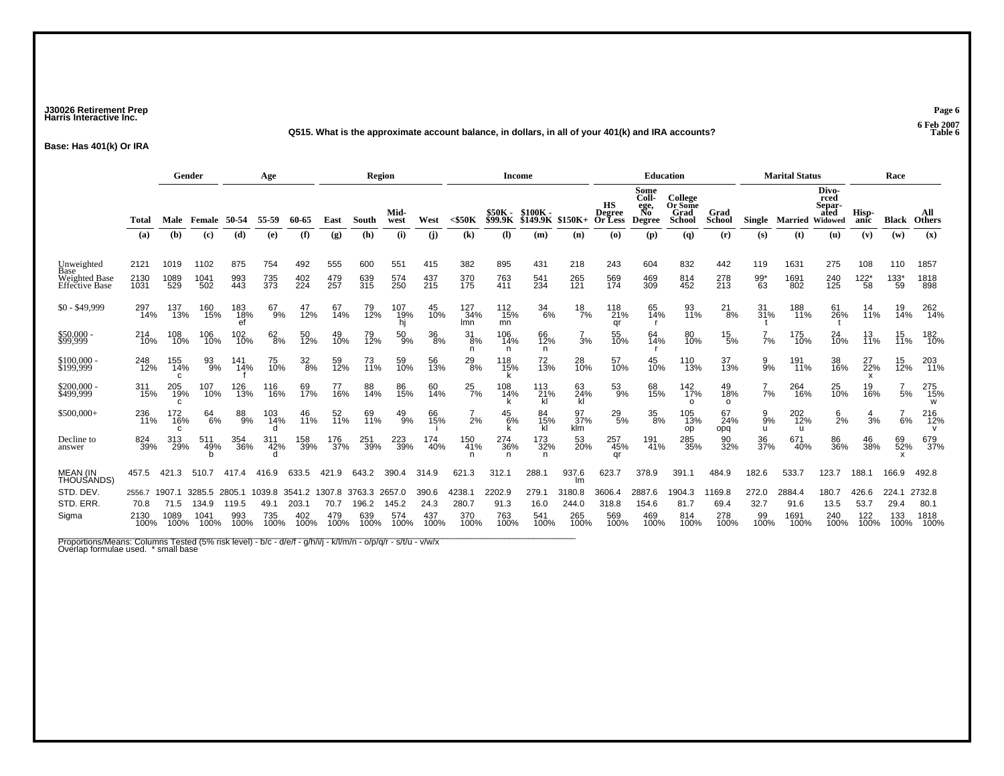### **J30026 Retirement Prep Page 6 Harris Interactive Inc.**

#### **Q515. What is the approximate account balance, in dollars, in all of your 401(k) and IRA accounts? Table 6**

**Base: Has 401(k) Or IRA**

|                                      |                                | Gender                         |                                             |                                | Age                           |                                |                               | Region                         |                                |                              |                                | <b>Income</b>                 |                              |                                |                                          |                                              | Education                                   |                               |                             | <b>Marital Status</b>          |                                            |                              | Race                         |                                |
|--------------------------------------|--------------------------------|--------------------------------|---------------------------------------------|--------------------------------|-------------------------------|--------------------------------|-------------------------------|--------------------------------|--------------------------------|------------------------------|--------------------------------|-------------------------------|------------------------------|--------------------------------|------------------------------------------|----------------------------------------------|---------------------------------------------|-------------------------------|-----------------------------|--------------------------------|--------------------------------------------|------------------------------|------------------------------|--------------------------------|
|                                      | Total                          | Male                           | Female                                      | 50-54                          | 55-59                         | 60-65                          | East                          | South                          | Mid-<br>west                   | West                         | $<$ \$50 $K$                   | \$50K -<br><b>\$99.9K</b>     | $$100K -$<br>\$149.9K        | \$150K+                        | HS<br><b>Degree</b><br>Or Less           | Some<br>Coll-<br>ege,<br>No<br><b>Degree</b> | College<br>Or Some<br>Grad<br><b>School</b> | Grad<br><b>School</b>         | Single                      | Married                        | Divo-<br>rced<br>Separ-<br>ated<br>Widowed | Hisp-<br>anic                | <b>Black</b>                 | All<br><b>Others</b>           |
|                                      | (a)                            | (b)                            | (c)                                         | (d)                            | (e)                           | (f)                            | (g)                           | (h)                            | (i)                            | (i)                          | (k)                            | $\mathbf{I}$                  | (m)                          | (n)                            | $\boldsymbol{\left( \mathbf{0}\right) }$ | (p)                                          | $\left( q\right)$                           | (r)                           | (s)                         | (t)                            | (u)                                        | (v)                          | (w)                          | (x)                            |
| Unweighted<br>Base                   | 2121                           | 1019                           | 1102                                        | 875                            | 754                           | 492                            | 555                           | 600                            | 551                            | 415                          | 382                            | 895                           | 431                          | 218                            | 243                                      | 604                                          | 832                                         | 442                           | 119                         | 1631                           | 275                                        | 108                          | 110                          | 1857                           |
| Weighted Base<br>Effective Base      | 2130<br>1031                   | 1089<br>529                    | 1041<br>502                                 | 993<br>443                     | 735<br>373                    | 402<br>224                     | 479<br>257                    | 639<br>315                     | 574<br>250                     | 437<br>215                   | 370<br>175                     | 763<br>411                    | 541<br>234                   | 265<br>121                     | 569<br>174                               | 469<br>309                                   | 814<br>452                                  | 278<br>213                    | $^{99*}_{63}$               | 1691<br>802                    | 240<br>125                                 | $^{122^{\star}}_{58}$        | $^{133^*}_{59}$              | 1818<br>898                    |
| $$0 - $49,999$                       | 297<br>14%                     | 137<br>13%                     | 160<br>15%                                  | 183<br>18%                     | 67<br>9%                      | 47<br>12%                      | 67<br>14%                     | 79<br>12%                      | 107<br>19%<br>hi               | 45<br>10%                    | 127<br>34%<br>Imn              | 112<br>15%<br>mn              | 34<br>6%                     | $\frac{18}{7%}$                | 118<br>21%<br>qr                         | 65<br>14%                                    | 93<br>11%                                   | $^{21}_{8\%}$                 | 31<br>31%                   | 188<br>11%                     | 61<br>26%                                  | 14<br>11%                    | 19<br>14%                    | 262<br>14%                     |
| \$50,000 -                           | 214<br>10%                     | 108<br>10%                     | 106<br>10%                                  | 102<br>10%                     | $62\atop8\%$                  | 50<br>12%                      | 49<br>10%                     | 79<br>12%                      | $^{50}_{9\%}$                  | 36<br>8%                     | $\frac{31}{8%}$<br>n.          | 106<br>14%<br>n               | 66<br>12%<br>n               | $\frac{7}{3}$ %                | 55<br>10%                                | 64<br>14%                                    | 80<br>10%                                   | $^{15}_{5\%}$                 | 7%                          | 175<br>10%                     | 24<br>10%                                  | 13<br>11%                    | $15$<br>$11%$                | 182<br>10%                     |
| \$100,000<br>\$199,999               | 248<br>12%                     | 155<br>14%<br>c                | 93<br>9%                                    | 141<br>14%                     | 75<br>10%                     | $\frac{32}{8\%}$               | 59<br>12%                     | 73<br>11%                      | 59<br>10%                      | 56<br>13%                    | $^{29}_{8\%}$                  | 118<br>15%                    | 72<br>13%                    | 28<br>10%                      | 57<br>10%                                | 45<br>10%                                    | 110<br>13%                                  | 37<br>13%                     | 9<br>9%                     | 191<br>11%                     | 38<br>16%                                  | 27<br>22%                    | 15<br>12%                    | 203<br>11%                     |
| \$200,000 -<br>\$499,999             | 311<br>15%                     | 205<br>19%<br>C                | 107<br>10%                                  | 126<br>13%                     | 116<br>16%                    | 69<br>17%                      | 77<br>16%                     | 88<br>14%                      | 86<br>15%                      | 60<br>14%                    | $^{25}_{7\%}$                  | 108<br>14%                    | 113<br>21%<br>kl             | 63<br>24%<br>kl                | $^{53}_{9\%}$                            | 68<br>15%                                    | 142<br>17%<br>$\Omega$                      | 49<br>18%<br>$\Omega$         | $\frac{7}{7\%}$             | 264<br>16%                     | 25<br>10%                                  | 19<br>16%                    | 5%                           | 275<br>15%<br>W                |
| \$500,000+                           | 236<br>11%                     | 172<br>16%<br>C                | 64<br>6%                                    | 88<br>9%                       | 103<br>14%<br>d               | 46<br>11%                      | 52<br>11%                     | 69<br>11%                      | $^{49}_{9\%}$                  | 66<br>15%                    | 2%                             | 45<br>6%                      | 84<br>15%<br>kl              | 97<br>37%<br>klm               | $^{29}_{5\%}$                            | $^{35}_{\,8\%}$                              | 105<br>13%<br>op                            | 67<br>24%<br>opq              | $\frac{9}{9\%}$<br>u        | 202<br>12%<br>u                | $\frac{6}{2}$ %                            | $\frac{4}{3}$ %              | 6%                           | 216<br>12%<br>$\mathsf{v}$     |
| Decline to<br>answer                 | 824<br>39%                     | 313<br>29%                     | 511<br>49%                                  | 354<br>36%                     | 311<br>42%                    | 158<br>39%                     | 176<br>37%                    | 251<br>39%                     | 223<br>39%                     | 174<br>40%                   | 150<br>41%<br>n                | 274<br>36%<br>n               | 173<br>32%<br>n              | 53<br>20%                      | 257<br>45%<br>ar                         | 191<br>41%                                   | 285<br>35%                                  | 90<br>32%                     | 36<br>37%                   | 671<br>40%                     | 86<br>36%                                  | 46<br>38%                    | 69<br>52%                    | 679<br>37%                     |
| <b>MEAN (IN</b><br><b>THOUSANDS)</b> | 457.5                          | 421.3                          | 510.7                                       | 417.4                          | 416.9                         | 633.5                          | 421.9                         | 643.2                          | 390.4                          | 314.9                        | 621.3                          | 312.1                         | 288.1                        | 937.6<br>Im                    | 623.7                                    | 378.9                                        | 391.1                                       | 484.9                         | 182.6                       | 533.7                          | 123.7                                      | 188.1                        | 166.9                        | 492.8                          |
| STD. DEV.<br>STD. ERR.<br>Sigma      | 2556.7<br>70.8<br>2130<br>100% | 1907.1<br>71.5<br>1089<br>100% | 3285.5<br>134.9<br>104 <sup>7</sup><br>100% | 2805.1<br>119.5<br>993<br>100% | 1039.8<br>49.1<br>735<br>100% | 3541.2<br>203.1<br>402<br>100% | 1307.8<br>70.7<br>479<br>100% | 3763.3<br>196.2<br>639<br>100% | 2657.0<br>145.2<br>574<br>100% | 390.6<br>24.3<br>437<br>100% | 4238.1<br>280.7<br>370<br>100% | 2202.9<br>91.3<br>763<br>100% | 279.1<br>16.0<br>541<br>100% | 3180.8<br>244.0<br>265<br>100% | 3606.4<br>318.8<br>569<br>100%           | 2887.6<br>154.6<br>469<br>100%               | 1904.3<br>81.7<br>814<br>100%               | 1169.8<br>69.4<br>278<br>100% | 272.0<br>32.7<br>99<br>100% | 2884.4<br>91.6<br>1691<br>100% | 180.7<br>13.5<br>240<br>100%               | 426.6<br>53.7<br>122<br>100% | 224.1<br>29.4<br>133<br>100% | 2732.8<br>80.1<br>1818<br>100% |

Proportions/Means: Columns Tested (5% risk level) - b/c - d/e/f - g/h/i/j - k/l/m/n - o/p/q/r - s/t/u - v/w/x<br>Overlap formulae used. \* small base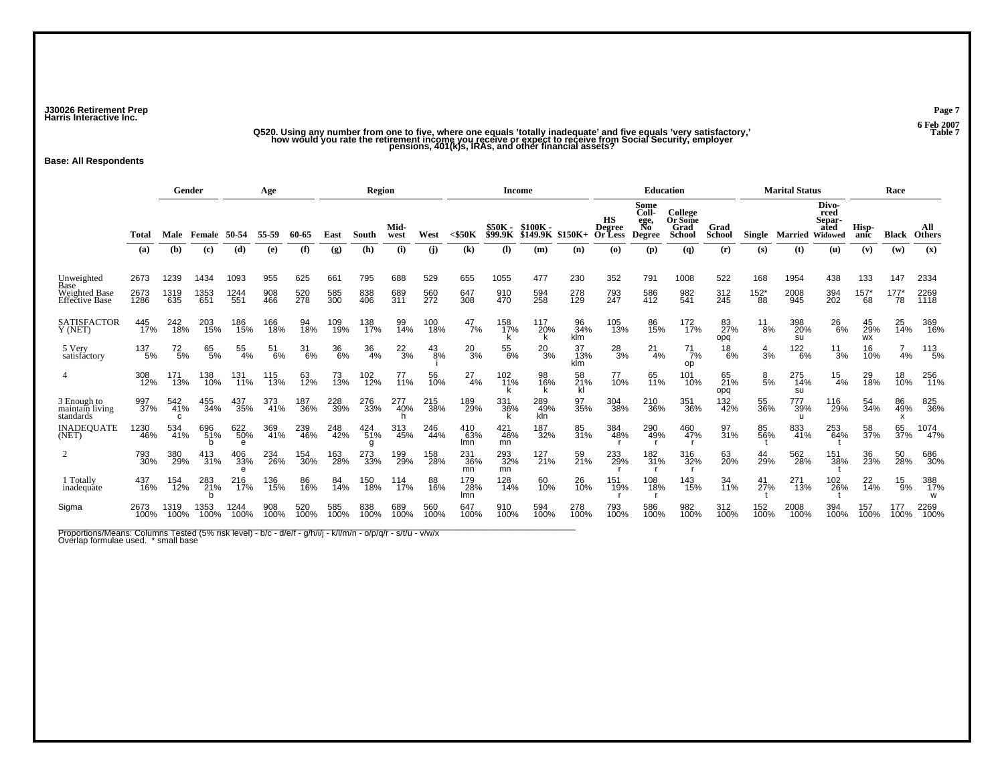**J30026 Retirement Prep Page 7 Harris Interactive Inc.**

# "Q520. Using any number from one to five, where one equals 'totally inadequate' and five equals 'very satisfactory,<br>how would you rate the retirement income you receive or expect to receive from Social Security, employer<br>p

**Base: All Respondents**

|                                                       |                      | Gender              |                     |                     | Age               |                   |                             | Region            |                   |                   |                   | <b>Income</b>      |                            |                         |                                | <b>Education</b>                             |                                             |                       |                     | <b>Marital Status</b>      |                                            |                        | Race              |                      |
|-------------------------------------------------------|----------------------|---------------------|---------------------|---------------------|-------------------|-------------------|-----------------------------|-------------------|-------------------|-------------------|-------------------|--------------------|----------------------------|-------------------------|--------------------------------|----------------------------------------------|---------------------------------------------|-----------------------|---------------------|----------------------------|--------------------------------------------|------------------------|-------------------|----------------------|
|                                                       | Total                | Male                | Female              | 50-54               | 55-59             | 60-65             | East                        | South             | Mid-<br>west      | West              | $<$ \$50 $K$      | \$50К -<br>\$99.9К | \$100K-<br><b>\$149.9K</b> | \$150K+                 | нs<br><b>Degree</b><br>Or Less | Some<br>Coll-<br>ege,<br>No<br><b>Degree</b> | College<br>Or Some<br>Grad<br><b>School</b> | Grad<br><b>School</b> | Single              | Married                    | Divo-<br>rced<br>Separ-<br>ated<br>Widowed | Hisp-<br>anic          | Black             | All<br><b>Others</b> |
|                                                       | (a)                  | (b)                 | (c)                 | (d)                 | (e)               | (f)               | $\left( \mathbf{g} \right)$ | (h)               | (i)               | (i)               | (k)               | $\bf{(l)}$         | (m)                        | (n)                     | (o)                            | (p)                                          | (q)                                         | (r)                   | (s)                 | (t)                        | (u)                                        | (v)                    | (w)               | (x)                  |
| Unweighted<br>Base<br>Weighted Base<br>Effective Base | 2673<br>2673<br>1286 | 1239<br>1319<br>635 | 1434<br>1353<br>651 | 1093<br>1244<br>551 | 955<br>908<br>466 | 625<br>520<br>278 | 661<br>585<br>300           | 795<br>838<br>406 | 688<br>689<br>311 | 529<br>560<br>272 | 655<br>647<br>308 | 1055<br>910<br>470 | 477<br>594<br>258          | 230<br>278<br>129       | 352<br>793<br>247              | 791<br>586<br>412                            | 1008<br>982<br>541                          | 522<br>312<br>245     | 168<br>$152*$<br>88 | 1954<br>2008<br>945        | 438<br>394<br>202                          | 133<br>$157*$<br>68    | 147<br>177'<br>78 | 2334<br>2269<br>1118 |
| <b>SATISFACTOR</b><br>Y (NET)                         | 445<br>17%           | 242<br>18%          | 203<br>15%          | 186<br>15%          | 166<br>18%        | 94<br>18%         | 109<br>19%                  | 138<br>17%        | 99<br>14%         | 100<br>18%        | $^{47}_{7\%}$     | 158<br>17%         | 117<br>20%<br>k            | 96<br>34%<br><b>klm</b> | 105<br>13%                     | 86<br>15%                                    | 172<br>17%                                  | 83<br>27%<br>opq      | $^{11}_{8\%}$       | 398<br>20%<br>su           | 26<br>6%                                   | 45<br>29%<br><b>WX</b> | 25<br>14%         | 369<br>16%           |
| 5 Very<br>satisfáctory                                | 137<br>5%            | $^{72}_{\ 5\%}$     | 65 <sub>%</sub>     | 55<br>4%            | $^{51}_{6\%}$     | $\frac{31}{6%}$   | 36<br>6%                    | $\frac{36}{4\%}$  | $^{22}_{3\%}$     | $^{43}_{8\%}$     | $^{20}_{3\%}$     | 55<br>6%           | $^{20}_{3\%}$              | 37<br>13%<br>klm        | $^{28}_{3\%}$                  | $^{21}_{4\%}$                                | $^{71}_{7\%}$<br>op                         | $^{18}_{6\%}$         | $\frac{4}{3}$ %     | 122<br>6%                  | $\frac{11}{3%}$                            | 16<br>10%              | 4%                | $^{113}_{-5\%}$      |
|                                                       | 308<br>12%           | 171<br>13%          | 138<br>10%          | 131<br>11%          | 115<br>13%        | 63<br>12%         | 73<br>13%                   | 102<br>12%        | 77<br>11%         | 56<br>10%         | $^{27}_{4\%}$     | 102<br>11%<br>k    | 98<br>16%<br>k             | 58<br>21%<br>kl         | 77<br>10%                      | 65<br>11%                                    | 101<br>10%                                  | 65<br>21%<br>opq      | $\frac{8}{5%}$      | 275<br>14%<br>su           | $\frac{15}{4\%}$                           | 29<br>18%              | 18<br>10%         | 256<br>11%           |
| 3 Enough to<br>maintain living<br>standards           | 997<br>37%           | 542<br>41%<br>C     | 455<br>34%          | 437<br>35%          | 373<br>41%        | 187<br>36%        | 228<br>39%                  | 276<br>33%        | 277<br>40%        | 215<br>38%        | 189<br>29%        | 331<br>36%         | 289<br>49%<br>kln          | 97<br>35%               | 304<br>38%                     | 210<br>36%                                   | 351<br>36%                                  | 132<br>42%            | 55<br>36%           | 777<br>39%<br>$\mathbf{u}$ | 116<br>29%                                 | 54<br>34%              | 86<br>49%<br>x    | 825<br>36%           |
| <b>INADEOUATE</b><br>(NET)                            | 1230<br>46%          | 534<br>41%          | 696<br>51%          | 622<br>50%<br>e     | 369<br>41%        | 239<br>46%        | 248<br>42%                  | 424<br>51%<br>g   | 313<br>45%        | 246<br>44%        | 410<br>63%<br>Imn | 421<br>46%<br>mn   | 187<br>32%                 | 85<br>31%               | 384<br>48%                     | 290<br>49%                                   | 460<br>47%                                  | 97<br>31%             | 85<br>56%           | 833<br>41%                 | 253<br>64%                                 | 58<br>37%              | 65<br>37%         | 1074<br>47%          |
|                                                       | 793<br>30%           | 380<br>29%          | 413<br>31%          | 406<br>33%          | 234<br>26%        | 154<br>30%        | 163<br>28%                  | 273<br>33%        | 199<br>29%        | 158<br>28%        | 231<br>36%<br>mn  | 293<br>32%<br>mn   | 127<br>21%                 | 59<br>21%               | 233<br>29%                     | 182<br>31%                                   | 316<br>32%                                  | 63<br>20%             | 44<br>29%           | 562<br>28%                 | 151<br>38%                                 | 36<br>23%              | 50<br>28%         | 686<br>30%           |
| 1 Totally<br>inadequate                               | 437<br>16%           | 154<br>12%          | 283<br>21%          | 216<br>17%          | 136<br>15%        | 86<br>16%         | 84<br>14%                   | 150<br>18%        | 114<br>17%        | 88<br>16%         | 179<br>28%<br>lmn | 128<br>14%         | 60<br>10%                  | 26<br>10%               | 151<br>19%                     | 108<br>18%                                   | 143<br>15%                                  | 34<br>11%             | 41<br>27%           | 271<br>13%                 | 102<br>26%                                 | $^{22}_{14\%}$         | $^{15}_{9\%}$     | 388<br>17%<br>W      |
| Sigma                                                 | 2673<br>100%         | 1319<br>100%        | 1353<br>100%        | 1244<br>100%        | 908<br>100%       | 520<br>100%       | 585<br>100%                 | 838<br>100%       | 689<br>100%       | 560<br>100%       | 647<br>100%       | 910<br>100%        | 594<br>100%                | 278<br>100%             | 793<br>100%                    | 586<br>100%                                  | 982<br>100%                                 | 312<br>100%           | 152<br>100%         | 2008<br>100%               | 394<br>100%                                | 157<br>100%            | 177<br>100%       | 2269<br>100%         |

Proportions/Means: Columns Tested (5% risk level) - b/c - d/e/f - g/h/i/j - k/l/m/n - o/p/q/r - s/t/u - v/w/x<br>Overlap formulae used. \* small base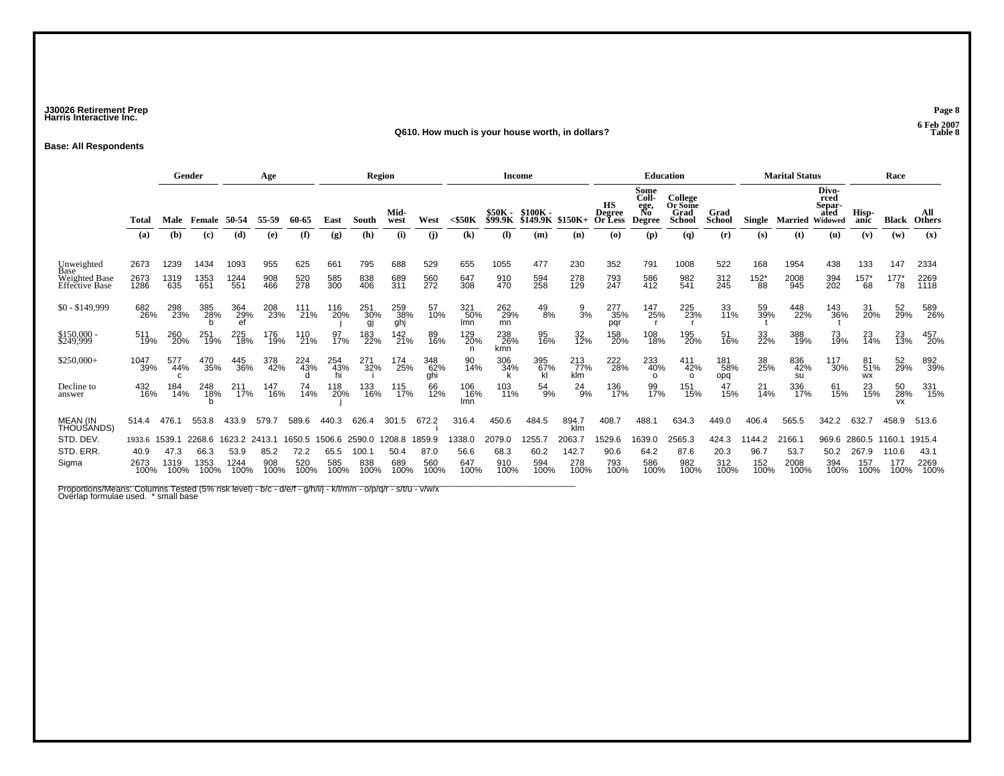### **J30026 Retirement Prep Page 8 Harris Interactive Inc.**

#### **Q610. How much is your house worth, in dollars? Table 8**

**Base: All Respondents**

|                                                       |                                | Gender<br>Age                  |                                |                                |                               |                               | Region                        |                                |                               |                               | Income                        |                                  |                              |                               | <b>Education</b>                                                                         |                                                     |                                             |                              | <b>Marital Status</b>         |                               |                                                   | Race                           |                               |                                |
|-------------------------------------------------------|--------------------------------|--------------------------------|--------------------------------|--------------------------------|-------------------------------|-------------------------------|-------------------------------|--------------------------------|-------------------------------|-------------------------------|-------------------------------|----------------------------------|------------------------------|-------------------------------|------------------------------------------------------------------------------------------|-----------------------------------------------------|---------------------------------------------|------------------------------|-------------------------------|-------------------------------|---------------------------------------------------|--------------------------------|-------------------------------|--------------------------------|
|                                                       | Total<br>(a)                   | Male<br>(b)                    | Female<br>(c)                  | 50-54<br>(d)                   | 55-59<br>(e)                  | 60-65<br>(f)                  | East<br>$\left( g\right)$     | South<br>(h)                   | Mid-<br>west<br>(i)           | West<br>(i)                   | $<$ \$50 $K$<br>(k)           | \$50K -<br><b>\$99.9K</b><br>(I) | $$100K -$<br>\$149.9K<br>(m) | $$150K+$<br>(n)               | <b>HS</b><br><b>Degree</b><br><b>Or Less</b><br>$\boldsymbol{\left( \mathbf{0}\right) }$ | Some<br>Coll-<br>ege,<br>No<br><b>Degree</b><br>(p) | College<br>Or Some<br>Grad<br>School<br>(q) | Grad<br><b>School</b><br>(r) | Single<br>(s)                 | <b>Married</b><br>(t)         | Divo-<br>rced<br>Separ-<br>ated<br>Widowed<br>(u) | Hisp-<br>anic<br>(v)           | <b>Black</b><br>(w)           | All<br><b>Others</b><br>(x)    |
| Unweighted<br>Base<br>Weighted Base<br>Effective Base | 2673<br>2673<br>1286           | 1239<br>1319<br>635            | 1434<br>1353<br>651            | 1093<br>1244<br>551            | 955<br>908<br>466             | 625<br>520<br>278             | 661<br>585<br>300             | 795<br>838<br>406              | 688<br>689<br>311             | 529<br>560<br>272             | 655<br>647<br>308             | 1055<br>910<br>470               | 477<br>594<br>258            | 230<br>278<br>129             | 352<br>793<br>247                                                                        | 791<br>586<br>412                                   | 1008<br>982<br>541                          | 522<br>312<br>245            | 168<br>$^{152^{\ast}}_{88}$   | 1954<br>2008<br>945           | 438<br>394<br>202                                 | 133<br>$157*$<br>68            | 147<br>177<br>78              | 2334<br>2269<br>1118           |
| $$0 - $149,999$                                       | 682<br>26%                     | 298<br>23%                     | 385<br>28%                     | 364<br>29%                     | 208<br>23%                    | 111<br>21%                    | 116<br>20%                    | 251<br>30%<br>gj               | 259<br>38%<br>ghj             | 57<br>10%                     | 321<br>50%<br>Imn             | 262<br>29%<br>mn                 | 49<br>8%                     | $\frac{9}{3%}$                | 277<br>35%<br>pqr                                                                        | 147<br>25%                                          | 225<br>23%                                  | 33<br>11%                    | 59<br>39%                     | 448<br>22%                    | 143<br>36%                                        | 31<br>20%                      | 52<br>29%                     | 589<br>26%                     |
| \$150,000 -<br>\$249,999                              | 511<br>19%                     | 260<br>20%                     | 251<br>19%                     | 225<br>18%                     | 176<br>19%                    | 110<br>21%                    | 97<br>17%                     | 183<br>22%                     | 142<br>21%                    | 89<br>16%                     | 129<br>20%                    | 238<br>26%<br>kmn                | 95<br>16%                    | $\frac{32}{12\%}$             | 158<br>20%                                                                               | 108<br>18%                                          | 195<br>20%                                  | 51<br>16%                    | 33<br>22%                     | 388<br>19%                    | 73<br>19%                                         | 23<br>14%                      | 23<br>13%                     | 457<br>20%                     |
| $$250,000+$                                           | 1047<br>39%                    | 577<br>44%<br>$\mathbf{C}$     | 470<br>35%                     | 445<br>36%                     | 378<br>42%                    | 224<br>43%                    | 254<br>43%                    | 271<br>32%                     | 174<br>25%                    | 348<br>62%<br>ghi             | 90<br>14%                     | 306<br>34%                       | 395<br>67%                   | 213<br>77%<br>klm             | 222<br>28%                                                                               | 233<br>40%<br>$\Omega$                              | 411<br>42%<br>$\Omega$                      | 181<br>58%<br>opq            | 38<br>25%                     | 836<br>42%<br>su              | 117<br>30%                                        | 81<br>51%<br><b>WX</b>         | 52<br>29%                     | 892<br>39%                     |
| Decline to<br>answer                                  | 432<br>16%                     | 184<br>14%                     | 248<br>18%                     | 211<br>17%                     | 147<br>16%                    | 74<br>14%                     | 118<br>20%                    | 133<br>16%                     | 115<br>17%                    | 66<br>12%                     | 106<br>16%<br>Imn             | 103<br>11%                       | 54<br>9%                     | $^{24}_{9\%}$                 | 136<br>17%                                                                               | 99<br>17%                                           | 151<br>15%                                  | 47<br>15%                    | $^{21}_{14\%}$                | 336<br>17%                    | 61<br>15%                                         | 23<br>15%                      | 50<br>28%<br><b>VX</b>        | 331<br>15%                     |
| <b>MEAN (IN</b><br>THOUSANDS)                         | 514.4                          | 476.                           | 553.8                          |                                | 579.                          | 589.6                         | 440.3                         | 626.4                          | 301.5                         | 672.2                         | 316.4                         | 450.6                            | 484.5                        | 894.7<br>klm                  | 408.7                                                                                    | 488.1                                               | 634.3                                       | 449.0                        | 406.4                         | 565.5                         | 342.2                                             | 632.7                          | 458.9                         | 513.6                          |
| STD, DEV.<br>STD. ERR.<br>Sigma                       | 1933.6<br>40.9<br>2673<br>100% | 1539.1<br>47.3<br>1319<br>100% | 2268.6<br>66.3<br>1353<br>100% | 1623.2<br>53.9<br>1244<br>100% | 2413.1<br>85.2<br>908<br>100% | 1650.5<br>72.2<br>520<br>100% | 1506.6<br>65.5<br>585<br>100% | 2590.0<br>100.7<br>838<br>100% | 1208.8<br>50.4<br>689<br>100% | 1859.9<br>87.0<br>560<br>100% | 1338.0<br>56.6<br>647<br>100% | 2079.0<br>68.3<br>910<br>100%    | 255.<br>60.2<br>594<br>100%  | 2063.<br>142.7<br>278<br>100% | 1529.6<br>90.6<br>793<br>100%                                                            | 1639.0<br>64.2<br>586<br>100%                       | 2565.3<br>87.6<br>982<br>100%               | 424.3<br>20.3<br>312<br>100% | 1144.2<br>96.7<br>152<br>100% | 2166.<br>53.7<br>2008<br>100% | 969.6<br>50.2<br>394<br>100%                      | 2860.5<br>267.9<br>157<br>100% | 160.1<br>110.6<br>177<br>100% | 1915.4<br>43.1<br>2269<br>100% |

Proportions/Means: Columns Tested (5% risk level) - b/c - d/e/f - g/h/i/j - k/l/m/n - o/p/q/r - s/t/u - v/w/x<br>Overlap formulae used. \* small base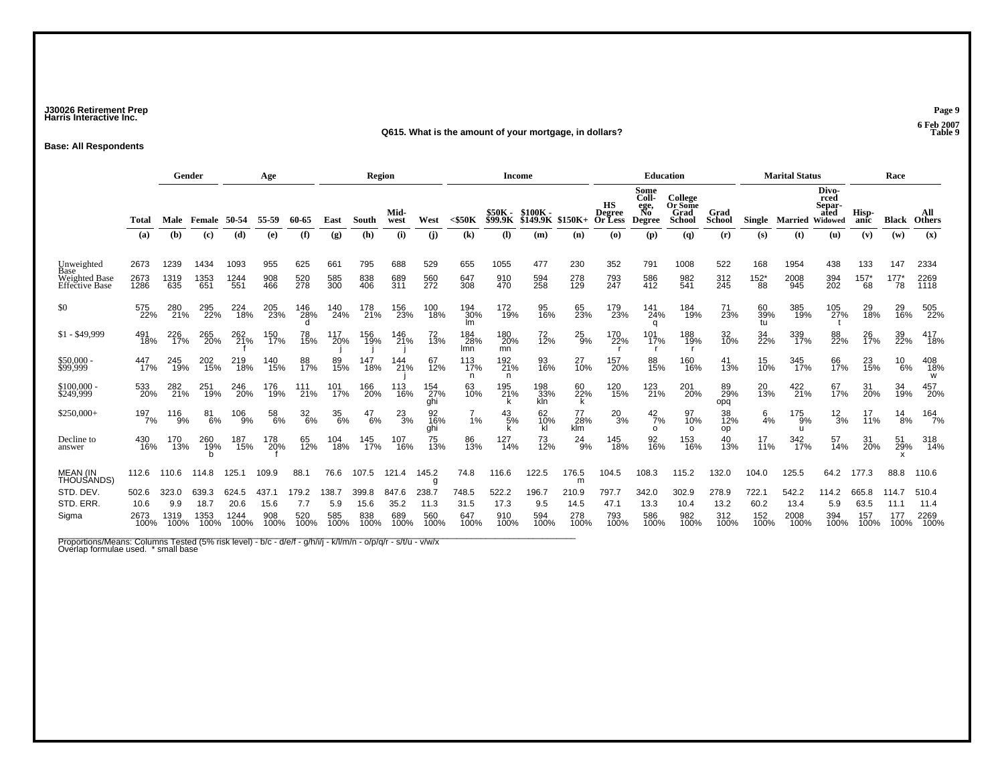### **J30026 Retirement Prep Page 9 Harris Interactive Inc.**

#### **Q615. What is the amount of your mortgage, in dollars?**

**Base: All Respondents**

|                                                                     |                               |                              | Gender                        |                               | Age                          |                             |                             | Region                       |                              |                              |                              | <b>Income</b>                |                             |                              |                                              | <b>Education</b>                             |                                             |                              |                              | <b>Marital Status</b>         |                                            |                              | Race                         |                               |
|---------------------------------------------------------------------|-------------------------------|------------------------------|-------------------------------|-------------------------------|------------------------------|-----------------------------|-----------------------------|------------------------------|------------------------------|------------------------------|------------------------------|------------------------------|-----------------------------|------------------------------|----------------------------------------------|----------------------------------------------|---------------------------------------------|------------------------------|------------------------------|-------------------------------|--------------------------------------------|------------------------------|------------------------------|-------------------------------|
|                                                                     | Total                         |                              | Male Female 50-54             |                               | 55-59                        | 60-65                       | East                        | South                        | Mid-<br>west                 | West                         | $<$ \$50K                    | <b>\$50K -<br/>\$99.9K</b>   | $$100K -$<br>\$149.9K       | \$150K+                      | <b>HS</b><br><b>Degree</b><br><b>Or Less</b> | Some<br>Coll-<br>ege,<br>No<br><b>Degree</b> | College<br>Or Some<br>Grad<br><b>School</b> | Grad<br><b>School</b>        | Single                       | Married                       | Divo-<br>rced<br>Separ-<br>ated<br>Widowed | Hisp-<br>anic                | <b>Black</b>                 | All<br><b>Others</b>          |
|                                                                     | (a)                           | (b)                          | $\left( \mathbf{c} \right)$   | (d)                           | (e)                          | (f)                         | (g)                         | (h)                          | (i)                          | (i)                          | (k)                          | (1)                          | (m)                         | (n)                          | $\boldsymbol{\left( \mathbf{0}\right) }$     | (p)                                          | $\mathbf{q}$                                | (r)                          | (s)                          | (t)                           | (u)                                        | (v)                          | (w)                          | (x)                           |
| Unweighted<br>Base<br><b>Weighted Base</b><br><b>Effective Base</b> | 2673<br>2673<br>1286          | 1239<br>1319<br>635          | 1434<br>1353<br>651           | 1093<br>1244<br>551           | 955<br>908<br>466            | 625<br>520<br>278           | 661<br>585<br>300           | 795<br>838<br>406            | 688<br>689<br>311            | 529<br>560<br>272            | 655<br>647<br>308            | 1055<br>910<br>470           | 477<br>594<br>258           | 230<br>278<br>129            | 352<br>793<br>247                            | 791<br>586<br>412                            | 1008<br>982<br>541                          | 522<br>312<br>245            | 168<br>$^{152^{\ast}}_{88}$  | 1954<br>2008<br>945           | 438<br>394<br>202                          | 133<br>$^{157^*}_{68}$       | 147<br>$^{177^*}_{78}$       | 2334<br>2269<br>1118          |
| \$0                                                                 | 575<br>22%                    | 280<br>21%                   | 295<br>22%                    | 224<br>18%                    | 205<br>23%                   | 146<br>28%                  | 140<br>24%                  | 178<br>21%                   | 156<br>23%                   | 100<br>18%                   | 194<br>30%<br>Im             | 172<br>19%                   | 95<br>16%                   | 65<br>23%                    | 179<br>23%                                   | 141<br>24%<br>q                              | 184<br>19%                                  | 71<br>23%                    | 60<br>39%<br>tu              | 385<br>19%                    | 105<br>27%                                 | 29<br>18%                    | 29<br>16%                    | 505<br>22%                    |
| $$1 - $49,999$                                                      | 491<br>18%                    | 226<br>17%                   | 265<br>20%                    | 262<br>21%                    | 150<br>17%                   | 78<br>15%                   | 117<br>20%                  | 156<br>19%                   | 146<br>21%                   | 72<br>13%                    | 184<br>28%<br>Imn            | 180<br>20%<br>mn             | 72 <sub>%</sub>             | 25<br>9%                     | 170<br>22%                                   | 101<br>17%                                   | 188<br>19%                                  | 32<br>10%                    | 34<br>22%                    | 339<br>17%                    | 88<br>22%                                  | 26<br>17%                    | 39<br>22%                    | 417<br>18%                    |
| \$50,000<br>\$99,999                                                | 447<br>17%                    | 245<br>19%                   | 202<br>15%                    | 219<br>18%                    | 140<br>15%                   | 88<br>17%                   | 89<br>15%                   | 147<br>18%                   | 144<br>21%                   | 67<br>12%                    | 113<br>17%<br>n              | 192<br>21%<br>n              | 93<br>16%                   | 27<br>10%                    | 157<br>20%                                   | 88<br>15%                                    | 160<br>16%                                  | 41<br>13%                    | 15<br>10%                    | 345<br>17%                    | 66<br>17%                                  | 23<br>15%                    | 10<br>6%                     | 408<br>18%<br>w               |
| \$100,000 - \$249,999                                               | 533<br>20%                    | 282<br>21%                   | 251<br>19%                    | 246<br>20%                    | 176<br>19%                   | 111<br>21%                  | 101<br>17%                  | 166<br>20%                   | 113<br>16%                   | 154<br>27%<br>qhi            | 63<br>10%                    | 195<br>21%                   | 198<br>33%<br>kln           | 60<br>22%<br>k               | 120<br>15%                                   | 123<br>21%                                   | 201<br>20%                                  | 89<br>29%<br>opq             | 20<br>13%                    | 422<br>21%                    | 67<br>17%                                  | 31<br>20%                    | 34<br>19%                    | 457<br>20%                    |
| $$250,000+$                                                         | 197/7%                        | 116<br>9%                    | $^{81}_{6\%}$                 | 106<br>9%                     | 58<br>6%                     | $\frac{32}{6\%}$            | 35<br>6%                    | $^{47}_{6\%}$                | $^{23}_{3\%}$                | 92<br>16%<br>ghi             | 1%                           | $^{43}_{\ 5\%}$<br>k         | 62<br>10%<br>kl             | 77<br>28%<br>klm             | $^{20}_{3\%}$                                | $^{42}_{7\%}$<br>$\Omega$                    | 97<br>10%<br>$\Omega$                       | 38<br>12%<br>op              | $6\over 4%$                  | 175<br>9%<br>$\mathbf{u}$     | $\frac{12}{3%}$                            | 17<br>11%                    | $^{14}_{8\%}$                | 164<br>7%                     |
| Decline to<br>answer                                                | 430<br>16%                    | 170<br>13%                   | 260<br>19%                    | 187<br>15%                    | 178<br>20%                   | 65<br>12%                   | 104<br>18%                  | 145<br>17%                   | 107<br>16%                   | 75<br>13%                    | 86<br>13%                    | 127<br>14%                   | 73<br>12%                   | $^{24}_{9\%}$                | 145<br>18%                                   | 92<br>16%                                    | 153<br>16%                                  | 40<br>13%                    | 17<br>11%                    | 342<br>17%                    | 57<br>14%                                  | 31<br>20%                    | 51<br>29%                    | 318<br>14%                    |
| <b>MEAN (IN</b><br>THOUSANDS)                                       | 112.6                         | 110.6                        | 114.8                         | 125.1                         | 109.9                        | 88.1                        | 76.6                        | 107.5                        | 121.4                        | 145.2<br>g                   | 74.8                         | 116.6                        | 122.5                       | 176.5<br>m                   | 104.5                                        | 108.3                                        | 115.2                                       | 132.0                        | 104.0                        | 125.5                         | 64.2                                       | 177.3                        | 88.8                         | 110.6                         |
| STD. DEV.<br>STD. ERR.<br>Sigma                                     | 502.6<br>10.6<br>2673<br>100% | 323.0<br>9.9<br>1319<br>100% | 639.3<br>18.7<br>1353<br>100% | 624.5<br>20.6<br>1244<br>100% | 437.1<br>15.6<br>908<br>100% | 179.2<br>7.7<br>520<br>100% | 138.7<br>5.9<br>585<br>100% | 399.8<br>15.6<br>838<br>100% | 847.6<br>35.2<br>689<br>100% | 238.7<br>11.3<br>560<br>100% | 748.5<br>31.5<br>647<br>100% | 522.2<br>17.3<br>910<br>100% | 196.7<br>9.5<br>594<br>100% | 210.9<br>14.5<br>278<br>100% | 797.7<br>47.1<br>793<br>100%                 | 342.0<br>13.3<br>586<br>100%                 | 302.9<br>10.4<br>982<br>100%                | 278.9<br>13.2<br>312<br>100% | 722.1<br>60.2<br>152<br>100% | 542.2<br>13.4<br>2008<br>100% | 114.2<br>5.9<br>394<br>100%                | 665.8<br>63.5<br>157<br>100% | 114.7<br>11.1<br>177<br>100% | 510.4<br>11.4<br>2269<br>100% |
|                                                                     |                               |                              |                               |                               |                              |                             |                             |                              |                              |                              |                              |                              |                             |                              |                                              |                                              |                                             |                              |                              |                               |                                            |                              |                              |                               |

Proportions/Means: Columns Tested (5% risk level) - b/c - d/e/f - g/h/i/j - k/l/m/n - o/p/q/r - s/t/u - v/w/x<br>Overlap formulae used. \* small base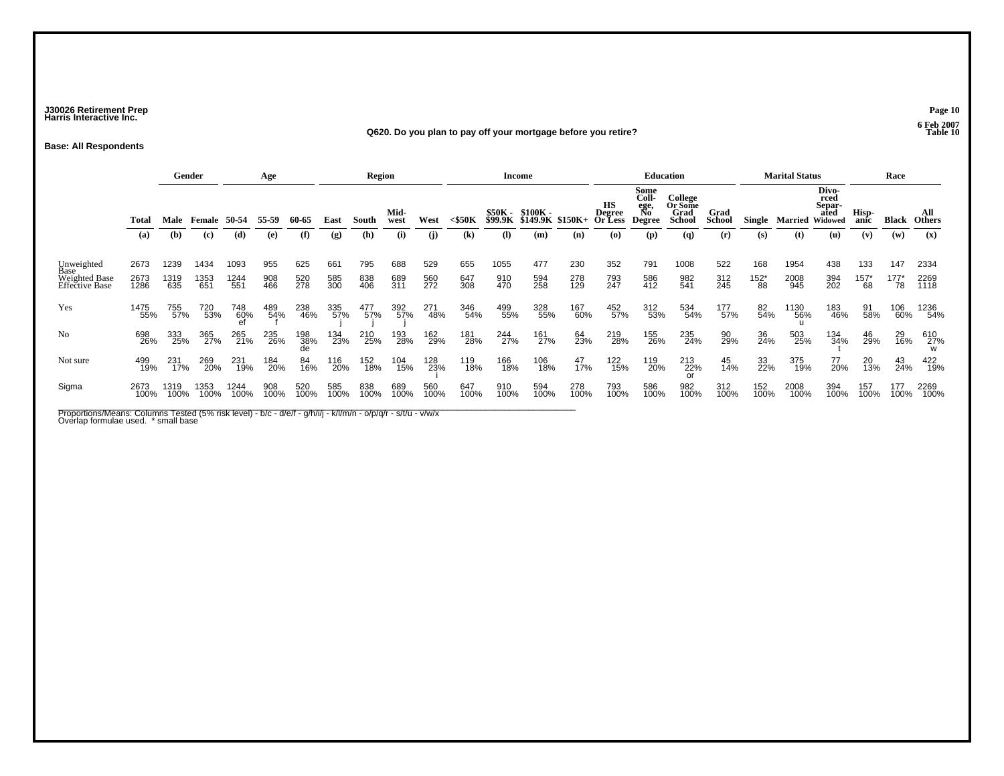### **J30026 Retirement Prep Page 10 Harris Interactive Inc.**

#### **Q620. Do you plan to pay off your mortgage before you retire? Table 10**

**Base: All Respondents**

|                                 |              |              | Gender                      |              | Age         |             |             | <b>Region</b> |              |             |                            |             | Income                                       |             |                         |                                              | <b>Education</b>                            |                       |                      | <b>Marital Status</b> |                                            |                      | Race            |                      |
|---------------------------------|--------------|--------------|-----------------------------|--------------|-------------|-------------|-------------|---------------|--------------|-------------|----------------------------|-------------|----------------------------------------------|-------------|-------------------------|----------------------------------------------|---------------------------------------------|-----------------------|----------------------|-----------------------|--------------------------------------------|----------------------|-----------------|----------------------|
|                                 | <b>Total</b> |              | Male Female 50-54           |              | 55-59       | 60-65       | East        | South         | Mid-<br>west | West        | $<$ \$50K                  |             | \$50K - \$100K -<br>\$99.9K \$149.9K \$150K+ |             | нs<br>Degree<br>Or Less | Some<br>Coll-<br>ege,<br>No<br><b>Degree</b> | College<br>Or Some<br>Grad<br><b>School</b> | Grad<br><b>School</b> | Single               | Married               | Divo-<br>rced<br>Separ-<br>ated<br>Widowed | Hisp-<br>anic        | Black           | All<br><b>Others</b> |
|                                 | (a)          | (b)          | $\left( \mathbf{c} \right)$ | (d)          | (e)         | (f)         | (g)         | (h)           | (i)          | (i)         | $\left( \mathbf{k}\right)$ | (I)         | (m)                                          | (n)         | (O)                     | (p)                                          | (q)                                         | (r)                   | (s)                  | (t)                   | (u)                                        | (v)                  | (w)             | (x)                  |
| Unweighted<br>Base              | 2673         | 1239         | 1434                        | 1093         | 955         | 625         | 661         | 795           | 688          | 529         | 655                        | 1055        | 477                                          | 230         | 352                     | 791                                          | 1008                                        | 522                   | 168                  | 1954                  | 438                                        | 133                  | 147             | 2334                 |
| Weighted Base<br>Effective Base | 2673<br>1286 | 1319<br>635  | 1353<br>651                 | 1244<br>551  | 908<br>466  | 520<br>278  | 585<br>300  | 838<br>406    | 689<br>311   | 560<br>272  | 647<br>308                 | 910<br>470  | 594<br>258                                   | 278<br>129  | 793<br>247              | 586<br>412                                   | 982<br>541                                  | 312<br>245            | $^{152^{\ast}}_{88}$ | 2008<br>945           | 394<br>202                                 | $^{157^{\ast}}_{68}$ | $^{177^*}_{78}$ | 2269<br>1118         |
| Yes                             | 1475<br>55%  | 755<br>57%   | 720<br>53%                  | 748<br>60%   | 489<br>54%  | 238<br>46%  | 335<br>57%  | 477<br>57%    | 392<br>57%   | 271<br>48%  | 346<br>54%                 | 499<br>55%  | 328<br>55%                                   | 167<br>60%  | 452<br>57%              | 312<br>53%                                   | 534<br>54%                                  | 177<br>57%            | 82<br>54%            | 1130<br>56%           | 183<br>46%                                 | 91<br>58%            | 106<br>60%      | 1236<br>54%          |
| No                              | 698<br>26%   | 333<br>25%   | 365<br>27%                  | 265<br>21%   | 235<br>26%  | 198<br>38%  | 134<br>23%  | 210<br>25%    | 193<br>28%   | 162<br>29%  | 181<br>28%                 | 244<br>27%  | 161<br>27%                                   | 64<br>23%   | 219<br>28%              | 155<br>26%                                   | 235<br>24%                                  | 90<br>29%             | 36<br>24%            | 503<br>25%            | 134<br>34%                                 | 46<br>29%            | 29<br>16%       | 610<br>27%           |
| Not sure                        | 499<br>19%   | 231<br>17%   | 269<br>20%                  | 231<br>19%   | 184<br>20%  | 84<br>16%   | 116<br>20%  | 152<br>18%    | 104<br>15%   | 128<br>23%  | 119<br>18%                 | 166<br>18%  | 106<br>18%                                   | 47<br>17%   | 122<br>15%              | 119<br>20%                                   | 213<br>22%                                  | 45<br>14%             | 33<br>22%            | 375<br>19%            | 77<br>20%                                  | 20<br>13%            | 43<br>24%       | 422<br>19%           |
| Sigma                           | 2673<br>100% | 1319<br>100% | 1353<br>100%                | 1244<br>100% | 908<br>100% | 520<br>100% | 585<br>100% | 838<br>100%   | 689<br>100%  | 560<br>100% | 647<br>100%                | 910<br>100% | 594<br>100%                                  | 278<br>100% | 793<br>100%             | 586<br>100%                                  | 982<br>100%                                 | 312<br>100%           | 152<br>100%          | 2008<br>100%          | 394<br>100%                                | 157<br>100%          | 177<br>100%     | 2269<br>100%         |

Proportions/Means: Columns Tested (5% risk level) - b/c - d/e/f - g/h/i/j - k/l/m/n - o/p/q/r - s/t/u - v/w/x<br>Overlap formulae used. \* small base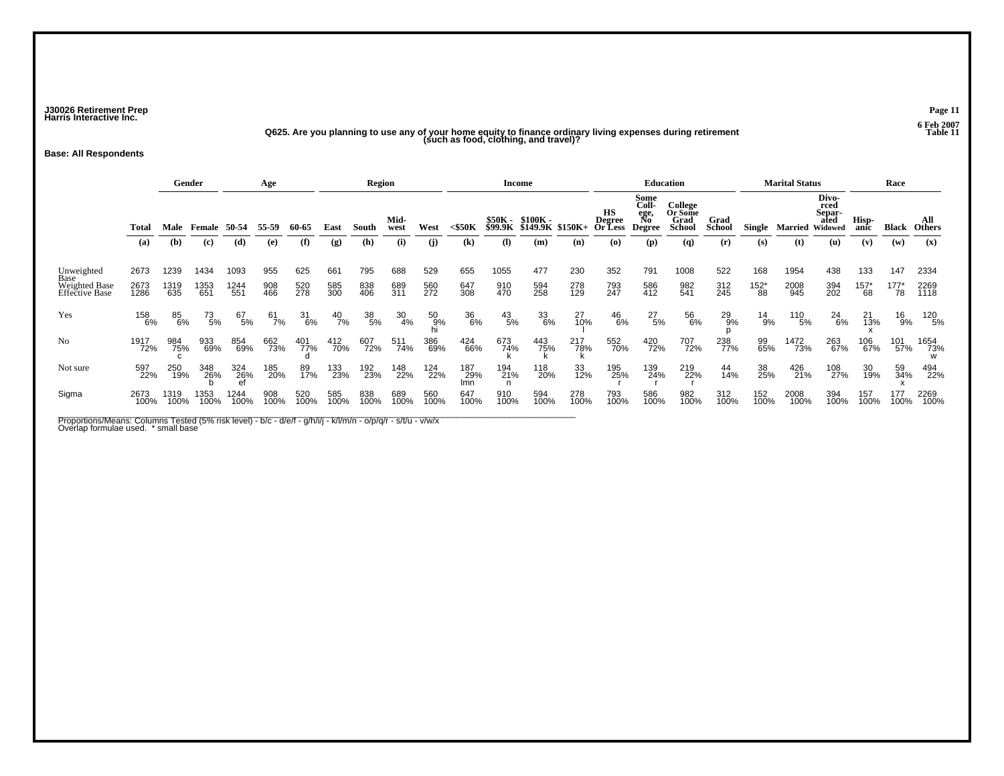**J30026 Retirement Prep Page 11 Harris Interactive Inc.**

## **Q625. Are you planning to use any of your home equity to finance ordinary living expenses during retirement Table 11 (such as food, clothing, and travel)?**

**Base: All Respondents**

|                                                       |              |              | Gender                      |              | Age         |             |               | <b>Region</b>    |                  |                |                   |                    | <b>Income</b>        |                   |                                | Education                             |                                             |                       |                      | <b>Marital Status</b> |                                            |                 | Race            |                      |
|-------------------------------------------------------|--------------|--------------|-----------------------------|--------------|-------------|-------------|---------------|------------------|------------------|----------------|-------------------|--------------------|----------------------|-------------------|--------------------------------|---------------------------------------|---------------------------------------------|-----------------------|----------------------|-----------------------|--------------------------------------------|-----------------|-----------------|----------------------|
|                                                       | Total        | Male         |                             | 50-54        | 55-59       | 60-65       | East          | South            | Mid-<br>west     | West           | $<$ \$50K         | \$50K -<br>\$99.9K | \$100K -<br>\$149.9K | \$150K+           | НS<br><b>Degree</b><br>Or Less | Some<br>Coll-<br>ege,<br>No<br>Degree | College<br>Or Some<br>Grad<br><b>School</b> | Grad<br><b>School</b> | Single               | Married               | Divo-<br>rced<br>Separ-<br>ated<br>Widowed | Hisp-<br>anic   | <b>Black</b>    | All<br><b>Others</b> |
|                                                       | (a)          | (b)          | $\left( \mathbf{c} \right)$ | (d)          | (e)         | (f)         | (g)           | (h)              | (i)              | (i)            | (k)               | (I)                | (m)                  | (n)               | (O)                            | (p)                                   | (q)                                         | (r)                   | (s)                  | (t)                   | (u)                                        | (v)             | (w)             | (x)                  |
| Unweighted<br>Base<br>Weighted Base<br>Effective Base | 2673         | 1239         | 1434                        | 1093         | 955         | 625         | 661           | 795              | 688              | 529            | 655               | 1055               | 477                  | 230               | 352                            | 791                                   | 1008                                        | 522                   | 168                  | 1954                  | 438                                        | 133             | 147             | 2334                 |
|                                                       | 2673<br>1286 | 1319<br>635  | 1353<br>651                 | 1244<br>551  | 908<br>466  | 520<br>278  | 585<br>300    | 838<br>406       | 689<br>311       | 560<br>272     | 647<br>308        | 910<br>470         | 594<br>258           | 278<br>129        | 793<br>247                     | 586<br>412                            | 982<br>541                                  | 312<br>245            | $^{152^{\ast}}_{88}$ | 2008<br>945           | 394<br>202                                 | $^{157^*}_{68}$ | $^{177^*}_{78}$ | 2269<br>1118         |
| Yes                                                   | 158<br>6%    | 85<br>6%     | $^{73}_{\ 5\%}$             | 67<br>5%     | 61<br>7%    | 31<br>6%    | $^{40}_{7\%}$ | $\frac{38}{5\%}$ | $\frac{30}{4\%}$ | 50<br>9%<br>hi | 36<br>6%          | $^{43}_{\ 5\%}$    | 33<br>6%             | 27<br>10%         | $^{46}_{6\%}$                  | $^{27}_{5\%}$                         | 56<br>6%                                    | 29<br>9%              | 14<br>9%             | 110<br>5%             | $^{24}_{6\%}$                              | 21<br>13%       | 16<br>9%        | 120<br>5%            |
| N <sub>0</sub>                                        | 1917<br>72%  | 984<br>75%   | 933<br>69%                  | 854<br>69%   | 662<br>73%  | 401<br>77%  | 412<br>70%    | 607<br>72%       | 511<br>74%       | 386<br>69%     | 424<br>66%        | 673<br>74%         | 443<br>75%           | 217<br>78%<br>՝ հ | 552<br>70%                     | 420<br>72%                            | 707<br>72%                                  | 238<br>77%            | 99<br>65%            | 1472<br>73%           | 263<br>67%                                 | 106<br>67%      | 101<br>57%      | 1654<br>73%          |
| Not sure                                              | 597<br>22%   | 250<br>19%   | 348<br>26%                  | 324<br>26%   | 185<br>20%  | 89<br>17%   | 133<br>23%    | 192<br>23%       | 148<br>22%       | 124<br>22%     | 187<br>29%<br>lmn | 194<br>21%<br>ո    | 118<br>20%           | 33<br>12%         | 195<br>25%                     | 139<br>24%                            | 219<br>22%                                  | 44<br>14%             | 38<br>25%            | 426<br>21%            | 108<br>27%                                 | 30<br>19%       | 59<br>34%       | 494<br>22%           |
| Sigma                                                 | 2673<br>100% | 1319<br>100% | 1353<br>100%                | 1244<br>100% | 908<br>100% | 520<br>100% | 585<br>100%   | 838<br>100%      | 689<br>100%      | 560<br>100%    | 647<br>100%       | 910<br>100%        | 594<br>100%          | 278<br>100%       | 793<br>100%                    | 586<br>100%                           | 982<br>100%                                 | 312<br>100%           | 152<br>100%          | 2008<br>100%          | 394<br>100%                                | 157<br>100%     | 177<br>100%     | 2269<br>100%         |

Proportions/Means: Columns Tested (5% risk level) - b/c - d/e/f - g/h/i/j - k//m/n - o/p/q/r - s/t/u - v/w/x<br>Overlap formulae used. \* small base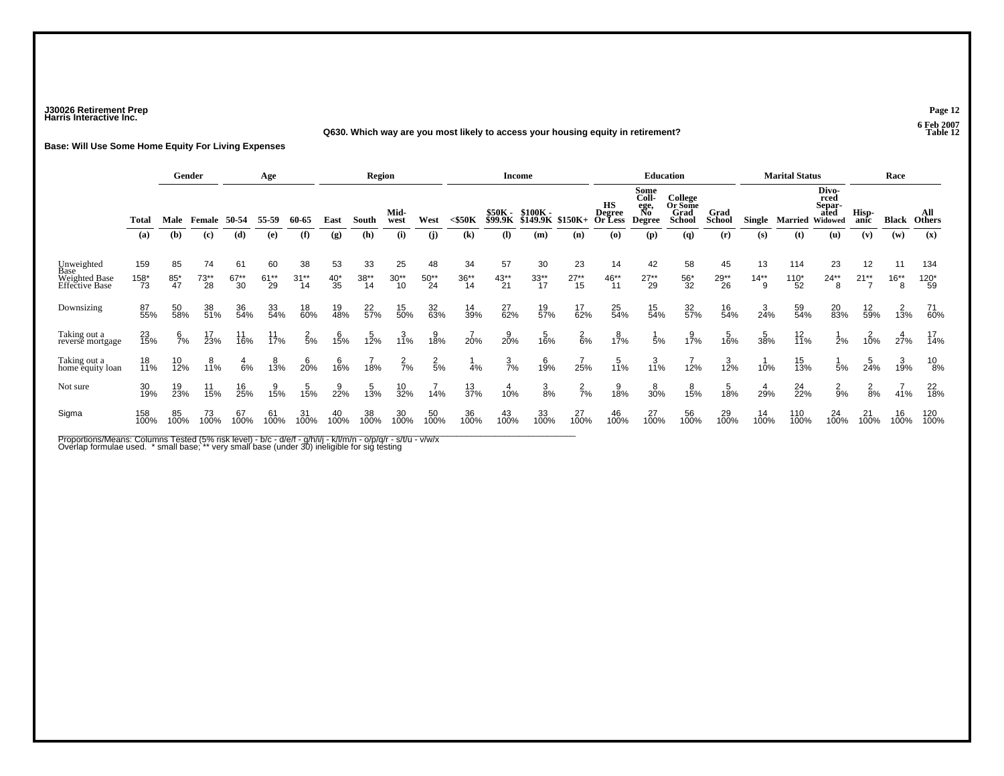### **J30026 Retirement Prep Page 12 Harris Interactive Inc.**

#### **Q630. Which way are you most likely to access your housing equity in retirement?**

**Base: Will Use Some Home Equity For Living Expenses**

|                                         |                     |                 | Gender            |                | Age             |                  |                | <b>Region</b>   |                     |                |                                            |                           | <b>Income</b>               |                 |                                       |                                                                       | <b>Education</b>                                                 |                              |                      | <b>Marital Status</b> |                                                   |                          | Race                |                             |
|-----------------------------------------|---------------------|-----------------|-------------------|----------------|-----------------|------------------|----------------|-----------------|---------------------|----------------|--------------------------------------------|---------------------------|-----------------------------|-----------------|---------------------------------------|-----------------------------------------------------------------------|------------------------------------------------------------------|------------------------------|----------------------|-----------------------|---------------------------------------------------|--------------------------|---------------------|-----------------------------|
|                                         | <b>Total</b><br>(a) | Male<br>(b)     | Female<br>(c)     | 50-54<br>(d)   | 55-59<br>(e)    | 60-65<br>(f)     | East<br>(g)    | South<br>(h)    | Mid-<br>west<br>(i) | West<br>(i)    | $<$ \$50 $K$<br>$\left( \mathbf{k}\right)$ | \$50K -<br>\$99.9K<br>(I) | \$100K -<br>\$149.9K<br>(m) | \$150K+<br>(n)  | НS<br><b>Degree</b><br>Or Less<br>(o) | Some<br><b>Coll-</b><br>ege,<br>No<br><b>Degree</b><br>$(\mathbf{p})$ | College<br>Or Some<br>Grad<br><b>School</b><br>$\left( q\right)$ | Grad<br><b>School</b><br>(r) | <b>Single</b><br>(s) | Married<br>(t)        | Divo-<br>rced<br>Separ-<br>ated<br>Widowed<br>(u) | Hisp-<br>anic<br>(v)     | <b>Black</b><br>(w) | All<br><b>Others</b><br>(x) |
|                                         |                     |                 |                   |                |                 |                  |                |                 |                     |                |                                            |                           |                             |                 |                                       |                                                                       |                                                                  |                              |                      |                       |                                                   |                          |                     |                             |
| Unweighted                              | 159                 | 85              | 74                | 61             | 60              | 38               | 53             | 33              | 25                  | 48             | 34                                         | 57                        | 30                          | 23              | 14                                    | 42                                                                    | 58                                                               | 45                           | 13                   | 114                   | 23                                                | 12                       | 11                  | 134                         |
| Base<br>Weighted Base<br>Effective Base | $158^{*}_{73}$      | $^{85}_{47}$    | $73^{**}_{28}$    | $67^{**}_{30}$ | $61^{**}_{29}$  | $31^{**}$<br>14  | $^{40^*}_{35}$ | $38^{**}$<br>14 | $30^{**}_{10}$      | $50^{**}_{24}$ | $36^{**}_{14}$                             | $43^{**}$<br>21           | $33^{**}$<br>17             | $27^{**}_{15}$  | $^{46}_{11}$                          | $27^{**}_{29}$                                                        | $^{56}_{32}$                                                     | $29^{**}_{26}$               | $14^{**}$<br>9       | $110*$<br>52          | $24**$<br>8                                       | $21**$<br>$\overline{ }$ | $16**$<br>8         | $^{120^{\ast}}_{59}$        |
| Downsizing                              | 87<br>55%           | 50<br>58%       | 38<br>51%         | 36<br>54%      | 33<br>54%       | 18<br>60%        | 19<br>48%      | 22<br>57%       | 15<br>50%           | 32<br>63%      | 14<br>39%                                  | 27<br>62%                 | 19<br>57%                   | 17<br>62%       | 25<br>54%                             | 15<br>54%                                                             | 32<br>57%                                                        | 16<br>54%                    | $\frac{3}{24\%}$     | 59<br>54%             | 20<br>83%                                         | 12<br>59%                | 13%                 | 71<br>60%                   |
| Taking out a<br>reverse mortgage        | 23<br>15%           | $\frac{6}{7}$ % | 17<br>23%         | 11<br>16%      | $11$<br>$17%$   | $\frac{2}{5%}$   | 15%            | 12%             | 3/11%               | 38%            | 20%                                        | $\frac{9}{20\%}$          | 16%                         | $^{2}_{6%}$     | 17%                                   | 5%                                                                    | 17%                                                              | 16%                          | $\frac{5}{38\%}$     | $\frac{12}{11\%}$     | 2%                                                | 10%                      | 27%                 | $^{17}_{14\%}$              |
| Taking out a<br>home equity loan        | 18<br>11%           | 10<br>12%       | 8<br>11%          | $rac{4}{6%}$   | $\frac{8}{13%}$ | $\frac{6}{20\%}$ | $^{6}_{16\%}$  | 18%             | $\frac{2}{7\%}$     | $\frac{2}{5%}$ | 4%                                         | $\frac{3}{7\%}$           | 19%                         | 25%             | 5<br>11%                              | $\frac{3}{11\%}$                                                      | 12%                                                              | 3/12%                        | 10%                  | 15<br>13%             | 5%                                                | 5<br>24%                 | 3<br>19%            | 10<br>8%                    |
| Not sure                                | 30<br>19%           | 19<br>23%       | $\frac{11}{15\%}$ | $16_{25\%}$    | 15%             | 15%              | 22%            | 13%             | 10<br>32%           | 14%            | 13<br>37%                                  | 10%                       | $\frac{3}{8\%}$             | $\frac{2}{7}$ % | 9<br>18%                              | 8<br>30%                                                              | 15%                                                              | 18%                          | $^{4}_{29\%}$        | 24<br>22%             | $\frac{2}{9%}$                                    | $\frac{2}{8%}$           | 41%                 | $^{22}_{18\%}$              |
| Sigma                                   | 158<br>100%         | 85<br>100%      | $^{73}_{100\%}$   | 67<br>100%     | 61<br>100%      | 31<br>100%       | 40<br>100%     | 38<br>100%      | 30<br>100%          | 50<br>100%     | 36<br>100%                                 | 43<br>100%                | 33<br>100%                  | 27<br>100%      | 46<br>100%                            | 27<br>100%                                                            | 56<br>100%                                                       | 29<br>100%                   | $14$<br>$100\%$      | 110<br>100%           | 24<br>100%                                        | $^{21}_{100\%}$          | 16<br>100%          | 120<br>100%                 |

Proportions/Means: Columns Tested (5% risk level) - b/c - d/e/f - g/h/i/j - k/l/m/n - o/p/q/r - s/t/u - v/w/x<br>Overlap formulae used. \* small base; \*\* very small base (under 30) ineligible for sig testing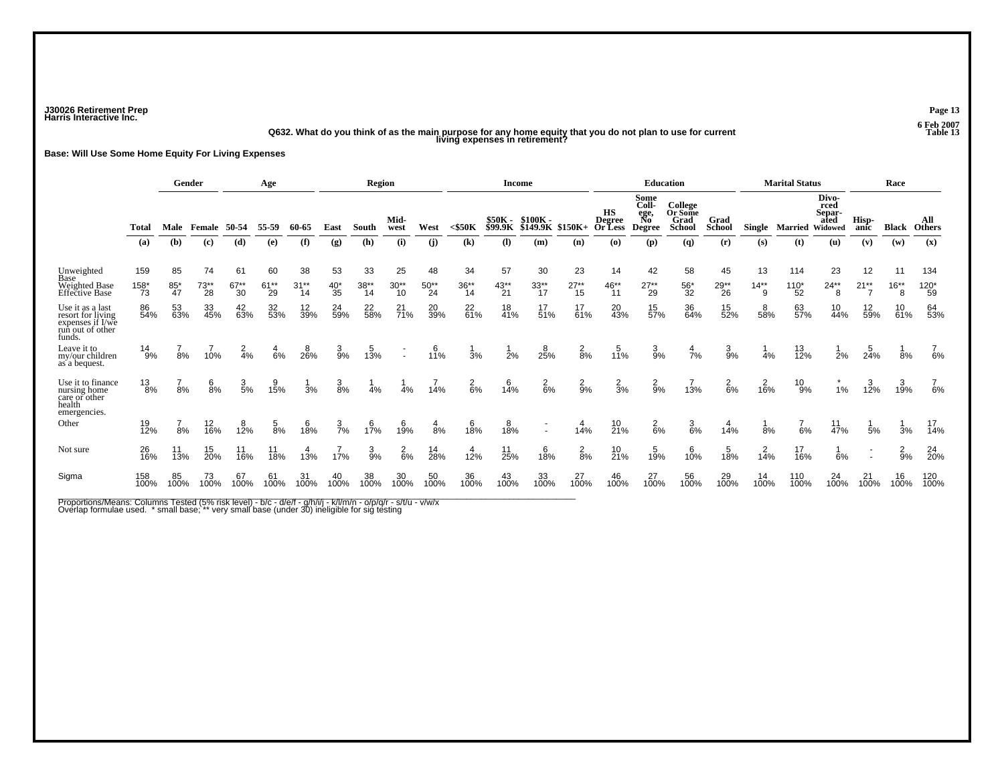**J30026 Retirement Prep Page 13 Harris Interactive Inc.**

# **Q632. What do you think of as the main purpose for any home equity that you do not plan to use for current Table 13 living expenses in retirement?**

**Base: Will Use Some Home Equity For Living Expenses**

|                                                                                         |                       |                    | Gender               |                      | Age                  |                         |                      | <b>Region</b>         |                     |                      |                                            | <b>Income</b>                                     |                                    |                      |                                |                                                     | <b>Education</b>                            |                              |                      | <b>Marital Status</b>  |                                                   |                                | Race                |                             |
|-----------------------------------------------------------------------------------------|-----------------------|--------------------|----------------------|----------------------|----------------------|-------------------------|----------------------|-----------------------|---------------------|----------------------|--------------------------------------------|---------------------------------------------------|------------------------------------|----------------------|--------------------------------|-----------------------------------------------------|---------------------------------------------|------------------------------|----------------------|------------------------|---------------------------------------------------|--------------------------------|---------------------|-----------------------------|
|                                                                                         | Total<br>(a)          | Male<br>(b)        | Female<br>(c)        | 50-54<br>(d)         | 55-59<br>(e)         | 60-65<br>(f)            | East<br>(g)          | South<br>(h)          | Mid-<br>west<br>(i) | West<br>(i)          | $<$ \$50 $K$<br>$\left( \mathbf{k}\right)$ | \$50К -<br>\$99.9К<br>$\left( \mathbf{I} \right)$ | \$100K -<br><b>\$149.9K</b><br>(m) | $$150K+$<br>(n)      | НS<br>Degree<br>Or Less<br>(o) | Some<br>Coll-<br>ege,<br>No<br><b>Degree</b><br>(p) | College<br>Or Some<br>Grad<br>School<br>(q) | Grad<br><b>School</b><br>(r) | <b>Single</b><br>(s) | <b>Married</b><br>(t)  | Divo-<br>rced<br>Separ-<br>ated<br>Widowed<br>(u) | Hisp-<br>anic<br>(v)           | <b>Black</b><br>(w) | All<br><b>Others</b><br>(x) |
| Unweighted<br>Base<br>Weighted Base<br>Effective Base                                   | 159<br>$158^{*}_{73}$ | 85<br>$^{85}_{47}$ | 74<br>$73^{**}_{28}$ | 61<br>$67^{**}_{30}$ | 60<br>$61^{**}_{29}$ | 38<br>$31^{**}$<br>$14$ | 53<br>$^{40^*}_{35}$ | 33<br>$38^{**}$<br>14 | 25<br>$30**$<br>10  | 48<br>$50^{**}_{24}$ | 34<br>$36^{**}$<br>14                      | 57<br>$43^{**}$<br>21                             | 30<br>$33^{**}$<br>$17$            | 23<br>$27^{**}_{15}$ | 14<br>$^{46^{**}}$<br>11       | 42<br>$27^{**}_{29}$                                | 58<br>$^{56*}_{32}$                         | 45<br>$29^{**}_{26}$         | 13<br>$14**$<br>່ 9  | 114<br>$^{110^*}_{52}$ | 23<br>$24**$<br>8                                 | 12<br>$21**$<br>$\overline{7}$ | 11<br>$16**$<br>8   | 134<br>$^{120^{\ast}}_{59}$ |
| Use it as a last<br>resort for living<br>expenses if I/we<br>run out of other<br>funds. | 86<br>54%             | 53<br>63%          | 33<br>45%            | 42<br>63%            | 32<br>53%            | 12<br>39%               | 24<br>59%            | 22<br>58%             | $^{21}_{71\%}$      | 20<br>39%            | 22<br>61%                                  | 18<br>41%                                         | 17<br>51%                          | 17.61%               | 20<br>43%                      | 15<br>57%                                           | 36<br>64%                                   | 15<br>52%                    | 8<br>58%             | 63<br>57%              | 10<br>44%                                         | 12<br>59%                      | 10<br>61%           | 64<br>53%                   |
| Leave it to<br>my/our children<br>as a bequest.                                         | $^{14}_{9\%}$         | 8%                 | 10%                  | $rac{2}{4%}$         | $rac{4}{6%}$         | 26%                     | $\frac{3}{9%}$       | 13%                   |                     | $10^{6}$             | 3%                                         | $\frac{1}{2}$ %                                   | 25%                                | $\frac{2}{8}$ %      | $\frac{5}{11%}$                | $\frac{3}{9%}$                                      | $\frac{4}{7}$ %                             | $\frac{3}{9%}$               | 4%                   | 13/12%                 | 2%                                                | $\frac{5}{24%}$                | 8%                  | 6%                          |
| Use it to finance<br>nursing home<br>care or other<br>health<br>emergencies.            | $^{13}_{8\%}$         | 8%                 | $\frac{6}{8\%}$      | $\frac{3}{5\%}$      | 9<br>15%             | 3%                      | $\frac{3}{8%}$       | 4%                    | 4%                  | 14%                  | $\frac{2}{6\%}$                            | $^{6}_{14\%}$                                     | $^{2}_{6\%}$                       | $\frac{2}{9\%}$      | $\frac{2}{3%}$                 | $\frac{2}{9%}$                                      | 13%                                         | $^{2}_{6\%}$                 | 16%                  | $^{10}_{9\%}$          | 1%                                                | 3<br>12%                       | 3<br>19%            | 6%                          |
| Other                                                                                   | 19<br>12%             | 8%                 | 12<br>16%            | $^{8}_{12\%}$        | $\frac{5}{8%}$       | $^{6}_{18\%}$           | $\frac{3}{7}$ %      | 17%                   | 19%                 | $\frac{4}{8%}$       | 18%                                        | 18%                                               | $\sim$                             | 14%                  | $^{10}_{21\%}$                 | $\frac{2}{6}$ %                                     | $\frac{3}{6\%}$                             | $14\%$                       | 8%                   | 6%                     | $\frac{11}{47%}$                                  | 5%                             | 3%                  | 17<br>14%                   |
| Not sure                                                                                | 26<br>16%             | 11<br>13%          | $\frac{15}{20\%}$    | 11<br>16%            | 11<br>18%            | $\frac{4}{13%}$         | 17%                  | $\frac{3}{9%}$        | $rac{2}{6}$ %       | 14<br>28%            | $1^{4}_{2\%}$                              | $11$<br>25%                                       | 6<br>18%                           | $\frac{2}{8%}$       | $10^{10}_{21\%}$               | $15/19$ %                                           | 10%                                         | 18%                          | 14%                  | $\frac{17}{16\%}$      | 6%                                                |                                | $\frac{2}{9%}$      | 24<br>20%                   |
| Sigma                                                                                   | 158<br>100%           | 85<br>100%         | 73<br>100%           | 67<br>100%           | 61<br>100%           | $31$<br>$100\%$         | 40<br>100%           | 38<br>100%            | 30<br>100%          | 50<br>100%           | 36<br>100%                                 | 43<br>100%                                        | 33<br>100%                         | $^{27}_{100\%}$      | 46<br>100%                     | 27<br>100%                                          | 56<br>100%                                  | 29<br>100%                   | 14<br>100%           | 110<br>100%            | $^{24}_{100\%}$                                   | $^{21}_{100\%}$                | 16<br>100%          | 120<br>100%                 |

Proportions/Means: Columns Tested (5% risk level) - b/c - d/e/f - g/h/i/j - k/l/m/n - o/p/q/r - s/t/u - v/w/x<br>Overlap formulae used. \* small base; \*\* very small base (under 30) ineligible for sig testing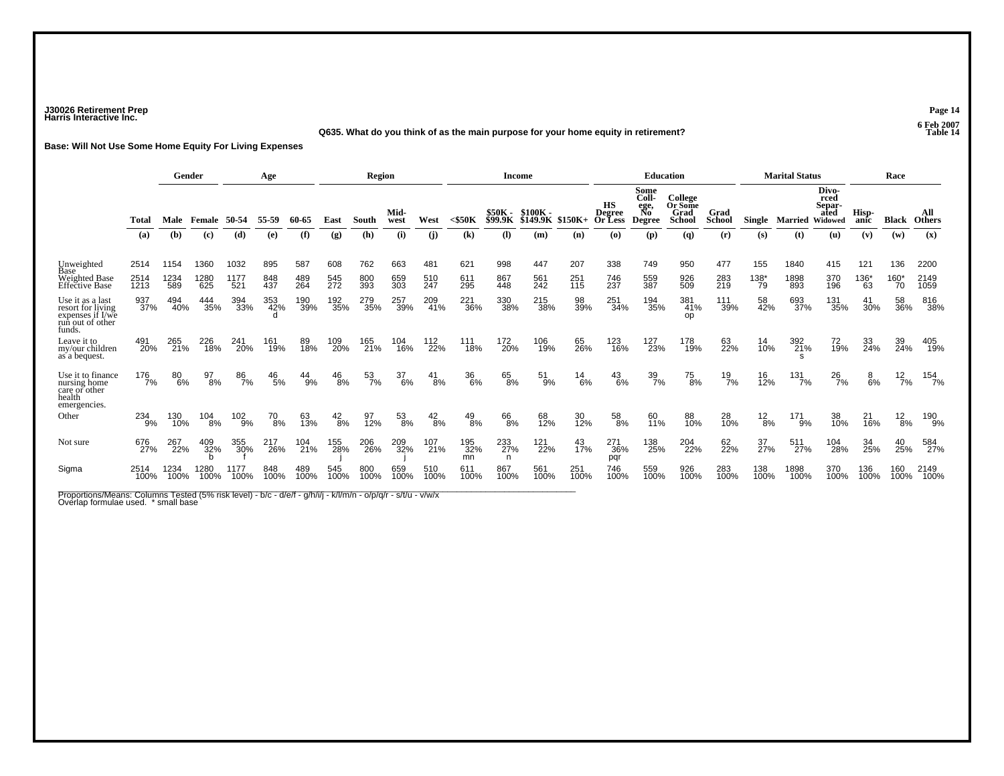### **J30026 Retirement Prep Page 14 Harris Interactive Inc.**

#### **Q635. What do you think of as the main purpose for your home equity in retirement?**

**Base: Will Not Use Some Home Equity For Living Expenses**

|                                                                                         |              |              | Gender                      |                | Age           |             |               | Region      |              |               |                            | <b>Income</b>              |                              |               |                         |                                 | <b>Education</b>                                   |                       |                  | <b>Marital Status</b> |                                            |                 | Race           |                      |
|-----------------------------------------------------------------------------------------|--------------|--------------|-----------------------------|----------------|---------------|-------------|---------------|-------------|--------------|---------------|----------------------------|----------------------------|------------------------------|---------------|-------------------------|---------------------------------|----------------------------------------------------|-----------------------|------------------|-----------------------|--------------------------------------------|-----------------|----------------|----------------------|
|                                                                                         | Total        | Male         | Female                      | 50-54          | 55-59         | 60-65       | East          | South       | Mid-<br>west | West          | $<$ \$50 $K$               | $$50K -$<br><b>\$99.9K</b> | $$100K -$<br><b>\$149.9K</b> | \$150K+       | HS<br>Degree<br>Or Less | Some<br>Coll-<br>ege,<br>Degree | <b>College</b><br>Or Some<br>Grad<br><b>School</b> | Grad<br><b>School</b> | Single           | <b>Married</b>        | Divo-<br>rced<br>Separ-<br>ated<br>Widowed | Hisp-<br>anic   | Black          | All<br><b>Others</b> |
|                                                                                         | (a)          | (b)          | $\left( \mathbf{c} \right)$ | (d)            | (e)           | (f)         | (g)           | (h)         | (i)          | (i)           | $\left( \mathbf{k}\right)$ | (I)                        | (m)                          | (n)           | (o)                     | (p)                             | $\left( q\right)$                                  | (r)                   | (s)              | (t)                   | (u)                                        | (v)             | (w)            | (x)                  |
| Unweighted<br>Base                                                                      | 2514         | 1154         | 1360                        | 1032           | 895           | 587         | 608           | 762         | 663          | 481           | 621                        | 998                        | 447                          | 207           | 338                     | 749                             | 950                                                | 477                   | 155              | 1840                  | 415                                        | 121             | 136            | 2200                 |
| <b>Weighted Base</b><br><b>Effective Base</b>                                           | 2514<br>1213 | 1234<br>589  | 1280<br>625                 | 1177<br>521    | 848<br>437    | 489<br>264  | 545<br>272    | 800<br>393  | 659<br>303   | 510<br>247    | 611<br><b>295</b>          | 867<br>448                 | 561<br>242                   | 251<br>115    | 746<br>237              | 559<br>387                      | 926<br>509                                         | 283<br>219            | $\frac{138}{79}$ | 1898<br>893           | 370<br>196                                 | $^{136^*}_{63}$ | $160^{*}_{70}$ | 2149<br>1059         |
| Use it as a last<br>resort for living<br>expenses if I/we<br>run out of other<br>funds. | 937<br>37%   | 494<br>40%   | 444<br>35%                  | 394<br>33%     | 353<br>42%    | 190<br>39%  | 192<br>35%    | 279<br>35%  | 257<br>39%   | 209<br>41%    | 221<br>36%                 | 330<br>38%                 | 215<br>38%                   | 98<br>39%     | 251<br>34%              | 194<br>35%                      | 381<br>41%<br>op                                   | 111<br>39%            | 58<br>42%        | 693<br>37%            | 131<br>35%                                 | 41<br>30%       | 58<br>36%      | 816<br>38%           |
| Leave it to<br>my/our children<br>as a bequest.                                         | 491<br>20%   | 265<br>21%   | 226<br>18%                  | 241<br>20%     | 161<br>19%    | 89<br>18%   | 109<br>20%    | 165<br>21%  | 104<br>16%   | 112<br>22%    | 111<br>18%                 | 172<br>20%                 | 106<br>19%                   | 65<br>26%     | 123<br>16%              | 127<br>23%                      | 178<br>19%                                         | 63<br>22%             | 14<br>10%        | 392<br>21%            | 72<br>19%                                  | 33<br>24%       | 39<br>24%      | 405<br>19%           |
| Use it to finance<br>nursing home<br>care or other<br>health<br>emergencies.            | 176<br>7%    | 80<br>6%     | 97<br>8%                    | 86<br>7%       | $^{46}_{5\%}$ | 44<br>9%    | $^{46}_{8\%}$ | 53<br>7%    | 37<br>6%     | $^{41}_{8\%}$ | 36<br>6%                   | 65<br>8%                   | 51<br>9%                     | $^{14}_{6\%}$ | $^{43}_{6\%}$           | 39<br>7%                        | 75<br>8%                                           | $^{19}_{7\%}$         | 16<br>12%        | 131<br>7%             | $^{26}_{7\%}$                              | $8\%$           | $^{12}_{7\%}$  | 154<br>7%            |
| Other                                                                                   | 234<br>9%    | 130<br>10%   | 104<br>8%                   | $^{102}_{9\%}$ | 70<br>8%      | 63<br>13%   | $^{42}_{8\%}$ | 97<br>12%   | 53<br>8%     | $^{42}_{8\%}$ | $^{49}_{8\%}$              | 66<br>8%                   | 68<br>12%                    | 30<br>12%     | 58<br>8%                | 60<br>11%                       | 88<br>10%                                          | 28<br>10%             | $\frac{12}{8%}$  | 171<br>9%             | 38<br>10%                                  | 21<br>16%       | $^{12}_{8\%}$  | 190<br>9%            |
| Not sure                                                                                | 676<br>27%   | 267<br>22%   | 409<br>32%                  | 355<br>30%     | 217<br>26%    | 104<br>21%  | 155<br>28%    | 206<br>26%  | 209<br>32%   | 107<br>21%    | 195<br>32%<br>mn           | 233<br>27%<br>n.           | 121<br>22%                   | 43<br>17%     | 271<br>36%<br>pqr       | 138<br>25%                      | 204<br>22%                                         | 62 <sub>%</sub>       | 37 <sub>%</sub>  | 511<br>27%            | 104<br>28%                                 | 34<br>25%       | 40<br>25%      | 584<br>27%           |
| Sigma                                                                                   | 2514<br>100% | 1234<br>100% | 1280<br>100%                | 1177<br>100%   | 848<br>100%   | 489<br>100% | 545<br>100%   | 800<br>100% | 659<br>100%  | 510<br>100%   | 611<br>100%                | 867<br>100%                | 561<br>100%                  | 251<br>100%   | 746<br>100%             | 559<br>100%                     | 926<br>100%                                        | 283<br>100%           | 138<br>100%      | 1898<br>100%          | 370<br>100%                                | 136<br>100%     | 160<br>100%    | 2149<br>100%         |

Proportions/Means: Columns Tested (5% risk level) - b/c - d/e/f - g/h/i/j - k/l/m/n - o/p/q/r - s/t/u - v/w/x<br>Overlap formulae used. \* small base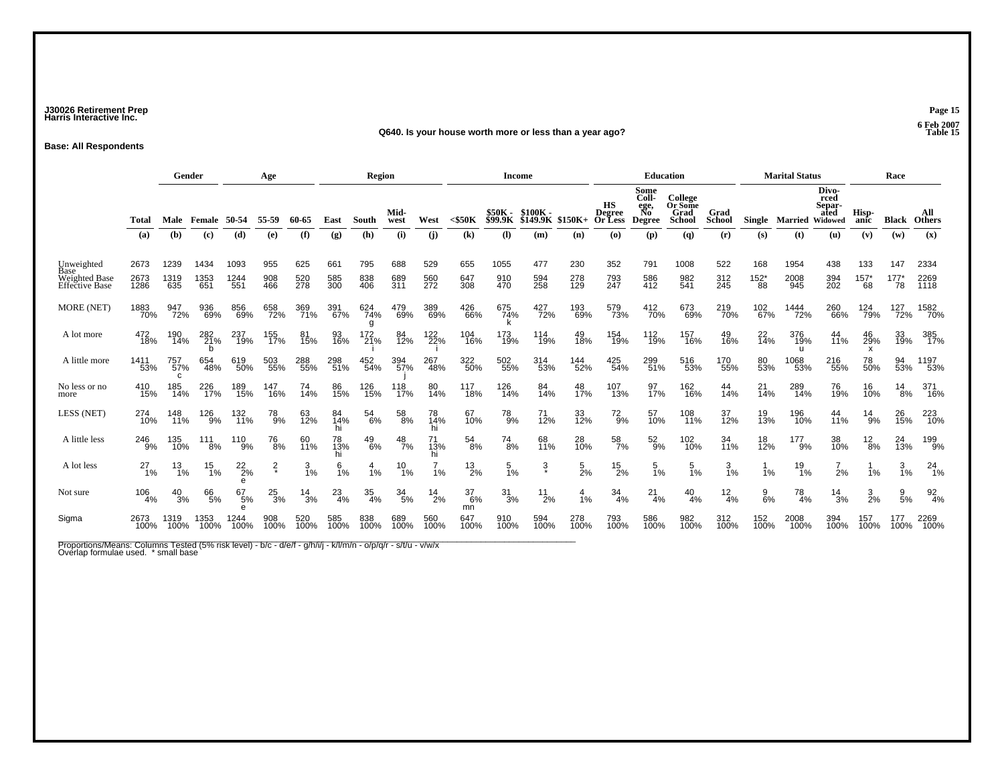### **J30026 Retirement Prep Page 15 Harris Interactive Inc.**

#### **Q640. Is your house worth more or less than a year ago?**

**Base: All Respondents**

|                                                       |                      | Gender<br>Age       |                     |                     |                   |                   | <b>Region</b>               |                   |                   |                   | Income                     |                           |                             |                   | <b>Education</b>                         |                                              |                                             |                   | <b>Marital Status</b>       |                     |                                            | Race              |                   |                      |
|-------------------------------------------------------|----------------------|---------------------|---------------------|---------------------|-------------------|-------------------|-----------------------------|-------------------|-------------------|-------------------|----------------------------|---------------------------|-----------------------------|-------------------|------------------------------------------|----------------------------------------------|---------------------------------------------|-------------------|-----------------------------|---------------------|--------------------------------------------|-------------------|-------------------|----------------------|
|                                                       | Total                | Male                | Female              | 50-54               | 55-59             | 60-65             | East                        | South             | Mid-<br>west      | West              | $<$ \$50 $K$               | \$50K -<br><b>\$99.9K</b> | \$100K -<br><b>\$149.9K</b> | $$150K+$          | <b>HS</b><br><b>Degree</b><br>Or Less    | Some<br>Coll-<br>ege,<br>No<br><b>Degree</b> | College<br>Or Some<br>Grad<br><b>School</b> | Grad<br>School    | Single                      | Married             | Divo-<br>rced<br>Separ-<br>ated<br>Widowed | Hisp-<br>anic     | Black             | All<br>Others        |
|                                                       | (a)                  | (b)                 | (c)                 | (d)                 | (e)               | (f)               | $\left( \mathbf{g} \right)$ | (h)               | (i)               | (i)               | $\left( \mathbf{k}\right)$ | $\mathbf{I}$              | (m)                         | (n)               | $\boldsymbol{\left( \mathbf{0}\right) }$ | (p)                                          | $\left( q\right)$                           | (r)               | (s)                         | (t)                 | (u)                                        | (v)               | (w)               | (x)                  |
| Unweighted<br>Base<br>Weighted Base<br>Effective Base | 2673<br>2673<br>1286 | 1239<br>1319<br>635 | 1434<br>1353<br>651 | 1093<br>1244<br>551 | 955<br>908<br>466 | 625<br>520<br>278 | 661<br>585<br>300           | 795<br>838<br>406 | 688<br>689<br>311 | 529<br>560<br>272 | 655<br>647<br>308          | 1055<br>910<br>470        | 477<br>594<br>258           | 230<br>278<br>129 | 352<br>793<br>247                        | 791<br>586<br>412                            | 1008<br>982<br>541                          | 522<br>312<br>245 | 168<br>$^{152^{\ast}}_{88}$ | 1954<br>2008<br>945 | 438<br>394<br>202                          | 133<br>157'<br>68 | 147<br>177'<br>78 | 2334<br>2269<br>1118 |
| MORE (NET)                                            | 1883<br>70%          | 947<br>72%          | 936<br>69%          | 856<br>69%          | 658<br>72%        | 369<br>71%        | 391<br>67%                  | 624<br>74%<br>g   | 479<br>69%        | 389<br>69%        | 426<br>66%                 | 675<br>74%                | 427<br>72%                  | 193<br>69%        | 579<br>73%                               | 412<br>70%                                   | 673<br>69%                                  | 219<br>70%        | 102<br>67%                  | 1444<br>72%         | 260<br>66%                                 | 124<br>79%        | 127<br>72%        | 1582<br>70%          |
| A lot more                                            | 472<br>18%           | 190<br>14%          | 282<br>21%          | 237<br>19%          | 155<br>17%        | 81<br>15%         | 93<br>16%                   | 172<br>21%        | 84<br>12%         | 122<br>22%        | 104<br>16%                 | 173<br>19%                | 114<br>19%                  | 49<br>18%         | 154<br>19%                               | 112<br>19%                                   | 157<br>16%                                  | 49<br>16%         | 22<br>14%                   | 376<br>19%<br>u     | 44<br>11%                                  | 46<br>29%<br>X    | 33<br>19%         | 385<br>17%           |
| A little more                                         | 1411<br>53%          | 757<br>57%<br>c     | 654<br>48%          | 619<br>50%          | 503<br>55%        | 288<br>55%        | 298<br>51%                  | 452<br>54%        | 394<br>57%        | 267<br>48%        | 322<br>50%                 | 502<br>55%                | 314<br>53%                  | 144<br>52%        | 425<br>54%                               | 299<br>51%                                   | 516<br>53%                                  | 170<br>55%        | 80<br>53%                   | 1068<br>53%         | 216<br>55%                                 | 78<br>50%         | 94<br>53%         | 1197<br>53%          |
| No less or no<br>more                                 | 410<br>15%           | 185<br>14%          | 226<br>17%          | 189<br>15%          | 147<br>16%        | 74<br>14%         | 86<br>15%                   | 126<br>15%        | 118<br>17%        | 80<br>14%         | 117<br>18%                 | 126<br>14%                | 84<br>14%                   | 48<br>17%         | 107<br>13%                               | 97<br>17%                                    | 162<br>16%                                  | 44<br>14%         | $^{21}_{14\%}$              | 289<br>14%          | 76<br>19%                                  | 16<br>10%         | $^{14}_{8\%}$     | 371<br>16%           |
| LESS (NET)                                            | 274<br>10%           | 148<br>11%          | 126<br>9%           | 132<br>11%          | 78<br>9%          | 63<br>12%         | 84<br>14%                   | $^{54}_{6\%}$     | $^{58}_{\ 8\%}$   | 78<br>14%         | 67<br>10%                  | $^{78}_{9%}$              | 71<br>12%                   | 33<br>12%         | $^{72}_{9%}$                             | 57<br>10%                                    | 108<br>11%                                  | 37<br>12%         | 19<br>13%                   | 196<br>10%          | 44<br>11%                                  | $^{14}_{9\%}$     | 26<br>15%         | 223<br>10%           |
| A little less                                         | 246<br>9%            | 135<br>10%          | $^{111}_{8\%}$      | 110<br>9%           | <sup>76</sup> 8%  | 60<br>11%         | 78<br>13%                   | $^{49}_{6\%}$     | $^{48}_{7\%}$     | 71<br>13%         | 54<br>8%                   | $^{74}_{8\%}$             | 68<br>11%                   | 28<br>10%         | 58<br>7%                                 | $^{52}_{9\%}$                                | 102<br>10%                                  | 34<br>11%         | 18<br>12%                   | 177<br>9%           | 38<br>10%                                  | $^{12}_{8\%}$     | 24<br>13%         | 199<br>9%            |
| A lot less                                            | $^{27}_{1%}$         | $^{13}_{1\%}$       | $^{15}_{1\%}$       | $^{22}_{2\%}$<br>e  | $\frac{2}{\ast}$  | $\frac{3}{1\%}$   | $\frac{6}{1\%}$             | 1%                | $^{10}_{1\%}$     | 1%                | $^{13}_{2\%}$              | $\frac{5}{1\%}$           | $\frac{3}{4}$               | $\frac{5}{2}$ %   | $^{15}_{2\%}$                            | $\frac{5}{1\%}$                              | $\frac{5}{1%}$                              | $\frac{3}{1\%}$   | 1%                          | $^{19}_{1\%}$       | 2%                                         | 1%                | $\frac{3}{1\%}$   | $^{24}_{1\%}$        |
| Not sure                                              | 106<br>4%            | $^{40}_{3\%}$       | 66<br>5%            | 67<br>5%            | $^{25}_{3\%}$     | $\frac{14}{3%}$   | 23<br>4%                    | $\frac{35}{4\%}$  | $\frac{34}{5\%}$  | $\frac{14}{2%}$   | 37<br>6%<br>mn             | $\frac{31}{3%}$           | $^{11}_{2\%}$               | 4<br>1%           | 34<br>4%                                 | $^{21}_{4\%}$                                | $^{40}_{4\%}$                               | $\frac{12}{4%}$   | $\frac{9}{6\%}$             | 78<br>4%            | 14<br>3%                                   | $\frac{3}{2\%}$   | $\frac{9}{5%}$    | $\frac{92}{4\%}$     |
| Sigma                                                 | 2673<br>100%         | 1319<br>100%        | 1353<br>100%        | 1244<br>100%        | 908<br>100%       | 520<br>100%       | 585<br>100%                 | 838<br>100%       | 689<br>100%       | 560<br>100%       | 647<br>100%                | 910<br>100%               | 594<br>100%                 | 278<br>100%       | 793<br>100%                              | 586<br>100%                                  | 982<br>100%                                 | 312<br>100%       | 152<br>100%                 | 2008<br>100%        | 394<br>100%                                | 157<br>100%       | 177<br>100%       | 2269<br>100%         |

Proportions/Means: Columns Tested (5% risk level) - b/c - d/e/f - g/h/i/j - k/l/m/n - o/p/q/r - s/t/u - v/w/x<br>Overlap formulae used. \* small base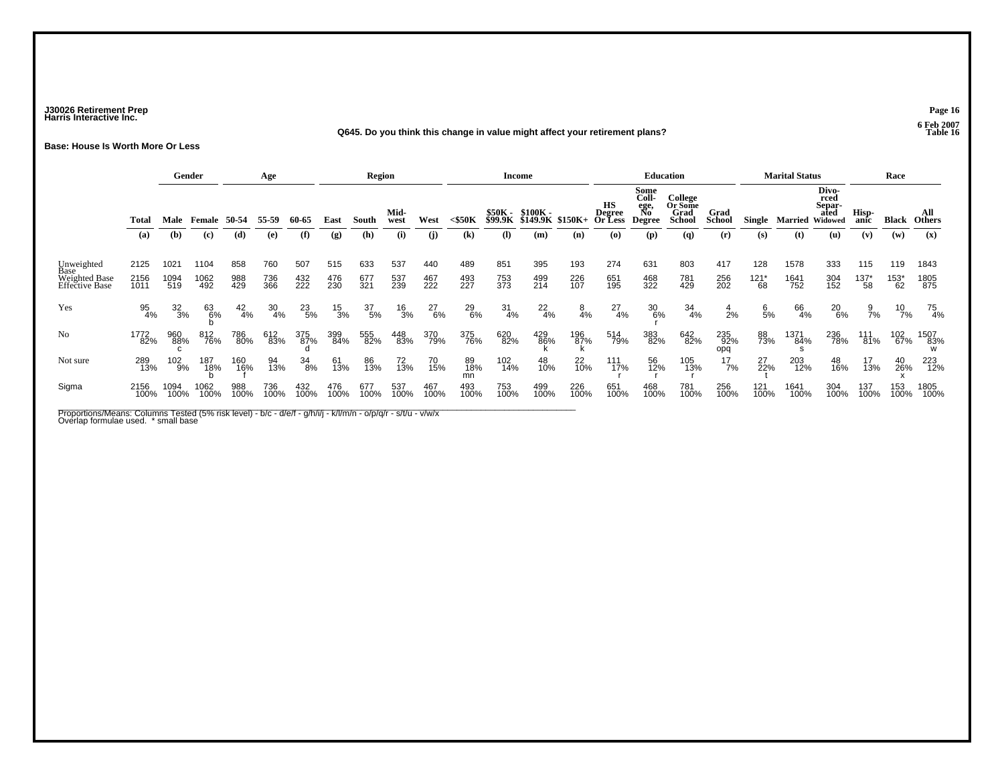### **J30026 Retirement Prep Page 16 Harris Interactive Inc.**

#### **Q645. Do you think this change in value might affect your retirement plans?**

**Base: House Is Worth More Or Less**

|                                                       |                      |                     | Gender              |                   | Age               |                   |                   | <b>Region</b>     |                   |                   |                   |                    | <b>Income</b>                |                |                                        |                                              | <b>Education</b>                            |                       |                        | <b>Marital Status</b> |                                            |                        | Race                        |                      |
|-------------------------------------------------------|----------------------|---------------------|---------------------|-------------------|-------------------|-------------------|-------------------|-------------------|-------------------|-------------------|-------------------|--------------------|------------------------------|----------------|----------------------------------------|----------------------------------------------|---------------------------------------------|-----------------------|------------------------|-----------------------|--------------------------------------------|------------------------|-----------------------------|----------------------|
|                                                       | Total                | Male                | Female              | 50-54             | 55-59             | 60-65             | East              | South             | Mid-<br>west      | West              | <\$50K            | \$50K -<br>\$99.9K | \$100K -<br>\$149.9K \$150K+ |                | <b>HS</b><br><b>Degree<br/>Or Less</b> | Some<br>Coll-<br>ege,<br>No<br><b>Degree</b> | College<br>Or Some<br>Grad<br><b>School</b> | Grad<br><b>School</b> | Single                 | Married               | Divo-<br>rced<br>Separ-<br>ated<br>Widowed | Hisp-<br>anic          | <b>Black</b>                | All<br><b>Others</b> |
|                                                       | (a)                  | (b)                 | (c)                 | (d)               | (e)               | (f)               | (g)               | (h)               | (i)               | (i)               | $\mathbf{(k)}$    | (I)                | (m)                          | (n)            | (O)                                    | (p)                                          | (q)                                         | (r)                   | (s)                    | (t)                   | (u)                                        | (v)                    | (w)                         | (x)                  |
| Unweighted<br>Base<br>Weighted Base<br>Effective Base | 2125<br>2156<br>1011 | 1021<br>1094<br>519 | 1104<br>1062<br>492 | 858<br>988<br>429 | 760<br>736<br>366 | 507<br>432<br>222 | 515<br>476<br>230 | 633<br>677<br>321 | 537<br>537<br>239 | 440<br>467<br>222 | 489<br>493<br>227 | 851<br>753<br>373  | 395<br>499<br>214            | 193<br>226     | 274<br>651<br>195                      | 631<br>468<br>322                            | 803<br>781<br>429                           | 417<br>256<br>202     | 128<br>$^{121^*}_{68}$ | 1578<br>1641<br>752   | 333<br>304<br>152                          | 115<br>$^{137^*}_{58}$ | 119<br>$^{153^{\ast}}_{62}$ | 1843<br>1805<br>875  |
| Yes                                                   | 95<br>4%             | $\frac{32}{3%}$     | 63<br>6%            | $^{42}_{4\%}$     | $\frac{30}{4\%}$  | 23<br>5%          | $\frac{15}{3%}$   | $\frac{37}{5\%}$  | $^{16}_{3\%}$     | $^{27}_{6\%}$     | 29<br>6%          | $\frac{31}{4\%}$   | $^{22}_{4\%}$                | $\frac{8}{4%}$ | $^{27}_{4\%}$                          | 30<br>6%                                     | 34<br>4%                                    | $\frac{4}{2\%}$       | 6/5%                   | 66<br>4%              | 20<br>6%                                   | $\frac{9}{7\%}$        | $^{10}_{7\%}$               | 75<br>4%             |
| No                                                    | 1772<br>82%          | 960<br>88%          | 812<br>76%          | 786<br>80%        | 612<br>83%        | 375<br>87%        | 399<br>84%        | 555<br>82%        | 448<br>83%        | 370<br>79%        | 375<br>76%        | 620<br>82%         | 429<br>86%                   | 196<br>87%     | 514<br>79%                             | 383<br>82%                                   | 642<br>82%                                  | 235<br>92%<br>opq     | 88<br>73%              | 1371<br>84%           | 236<br>78%                                 | 111<br>81%             | 102<br>67%                  | 1507<br>83%          |
| Not sure                                              | 289<br>13%           | 102<br>9%           | 187<br>18%          | 160<br>16%        | 94<br>13%         | 34<br>8%          | 61<br>13%         | 86<br>13%         | 72<br>13%         | 70<br>15%         | 89<br>18%<br>mn   | 102<br>14%         | 48<br>10%                    | 22<br>10%      | 111<br>17%                             | 56<br>12%                                    | 105<br>13%                                  | 17<br>7%              | 27<br>22%              | 203<br>12%            | 48<br>16%                                  | 17<br>13%              | 40<br>26%                   | 223<br>12%           |
| Sigma                                                 | 2156<br>100%         | 1094<br>100%        | 1062<br>100%        | 988<br>100%       | 736<br>100%       | 432<br>100%       | 476<br>100%       | 677<br>100%       | 537<br>100%       | 467<br>100%       | 493<br>100%       | 753<br>100%        | 499<br>100%                  | 226<br>100%    | 651<br>100%                            | 468<br>100%                                  | 781<br>100%                                 | 256<br>100%           | 121<br>100%            | 1641<br>100%          | 304<br>100%                                | 137<br>100%            | 153<br>100%                 | 1805<br>100%         |

Proportions/Means: Columns Tested (5% risk level) - b/c - d/e/f - g/h/i/j - k//m/n - o/p/q/r - s/t/u - v/w/x<br>Overlap formulae used. \* small base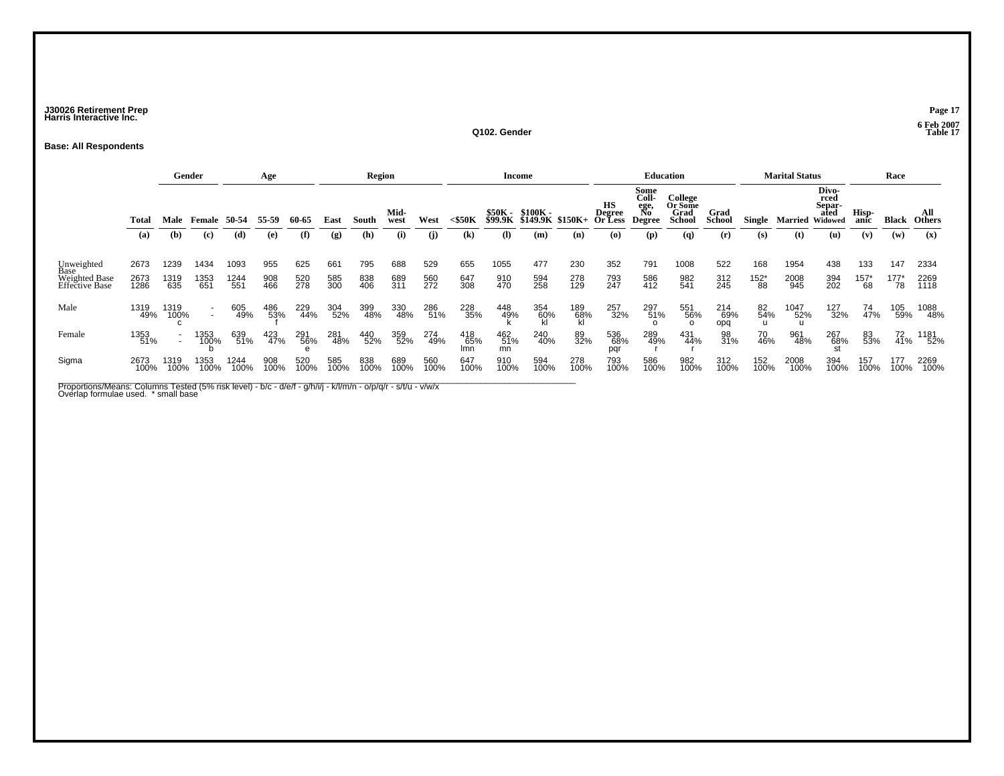### **J30026 Retirement Prep Page 17 Harris Interactive Inc.**

**Q102. Gender**

### **Base: All Respondents**

|                                                       |                      |                     | Gender                                               |                     | Age               |                   |                   | <b>Region</b>     |                   |                   |                   |                            | Income                                       |                   |                                 |                                              | <b>Education</b>                     |                       |                             | <b>Marital Status</b> |                                                           |                        | Race                   |                      |
|-------------------------------------------------------|----------------------|---------------------|------------------------------------------------------|---------------------|-------------------|-------------------|-------------------|-------------------|-------------------|-------------------|-------------------|----------------------------|----------------------------------------------|-------------------|---------------------------------|----------------------------------------------|--------------------------------------|-----------------------|-----------------------------|-----------------------|-----------------------------------------------------------|------------------------|------------------------|----------------------|
|                                                       | Total                | Male                | Female                                               | 50-54               | 55-59             | 60-65             | East              | South             | Mid-<br>west      | West              | $<$ \$50K         |                            | \$50K - \$100K -<br>\$99.9K \$149.9K \$150K+ |                   | нs<br><b>Degree<br/>Or Less</b> | Some<br>Coll-<br>ege,<br>No<br><b>Degree</b> | College<br>Or Some<br>Grad<br>School | Grad<br><b>School</b> | Single                      |                       | Divo-<br>rced<br>Separ-<br>ated<br><b>Married Widowed</b> | Hisp-<br>anic          | <b>Black</b>           | All<br><b>Others</b> |
|                                                       | (a)                  | (b)                 | (c)                                                  | (d)                 | (e)               | (f)               | (g)               | (h)               | (i)               | (i)               | $\mathbf{(k)}$    | $\left( \mathbf{l}\right)$ | (m)                                          | (n)               | $\boldsymbol{\omega}$           | (p)                                          | (q)                                  | (r)                   | (S)                         | (t)                   | (u)                                                       | (v)                    | (w)                    | $(\mathbf{x})$       |
| Unweighted<br>Base<br>Weighted Base<br>Effective Base | 2673<br>2673<br>1286 | 1239<br>1319<br>635 | 1434<br>1353<br>651                                  | 1093<br>1244<br>551 | 955<br>908<br>466 | 625<br>520<br>278 | 661<br>585<br>300 | 795<br>838<br>406 | 688<br>689<br>311 | 529<br>560<br>272 | 655<br>647<br>308 | 1055<br>910<br>470         | 477<br>594<br>258                            | 230<br>278<br>129 | 352<br>793<br>247               | 791<br>586<br>412                            | 1008<br>982<br>541                   | 522<br>312<br>245     | 168<br>$^{152^{\ast}}_{88}$ | 1954<br>2008<br>945   | 438<br>394<br>202                                         | 133<br>$^{157^*}_{68}$ | 147<br>$^{177^*}_{78}$ | 2334<br>2269<br>1118 |
| Male                                                  | 1319<br>49%          | 1319<br>100%        | $\overline{\phantom{a}}$<br>$\overline{\phantom{a}}$ | 605<br>49%          | 486<br>53%        | 229<br>44%        | 304<br>52%        | 399<br>48%        | 330<br>48%        | 286<br>51%        | 228<br>35%        | 448<br>49%                 | 354<br>60%                                   | 189<br>68%        | 257<br>32%                      | 297<br>51%                                   | 551<br>56%<br>$\Omega$               | 214<br>69%<br>opq     | 82<br>54%                   | 1047<br>52%           | 127<br>32%                                                | 74<br>47%              | 105<br>59%             | 1088<br>48%          |
| Female                                                | 1353<br>51%          |                     | 1353<br>100%                                         | 639<br>51%          | 423<br>47%        | 291<br>56%        | 281<br>48%        | 440<br>52%        | 359<br>52%        | 274<br>49%        | 418<br>65%<br>Imn | 462<br>51%<br>mn           | 240<br>40%                                   | 89<br>32%         | 536<br>68%<br>pqr               | 289<br>49%                                   | 431<br>44%                           | 98<br>31%             | 70<br>46%                   | 961<br>48%            | 267<br>68%                                                | 83<br>53%              | $^{72}_{41\%}$         | 1181<br>52%          |
| Sigma                                                 | 2673<br>100%         | 1319<br>100%        | 1353<br>100%                                         | 1244<br>100%        | 908<br>100%       | 520<br>100%       | 585<br>100%       | 838<br>100%       | 689<br>100%       | 560<br>100%       | 647<br>100%       | 910<br>100%                | 594<br>100%                                  | 278<br>100%       | 793<br>100%                     | 586<br>100%                                  | 982<br>100%                          | 312<br>100%           | 152<br>100%                 | 2008<br>100%          | 394<br>100%                                               | 157<br>100%            | 177<br>100%            | 2269<br>100%         |

Proportions/Means: Columns Tested (5% risk level) - b/c - d/e/f - g/h/i/j - k/l/m/n - o/p/q/r - s/t/u - v/w/x<br>Overlap formulae used. \* small base

 **6 Feb 2007 Table 17**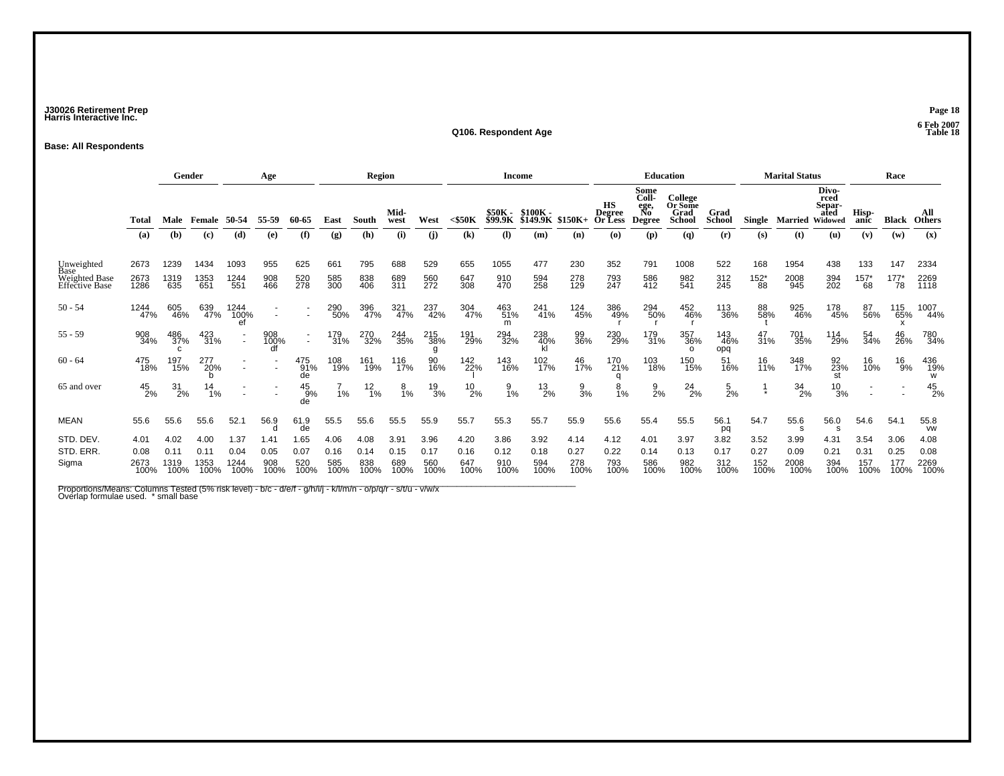### **J30026 Retirement Prep Page 18 Harris Interactive Inc.**

#### **Q106. Respondent Age**

### **Base: All Respondents**

|                                                       |                              | Gender<br>Age                |                              |                              |                             |                                    | Region                      |                             |                             |                             | Income                      |                                  |                                     |                             | <b>Education</b>                                               |                                                     |                                                                  |                              | <b>Marital Status</b>       |                              |                                                   | Race                        |                             |                              |
|-------------------------------------------------------|------------------------------|------------------------------|------------------------------|------------------------------|-----------------------------|------------------------------------|-----------------------------|-----------------------------|-----------------------------|-----------------------------|-----------------------------|----------------------------------|-------------------------------------|-----------------------------|----------------------------------------------------------------|-----------------------------------------------------|------------------------------------------------------------------|------------------------------|-----------------------------|------------------------------|---------------------------------------------------|-----------------------------|-----------------------------|------------------------------|
|                                                       | Total<br>(a)                 | Male<br>(b)                  | Female<br>(c)                | 50-54<br>(d)                 | 55-59<br>(e)                | 60-65<br>(f)                       | East<br>(g)                 | South<br>(h)                | Mid-<br>west<br>(i)         | West<br>(i)                 | $<$ \$50 $K$<br>(k)         | \$50K -<br><b>\$99.9K</b><br>(1) | $$100K -$<br><b>\$149.9K</b><br>(m) | $$150K+$<br>(n)             | <b>HS</b><br><b>Degree</b><br>Or Less<br>$\boldsymbol{\omega}$ | Some<br>Coll-<br>ege,<br>No<br><b>Degree</b><br>(p) | College<br>Or Some<br>Grad<br><b>School</b><br>$\left( q\right)$ | Grad<br><b>School</b><br>(r) | <b>Single</b><br>(s)        | Married<br>(t)               | Divo-<br>rced<br>Separ-<br>ated<br>Widowed<br>(u) | Hisp-<br>anic<br>(v)        | <b>Black</b><br>(w)         | All<br><b>Others</b><br>(x)  |
| Unweighted<br>Base<br>Weighted Base<br>Effective Base | 2673<br>2673<br>1286         | 1239<br>1319<br>635          | 1434<br>1353<br>651          | 1093<br>1244<br>551          | 955<br>908<br>466           | 625<br>520<br>278                  | 661<br>585<br>300           | 795<br>838<br>406           | 688<br>689<br>311           | 529<br>560<br>272           | 655<br>647<br>308           | 1055<br>910<br>470               | 477<br>594<br>258                   | 230<br>278<br>129           | 352<br>793<br>247                                              | 791<br>586<br>412                                   | 1008<br>982<br>541                                               | 522<br>312<br>245            | 168<br>$^{152^{\ast}}_{88}$ | 1954<br>2008<br>945          | 438<br>394<br>202                                 | 133<br>157'<br>68           | 147<br>177'<br>78           | 2334<br>2269<br>1118         |
| $50 - 54$                                             | 1244<br>47%                  | 605<br>46%                   | 639<br>47%                   | 1244<br>100%                 |                             |                                    | 290<br>50%                  | 396<br>47%                  | 321<br>47%                  | 237<br>42%                  | 304<br>47%                  | 463<br>51%<br>m                  | 241<br>41%                          | 124<br>45%                  | 386<br>49%                                                     | 294<br>50%                                          | 452<br>46%                                                       | 113<br>36%                   | 88<br>58%                   | 925<br>46%                   | 178<br>45%                                        | 87<br>56%                   | 115<br>65%                  | 1007<br>44%                  |
| $55 - 59$                                             | 908<br>34%                   | 486<br>37%<br>$\mathbf{C}$   | 423<br>31%                   |                              | 908<br>100%<br>U            | $\overline{\phantom{a}}$<br>$\sim$ | 179<br>31%                  | 270<br>32%                  | 244<br>35%                  | 215<br>38%<br>g             | 191<br>29%                  | 294<br>32%                       | 238<br>40%<br>kl                    | 99<br>36%                   | 230<br>29%                                                     | 179<br>31%                                          | 357<br>36%<br>$\circ$                                            | 143<br>46%<br>opq            | 47<br>31%                   | 701<br>35%                   | 114<br>29%                                        | 54<br>34%                   | 46<br>26%                   | 780<br>34%                   |
| $60 - 64$                                             | 475<br>18%                   | 197<br>15%                   | 277<br>20%                   |                              |                             | 475<br>91%<br>de                   | 108<br>19%                  | 161<br>19%                  | 116<br>17%                  | 90<br>16%                   | 142<br>22%                  | 143<br>16%                       | 102<br>17%                          | 46<br>17%                   | 170<br>21%<br>n                                                | 103<br>18%                                          | 150<br>15%                                                       | 51<br>16%                    | 16<br>11%                   | 348<br>17%                   | 92<br>23%<br>st                                   | 16<br>10%                   | 16<br>9%                    | 436<br>19%<br>W              |
| 65 and over                                           | $^{45}_{2\%}$                | $^{31}_{2\%}$                | 14<br>1%                     |                              |                             | $^{45}_{.9\%}$<br>de               | 1%                          | $\frac{12}{1%}$             | 8<br>1%                     | $\frac{19}{3%}$             | $^{10}_{2\%}$               | $\frac{9}{1\%}$                  | $^{13}_{2\%}$                       | $\frac{9}{3%}$              | 8<br>1%                                                        | $\frac{9}{2}$ %                                     | $^{24}_{2\%}$                                                    | $\frac{5}{2}$ %              |                             | 34<br>2%                     | $^{10}_{3\%}$                                     |                             |                             | $^{45}_{2\%}$                |
| <b>MEAN</b>                                           | 55.6                         | 55.6                         | 55.6                         | 52.1                         | 56.9<br>d                   | 61.9<br>de                         | 55.5                        | 55.6                        | 55.5                        | 55.9                        | 55.7                        | 55.3                             | 55.7                                | 55.9                        | 55.6                                                           | 55.4                                                | 55.5                                                             | 56.1<br>pq                   | 54.7                        | 55.6<br>s                    | 56.0<br><b>S</b>                                  | 54.6                        | 54.1                        | 55.8<br><b>VW</b>            |
| STD. DEV.<br>STD. ERR.<br>Sigma                       | 4.01<br>0.08<br>2673<br>100% | 4.02<br>0.11<br>1319<br>100% | 4.00<br>0.11<br>1353<br>100% | 1.37<br>0.04<br>1244<br>100% | 1.41<br>0.05<br>908<br>100% | 1.65<br>0.07<br>520<br>100%        | 4.06<br>0.16<br>585<br>100% | 4.08<br>0.14<br>838<br>100% | 3.91<br>0.15<br>689<br>100% | 3.96<br>0.17<br>560<br>100% | 4.20<br>0.16<br>647<br>100% | 3.86<br>0.12<br>910<br>100%      | 3.92<br>0.18<br>594<br>100%         | 4.14<br>0.27<br>278<br>100% | 4.12<br>0.22<br>793<br>100%                                    | 4.01<br>0.14<br>586<br>100%                         | 3.97<br>0.13<br>982<br>100%                                      | 3.82<br>0.17<br>312<br>100%  | 3.52<br>0.27<br>152<br>100% | 3.99<br>0.09<br>2008<br>100% | 4.31<br>0.21<br>394<br>100%                       | 3.54<br>0.31<br>157<br>100% | 3.06<br>0.25<br>177<br>100% | 4.08<br>0.08<br>2269<br>100% |

Proportions/Means: Columns Tested (5% risk level) - b/c - d/e/f - g/h/i/j - k/l/m/n - o/p/q/r - s/t/u - v/w/x<br>Overlap formulae used. \* small base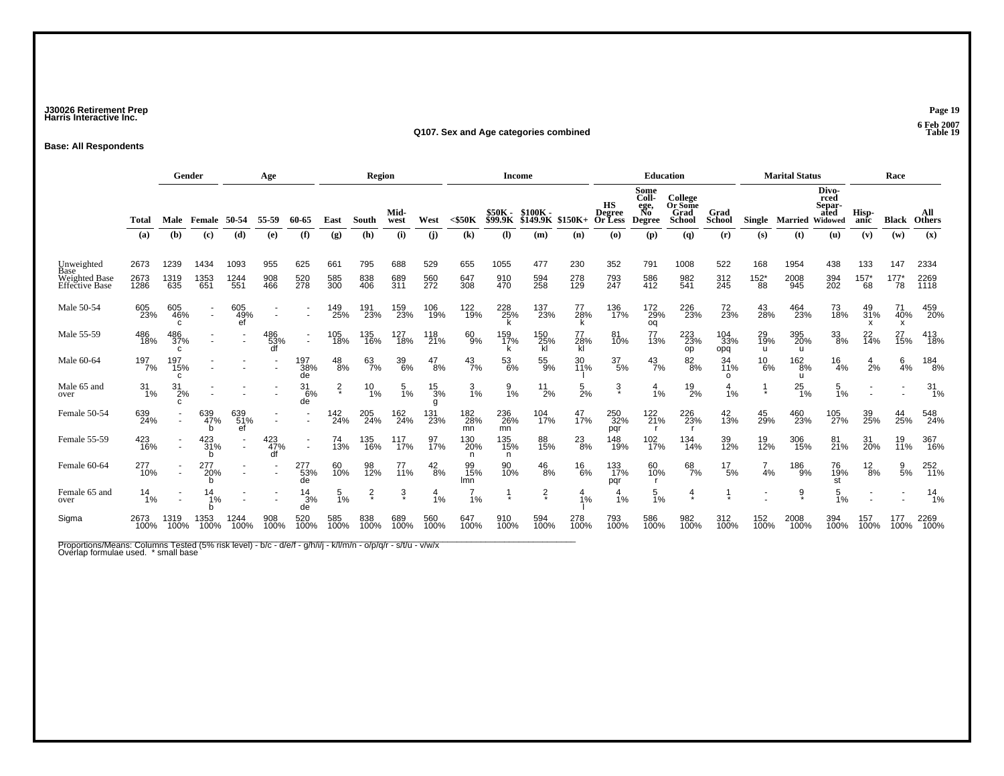### **J30026 Retirement Prep Page 19 Harris Interactive Inc.**

#### **Q107. Sex and Age categories combined Table 19**

**Base: All Respondents**

|                                                       |                      | Gender<br>Age                 |                      |                     |                   |                          | Region            |                   |                   |                      | <b>Income</b>              |                            |                     |                   | Education                                |                                              |                                             |                       | <b>Marital Status</b>       |                     |                                            | Race                          |                           |                      |
|-------------------------------------------------------|----------------------|-------------------------------|----------------------|---------------------|-------------------|--------------------------|-------------------|-------------------|-------------------|----------------------|----------------------------|----------------------------|---------------------|-------------------|------------------------------------------|----------------------------------------------|---------------------------------------------|-----------------------|-----------------------------|---------------------|--------------------------------------------|-------------------------------|---------------------------|----------------------|
|                                                       | Total                | Male                          | Female               | 50-54               | 55-59             | 60-65                    | East              | South             | Mid-<br>west      | West                 | $<$ \$50 $K$               | \$50K -<br>\$99.9K         | \$100K-<br>\$149.9K | $$150K+$          | НS<br>Degree<br><b>Or Less</b>           | Some<br>Coll-<br>ege,<br>No<br><b>Degree</b> | College<br>Or Some<br>Grad<br><b>School</b> | Grad<br><b>School</b> | Single                      | <b>Married</b>      | Divo-<br>rced<br>Separ-<br>ated<br>Widowed | Hisp-<br>anic                 | Black                     | All<br><b>Others</b> |
|                                                       | (a)                  | (b)                           | (c)                  | (d)                 | (e)               | (f)                      | (g)               | (h)               | (i)               | (i)                  | $\left( \mathbf{k}\right)$ | $\left( \mathbf{l}\right)$ | (m)                 | (n)               | $\boldsymbol{\left( \mathbf{0} \right)}$ | (p)                                          | (q)                                         | (r)                   | (s)                         | (t)                 | (u)                                        | (v)                           | (w)                       | (x)                  |
| Unweighted<br>Base<br>Weighted Base<br>Effective Base | 2673<br>2673<br>1286 | 1239<br>1319<br>635           | 1434<br>1353<br>651  | 1093<br>1244<br>551 | 955<br>908<br>466 | 625<br>520<br>278        | 661<br>585<br>300 | 795<br>838<br>406 | 688<br>689<br>311 | 529<br>560<br>272    | 655<br>647<br>308          | 1055<br>910<br>470         | 477<br>594<br>258   | 230<br>278<br>129 | 352<br>793<br>247                        | 791<br>586<br>412                            | 1008<br>982<br>541                          | 522<br>312<br>245     | 168<br>$^{152^{\ast}}_{88}$ | 1954<br>2008<br>945 | 438<br>394<br>202                          | 133<br>$^{157^{\ast}}_{68}$   | 147<br>$^{177^\ast}_{78}$ | 2334<br>2269<br>1118 |
| Male 50-54                                            | 605<br>23%           | 605<br>46%<br>C.              | ٠<br>$\sim$          | 605<br>49%<br>ef    |                   | $\overline{\phantom{a}}$ | 149<br>25%        | 191<br>23%        | 159<br>23%        | 106<br>19%           | 122<br>19%                 | 228<br>25%<br>k            | 137<br>23%          | 77<br>28%<br>k    | 136<br>17%                               | 172<br>29%<br>oq                             | 226<br>23%                                  | 72<br>23%             | 43<br>28%                   | 464<br>23%          | 73<br>18%                                  | 49<br>31%<br>$\boldsymbol{x}$ | 71<br>40%<br>X            | 459<br>20%           |
| Male 55-59                                            | 486<br>18%           | 486<br>37%<br>C               | ٠                    |                     | 486<br>53%<br>df  | $\overline{\phantom{a}}$ | 105<br>18%        | 135<br>16%        | 127<br>18%        | 118<br>21%           | 60<br>9%                   | 159<br>17%                 | 150<br>25%<br>kĪ    | 77<br>28%<br>kl   | 81<br>10%                                | 77<br>13%                                    | 223<br>23%<br>op                            | 104<br>33%<br>opq     | 29<br>19%<br>u              | 395<br>20%<br>u     | $33\over 8\%$                              | 22 <sub>0%</sub>              | 27<br>15%                 | 413<br>18%           |
| Male 60-64                                            | 197<br>7%            | 197<br>15%<br>C               | ٠                    |                     |                   | 197<br>38%<br>de         | $^{48}_{8\%}$     | 63<br>7%          | 39<br>6%          | $^{47}_{8\%}$        | $^{43}_{7\%}$              | 53<br>6%                   | 55<br>9%            | 30<br>11%         | $\frac{37}{5\%}$                         | $^{43}_{7\%}$                                | $\frac{82}{8%}$                             | 34<br>11%<br>$\Omega$ | $^{10}_{6\%}$               | 162<br>8%<br>u      | $\frac{16}{4%}$                            | 4<br>2%                       | $6\over 4%$               | 184<br>8%            |
| Male 65 and<br>over                                   | 31<br>1%             | $^{31}_{2\%}$<br>$\mathsf{C}$ |                      |                     |                   | 31<br>6%<br>de           | $\frac{2}{\ast}$  | $^{10}_{1\%}$     | $\frac{5}{1%}$    | $\frac{15}{3%}$<br>g | 3<br>1%                    | $\frac{9}{1%}$             | $^{11}_{2\%}$       | $\frac{5}{2%}$    | $\ddot{3}$                               | 4<br>1%                                      | $^{19}_{2\%}$                               | 4<br>1%               |                             | $^{25}_{1\%}$       | 5<br>1%                                    |                               |                           | 31<br>-1%            |
| Female 50-54                                          | 639<br>24%           |                               | 639<br>47%<br>h      | 639<br>51%<br>ef    |                   |                          | 142<br>24%        | 205<br>24%        | 162<br>24%        | 131<br>23%           | 182<br>28%<br>mn           | 236<br>26%<br>mn           | 104<br>17%          | 47<br>17%         | 250<br>32%<br>pqr                        | 122<br>21%                                   | 226<br>23%                                  | 42<br>13%             | 45<br>29%                   | 460<br>23%          | 105<br>27%                                 | 39<br>25%                     | 44<br>25%                 | 548<br>24%           |
| Female 55-59                                          | 423<br>16%           |                               | $^{423}_{31\%}$<br>h | $\sim$              | 423<br>47%        | $\sim$                   | 74<br>13%         | 135<br>16%        | 117<br>17%        | 97<br>17%            | 130<br>20%                 | 135<br>15%<br>n            | 88<br>15%           | $^{23}_{8\%}$     | 148<br>19%                               | 102<br>17%                                   | 134<br>14%                                  | 39<br>12%             | 19<br>12%                   | 306<br>15%          | 81 <sub>%</sub>                            | 31<br>20%                     | 19<br>11%                 | 367<br>16%           |
| Female 60-64                                          | 277<br>10%           |                               | 277<br>20%           |                     |                   | 277<br>53%<br>de         | 60<br>10%         | 98<br>12%         | 77<br>11%         | $^{42}_{8\%}$        | 99<br>15%<br><b>Imn</b>    | 90<br>10%                  | $^{46}_{8\%}$       | $^{16}_{6\%}$     | 133<br>17%<br>pqr                        | 60<br>10%                                    | 68<br>7%                                    | $^{17}_{\ 5\%}$       | 4%                          | 186<br>9%           | 76<br>19%<br>st                            | $^{12}_{8\%}$                 | $\frac{9}{5\%}$           | 252<br>11%           |
| Female 65 and<br>over                                 | 14<br>1%             |                               | 14<br>1%             |                     |                   | $\frac{14}{3%}$<br>de    | $\frac{5}{1\%}$   | $\frac{2}{x}$     | $\frac{3}{\pi}$   | $\frac{4}{1%}$       | 1%                         |                            | $\frac{2}{x}$       | 4<br>1%           | 1%                                       | 5<br>1%                                      | 4<br>$\star$                                |                       |                             | $\frac{9}{4}$       | 5<br>1%                                    |                               |                           | $\frac{14}{1%}$      |
| Sigma                                                 | 2673<br>100%         | 1319<br>100%                  | 1353<br>100%         | 1244<br>100%        | 908<br>100%       | 520<br>100%              | 585<br>100%       | 838<br>100%       | 689<br>100%       | 560<br>100%          | 647<br>100%                | 910<br>100%                | 594<br>100%         | 278<br>100%       | 793<br>100%                              | 586<br>100%                                  | 982<br>100%                                 | 312<br>100%           | 152<br>100%                 | 2008<br>100%        | 394<br>100%                                | 157<br>100%                   | 177<br>100%               | 2269<br>100%         |

Proportions/Means: Columns Tested (5% risk level) - b/c - d/e/f - g/h/i/j - k/l/m/n - o/p/q/r - s/t/u - v/w/x<br>Overlap formulae used. \* small base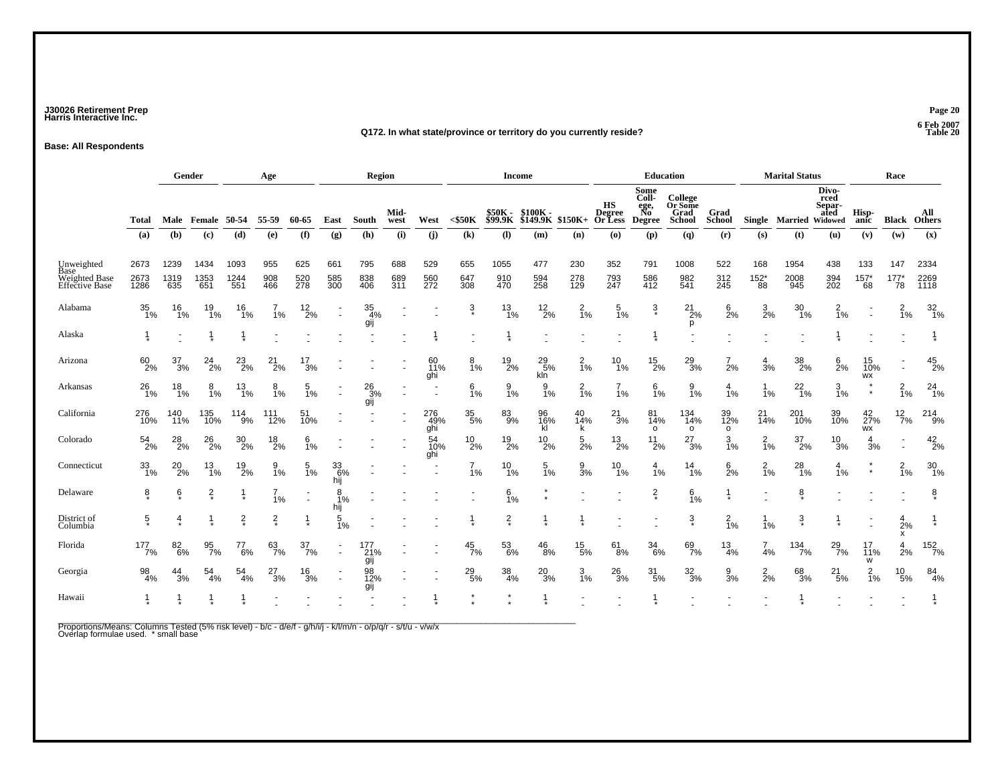### **J30026 Retirement Prep Page 20 Harris Interactive Inc.**

#### **Q172. In what state/province or territory do you currently reside?**

**Base: All Respondents**

|                                                                     |                      | Gender<br>Age       |                     |                     |                   |                        | Region                 |                   |                   |                   |                      | <b>Income</b>      |                                         |                   |                                          | <b>Education</b>                             |                                      |                       | <b>Marital Status</b>       |                        |                                 | Race                   |                          |                      |
|---------------------------------------------------------------------|----------------------|---------------------|---------------------|---------------------|-------------------|------------------------|------------------------|-------------------|-------------------|-------------------|----------------------|--------------------|-----------------------------------------|-------------------|------------------------------------------|----------------------------------------------|--------------------------------------|-----------------------|-----------------------------|------------------------|---------------------------------|------------------------|--------------------------|----------------------|
|                                                                     | Total                | Male                | Female              | 50-54               | 55-59             | 60-65                  | East                   | South             | Mid-<br>west      | West              | $<$ \$50K            | \$50K<br>\$99.9K   | $$100K -$<br>$$I49.9K$ $$150K+$ Or Less |                   | HS<br><b>Degree</b>                      | Some<br>Coll-<br>ege,<br>No<br><b>Degree</b> | College<br>Or Some<br>Grad<br>School | Grad<br><b>School</b> | Single                      | <b>Married Widowed</b> | Divo-<br>rced<br>Separ-<br>ated | Hisp-<br>anic          | Black                    | All<br><b>Others</b> |
|                                                                     | (a)                  | (b)                 | (c)                 | (d)                 | (e)               | (f)                    | (g)                    | (h)               | (i)               | (i)               | (k)                  | (1)                | (m)                                     | (n)               | $\boldsymbol{\left( \mathbf{0} \right)}$ | (p)                                          | (q)                                  | (r)                   | (s)                         | (t)                    | (u)                             | (v)                    | (w)                      | (x)                  |
| Unweighted<br>Base<br><b>Weighted Base</b><br><b>Effective Base</b> | 2673<br>2673<br>1286 | 1239<br>1319<br>635 | 1434<br>1353<br>651 | 1093<br>1244<br>551 | 955<br>908<br>466 | 625<br>520<br>278      | 661<br>585<br>300      | 795<br>838<br>406 | 688<br>689<br>311 | 529<br>560<br>272 | 655<br>647<br>308    | 1055<br>910<br>470 | 477<br>594<br>258                       | 230<br>278<br>129 | 352<br>793<br>247                        | 791<br>586<br>412                            | 1008<br>982<br>541                   | 522<br>312<br>245     | 168<br>$^{152^{\ast}}_{88}$ | 1954<br>2008<br>945    | 438<br>394<br>202               | 133<br>$^{157^*}_{68}$ | 147<br>$^{177^*}_{78}$   | 2334<br>2269<br>1118 |
| Alabama                                                             | 35<br>1%             | 16<br>1%            | 19<br>1%            | 16<br>1%            | 1%                | 12<br>$\overline{2}\%$ | $\sim$                 | 35<br>4%<br>gij   |                   |                   | $\frac{3}{4}$        | $\frac{13}{1\%}$   | $^{12}_{2\%}$                           | $\frac{2}{1%}$    | 5<br>1%                                  | $\frac{3}{\ast}$                             | 21<br>2%<br>р                        | 6<br>2%               | 3<br>2%                     | 30<br>1%               | $\overline{1}\%$                |                        | $\frac{2}{1%}$           | $\frac{32}{1\%}$     |
| Alaska                                                              |                      |                     |                     |                     |                   |                        |                        |                   |                   |                   |                      |                    |                                         |                   |                                          |                                              |                                      |                       |                             |                        |                                 |                        |                          |                      |
| Arizona                                                             | $^{60}_{2\%}$        | 37<br>3%            | $^{24}_{2\%}$       | $^{23}_{2\%}$       | 21<br>2%          | 17<br>3%               |                        |                   |                   | 60<br>11%<br>ghi  | 8<br>1%              | $^{19}_{2\%}$      | 29<br>5%<br>kln                         | $\frac{2}{1%}$    | 10<br>1%                                 | $^{15}_{2\%}$                                | $^{29}_{3\%}$                        | $\overline{7}$<br>2%  | 4<br>3%                     | 38<br>2%               | 6<br>2%                         | 15<br>10%<br>WX        | $\overline{\phantom{a}}$ | $^{45}_{2\%}$        |
| Arkansas                                                            | $^{26}_{1\%}$        | $^{18}_{1\%}$       | 8<br>1%             | $^{13}_{1\%}$       | 8<br>1%           | $\frac{5}{1\%}$        |                        | $^{26}_{3\%}$     |                   |                   | 6<br>1%              | $\frac{9}{1\%}$    | 9<br>1%                                 | $\frac{2}{1%}$    | 1%                                       | $\frac{6}{1%}$                               | 9<br>1%                              | $\frac{4}{1%}$        | 1%                          | $^{22}_{1\%}$          | $\frac{3}{1\%}$                 |                        | $\frac{2}{1%}$           | $^{24}_{1\%}$        |
| California                                                          | 276<br>10%           | 140<br>$11\%$       | 135<br>10%          | $114_{9\%}$         | 111<br>12%        | 51<br>10%              |                        | gij               |                   | 276<br>49%<br>ghi | $\frac{35}{5\%}$     | 83<br>9%           | 96<br>16%<br>kĺ                         | 40<br>14%<br>k    | $^{21}_{3\%}$                            | 81<br>14%<br>$\circ$                         | 134<br>14%<br>$\circ$                | 39<br>12%<br>$\circ$  | $^{21}_{14\%}$              | 201<br>10%             | 39<br>10%                       | $^{42}_{27\%}$<br>WX   | $^{12}_{7\%}$            | 214<br>9%            |
| Colorado                                                            | $^{54}_{2\%}$        | 28 <sub>2%</sub>    | $^{26}_{2\%}$       | $^{30}_{2\%}$       | $^{18}_{2\%}$     | 6<br>1%                |                        |                   |                   | 54<br>10%<br>ghi  | $^{10}_{2\%}$        | $^{19}_{2\%}$      | 10<br>2%                                | 5<br>2%           | $^{13}_{2\%}$                            | $^{11}_{2\%}$                                | $^{27}_{3\%}$                        | 3<br>1%               | $\frac{2}{1%}$              | 37<br>2%               | $^{10}_{3\%}$                   | 4<br>3%                | $\sim$                   | $^{42}_{2\%}$        |
| Connecticut                                                         | $\frac{33}{1\%}$     | $^{20}_{2\%}$       | $^{13}_{1\%}$       | $^{19}_{2\%}$       | $\frac{9}{1\%}$   | $\frac{5}{1%}$         | 336%<br>hij            |                   |                   |                   | $\overline{7}$<br>1% | $^{10}_{1\%}$      | $\frac{5}{1\%}$                         | $\frac{9}{3}$ %   | $^{10}_{1\%}$                            | $\frac{4}{1%}$                               | $14$ <sub>1%</sub>                   | $\frac{6}{2}$ %       | $\frac{2}{1%}$              | $^{28}_{1%}$           | $\frac{4}{1%}$                  | $\star$                | $\frac{2}{1%}$           | $\frac{30}{1\%}$     |
| Delaware                                                            | $\frac{8}{x}$        | ę*                  | $\frac{2}{x}$       |                     | 1%                |                        | 8<br>1%                |                   |                   |                   |                      | 6<br>1%            |                                         |                   |                                          | $\frac{2}{x}$                                | 6<br>1%                              | 1                     |                             | $\frac{8}{x}$          |                                 |                        |                          | $\frac{8}{x}$        |
| District of<br>Columbia                                             | $\overline{5}$       | 4                   |                     | $\frac{2}{x}$       | $\frac{2}{\ast}$  |                        | hij<br>$\frac{5}{1\%}$ |                   |                   |                   |                      | $\frac{2}{\ast}$   |                                         |                   |                                          |                                              | $\ddot{3}$                           | $\frac{2}{1%}$        | 1%                          | $\ddot{3}$             |                                 |                        | $\frac{4}{2%}$<br>x      |                      |
| Florida                                                             | 177<br>7%            | 82<br>6%            | 95<br>7%            | 77<br>6%            | 63<br>7%          | $\frac{37}{7\%}$       | ×.                     | 177<br>21%        |                   |                   | $\frac{45}{7\%}$     | 53<br>6%           | 46<br>8%                                | $^{15}_{5\%}$     | 61<br>8%                                 | $\frac{34}{6\%}$                             | 69<br>7%                             | $\frac{13}{4\%}$      | $\overline{7}$<br>4%        | $134 \atop 7\%$        | $^{29}_{7\%}$                   | 17<br>11%<br>W         | $\frac{4}{2%}$           | 152<br>7%            |
| Georgia                                                             | 98<br>4%             | $\frac{44}{3%}$     | $\frac{54}{4\%}$    | $\frac{54}{4\%}$    | $^{27}_{3\%}$     | $\frac{16}{3%}$        | $\overline{a}$         | gij<br>98<br>12%  |                   |                   | $^{29}_{5\%}$        | $\frac{38}{4\%}$   | $^{20}_{3\%}$                           | $\frac{3}{1\%}$   | $^{26}_{3\%}$                            | $\frac{31}{5\%}$                             | $\frac{32}{3\%}$                     | $\frac{9}{3%}$        | $\frac{2}{2}$ %             | 68<br>3%               | $^{21}_{5\%}$                   | $\frac{2}{1%}$         | $^{10}_{\ 5\%}$          | 84<br>4%             |
| Hawaii                                                              |                      |                     |                     |                     |                   |                        |                        | gij               |                   |                   |                      |                    |                                         |                   |                                          |                                              |                                      |                       |                             |                        |                                 |                        |                          |                      |

Proportions/Means: Columns Tested (5% risk level) - b/c - d/e/f - g/h/i/j - k/l/m/n - o/p/q/r - s/t/u - v/w/x<br>Overlap formulae used. \* small base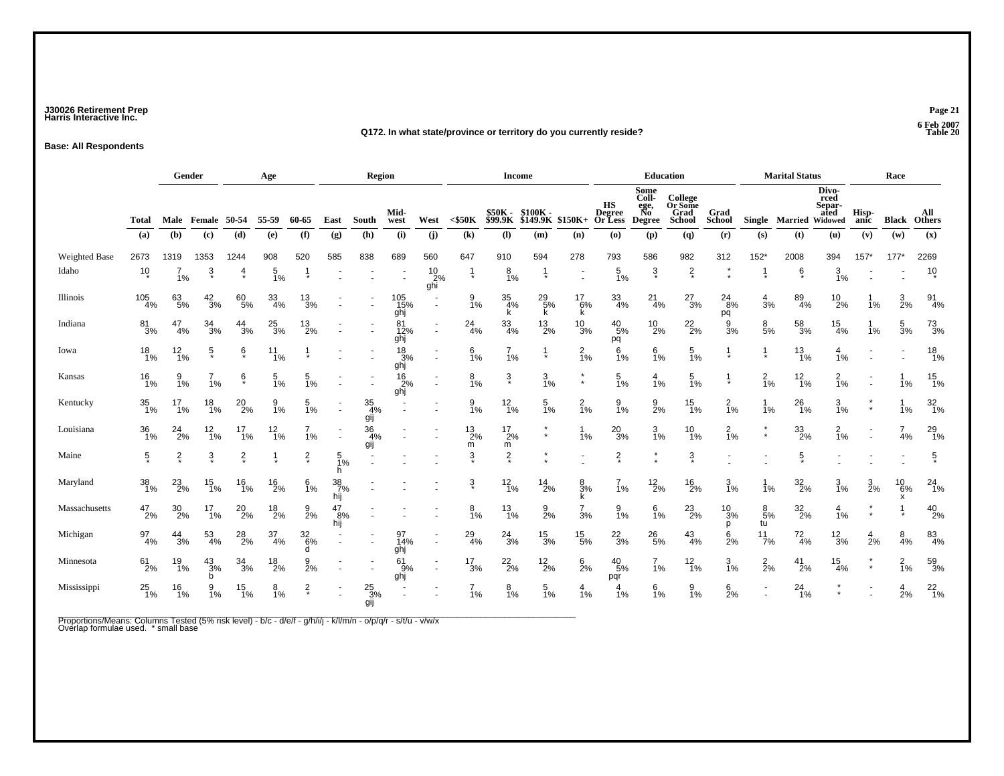### **J30026 Retirement Prep Page 21 Harris Interactive Inc.**

#### **Q172. In what state/province or territory do you currently reside?**

**Base: All Respondents**

|               |                   | Gender<br>Age    |                     |                  |                  |                       |                         | Region                  |                         |                               |                            | Income                     |                                           |                    |                                          |                                              | <b>Education</b>                            |                       |                      | <b>Marital Status</b>  |                                 |                 | Race                 |                      |
|---------------|-------------------|------------------|---------------------|------------------|------------------|-----------------------|-------------------------|-------------------------|-------------------------|-------------------------------|----------------------------|----------------------------|-------------------------------------------|--------------------|------------------------------------------|----------------------------------------------|---------------------------------------------|-----------------------|----------------------|------------------------|---------------------------------|-----------------|----------------------|----------------------|
|               | <b>Total</b>      | Male             | Female              | 50-54            | 55-59            | 60-65                 | East                    | South                   | Mid-<br>west            | West                          | $<$ \$50K                  | <b>\$50K -<br/>\$99.9K</b> | \$100K-<br>$$I\overline{49}$ .9K $$150K+$ |                    | HS<br><b>Degree</b><br><b>Or Less</b>    | Some<br>Coll-<br>ege,<br>No<br><b>Degree</b> | College<br>Or Some<br>Grad<br><b>School</b> | Grad<br><b>School</b> |                      | Single Married Widowed | Divo-<br>rced<br>Separ-<br>ated | Hisp-<br>anic   | <b>Black</b>         | All<br><b>Others</b> |
|               | (a)               | (b)              | (c)                 | (d)              | (e)              | (f)                   | (g)                     | (h)                     | (i)                     | (i)                           | $\left( \mathbf{k}\right)$ | (1)                        | (m)                                       | (n)                | $\boldsymbol{\left( \mathbf{0}\right) }$ | (p)                                          | (q)                                         | (r)                   | (s)                  | (t)                    | (u)                             | (v)             | (w)                  | (x)                  |
| Weighted Base | 2673              | 1319             | 1353                | 1244             | 908              | 520                   | 585                     | 838                     | 689                     | 560                           | 647                        | 910                        | 594                                       | 278                | 793                                      | 586                                          | 982                                         | 312                   | $152*$               | 2008                   | 394                             | $157*$          | $177*$               | 2269                 |
| Idaho         | $10*$             | 1%               | $\ddot{\mathrm{3}}$ | $\frac{4}{\ast}$ | $\frac{5}{1\%}$  |                       |                         |                         |                         | $^{10}_{.2\%}$<br>ghi         | $\frac{1}{\ast}$           | $\frac{8}{1\%}$            |                                           | ÷.                 | $\frac{5}{1\%}$                          | $\frac{3}{\pi}$                              | $\frac{2}{x}$                               |                       |                      | $\frac{6}{\ast}$       | $\frac{3}{1\%}$                 |                 |                      | $10 \choose 2$       |
| Illinois      | $\frac{105}{4\%}$ | 63/5%            | $\frac{42}{3%}$     | 60<br>5%         | $\frac{33}{4\%}$ | $^{13}_{3\%}$         |                         |                         | 105<br>15%<br>ghj       | $\blacksquare$                | $\frac{9}{1%}$             | $\frac{35}{4%}$<br>k       | $^{29}_{5\%}$                             | $^{17}_{6\%}$<br>ĸ | $\frac{33}{4\%}$                         | $^{21}_{4\%}$                                | $^{27}_{3\%}$                               | $^{24}_{8\%}$<br>pq   | $\frac{4}{3%}$       | 89<br>4%               | $^{10}_{2\%}$                   | 1%              | $\frac{3}{2}$ %      | $^{91}_{4\%}$        |
| Indiana       | $\frac{81}{3%}$   | 47<br>4%         | $\frac{34}{3%}$     | $\frac{44}{3%}$  | $^{25}_{3\%}$    | $^{13}_{2\%}$         |                         |                         | 81<br>12%<br>ghj        | ٠<br>$\overline{\phantom{a}}$ | $^{24}_{4\%}$              | 33<br>4%                   | $^{13}_{2\%}$                             | $\frac{10}{3%}$    | $^{40}_{\ 5\%}$<br>pq                    | $^{10}_{2\%}$                                | $^{22}_{2\%}$                               | 9<br>3%               | $\frac{8}{5%}$       | 58<br>3%               | $\frac{15}{4\%}$                | 1%              | $\frac{5}{3%}$       | $^{73}_{3\%}$        |
| Iowa          | $^{18}_{1\%}$     | $12_{1\%}$       | $\frac{5}{\ast}$    | ę*               | $11_{1\%}$       |                       |                         |                         | $\frac{18}{3%}$<br>ghj  | $\overline{a}$                | $6\frac{6}{1%}$            | $\frac{7}{1%}$             |                                           | $\frac{2}{1%}$     | $\frac{6}{1\%}$                          | $\frac{6}{1\%}$                              | $\frac{5}{1\%}$                             | $\mathbf 1$           |                      | $^{13}_{1\%}$          | $\frac{4}{1%}$                  |                 |                      | $^{18}_{1\%}$        |
| Kansas        | $^{16}_{1\%}$     | 1%               | 1%                  | ę*               | $\frac{5}{1\%}$  | $\frac{5}{1\%}$       |                         |                         | $\frac{16}{2\%}$<br>ghj | $\blacksquare$                | $\frac{8}{1%}$             | $\frac{3}{4}$              | $\frac{3}{1\%}$                           | $^\star$           | $\frac{5}{1\%}$                          | 4<br>1%                                      | $\frac{5}{1\%}$                             | $\frac{1}{\ast}$      | $\frac{2}{1%}$       | $12_{1\%}$             | $^{2}_{1\%}$                    |                 | 1%                   | $\frac{15}{1\%}$     |
| Kentucky      | $\frac{35}{1\%}$  | $^{17}_{1\%}$    | $^{18}_{1\%}$       | $^{20}_{2\%}$    | $\frac{9}{1\%}$  | $\frac{5}{1\%}$       |                         | $\frac{35}{4\%}$<br>gij |                         |                               | $\frac{9}{1%}$             | $12_{1\%}$                 | $\frac{5}{1%}$                            | $\frac{2}{1%}$     | $\frac{9}{1\%}$                          | $\frac{9}{2}$ %                              | $^{15}_{1\%}$                               | $\frac{2}{1%}$        | 1%                   | $^{26}_{1\%}$          | $\frac{3}{1\%}$                 | $\star$         | 1%                   | $\frac{32}{1\%}$     |
| Louisiana     | $\frac{36}{1\%}$  | $^{24}_{2\%}$    | $^{12}_{1\%}$       | 17<br>$1\%$      | $\frac{12}{1\%}$ | 1%                    |                         | $\frac{36}{4%}$<br>gij  |                         |                               | $^{13}_{2\%}$<br>m         | $^{17}_{2\%}$<br>m         | $\star$                                   | -1<br>1%           | $^{20}_{3\%}$                            | $\frac{3}{1%}$                               | 10<br>1%                                    | $\frac{2}{1%}$        | $\star$<br>$\star$   | $\frac{33}{2\%}$       | $\frac{2}{1%}$                  |                 | $\overline{7}$<br>4% | $^{29}_{1\%}$        |
| Maine         | $\frac{5}{x}$     | $\frac{2}{x}$    | $\frac{3}{\pi}$     | $\frac{2}{x}$    |                  | $\frac{2}{x}$         | 5<br>1%<br>h.           |                         |                         |                               | 3                          | $\frac{2}{x}$              |                                           |                    | $\frac{2}{x}$                            | $\star$<br>$\star$                           | $\ddot{3}$                                  |                       |                      | $\frac{5}{\ast}$       |                                 |                 |                      | $\frac{5}{\ast}$     |
| Maryland      | $\frac{38}{1\%}$  | $^{23}_{2\%}$    | $^{15}_{1\%}$       | $^{16}_{1\%}$    | $^{16}_{2\%}$    | $\frac{6}{1%}$        | $\frac{38}{7}\%$<br>hij |                         |                         |                               | $\ddot{3}$                 | $^{12}_{1\%}$              | $^{14}_{2\%}$                             | $\frac{8}{3}$ %    | 1%                                       | $^{12}_{2\%}$                                | $^{16}_{2\%}$                               | $\frac{3}{1\%}$       | 1%                   | $\frac{32}{2\%}$       | 3/1%                            | $\frac{3}{2}$ % | $^{10}_{6\%}$<br>x   | $^{24}_{1\%}$        |
| Massachusetts | 47<br>2%          | $\frac{30}{2\%}$ | 17<br>$1\%$         | $^{20}_{2\%}$    | $^{18}_{2\%}$    | $\frac{9}{2%}$        | 47<br>8%<br>hij         |                         |                         |                               | 8<br>1%                    | $\frac{13}{1\%}$           | $\frac{9}{2\%}$                           | $\frac{7}{3%}$     | 9<br>1%                                  | $6\frac{1}{1}\%$                             | $^{23}_{2\%}$                               | 10<br>3%<br>р         | $\frac{8}{5%}$<br>tu | $\frac{32}{2\%}$       | $\frac{4}{1%}$                  | $\star$         |                      | $^{40}_{2\%}$        |
| Michigan      | $\frac{97}{4\%}$  | $\frac{44}{3%}$  | $\frac{53}{4\%}$    | $^{28}_{2\%}$    | $\frac{37}{4\%}$ | $\frac{32}{6\%}$<br>d |                         |                         | 97<br>14%<br>ghj        | $\blacksquare$                | $^{29}_{4\%}$              | $^{24}_{3\%}$              | $\frac{15}{3%}$                           | $^{15}_{5\%}$      | $^{22}_{3\%}$                            | $^{26}_{5\%}$                                | $^{43}_{4\%}$                               | $\frac{6}{2}$ %       | 11/7%                | $^{72}_{4\%}$          | $\frac{12}{3%}$                 | $\frac{4}{2}$ % | $\frac{8}{4%}$       | $^{83}_{4\%}$        |
| Minnesota     | $^{61}_{2\%}$     | 19<br>1%         | $^{43}_{3\%}$<br>b  | $\frac{34}{3%}$  | $^{18}_{2\%}$    | 9<br>2%               |                         |                         | 61<br>9%<br>ghj         |                               | $\frac{17}{3%}$            | $^{22}_{2\%}$              | $^{12}_{2\%}$                             | $6$ 2%             | $^{40}_{\ 5\%}$<br>pqr                   | $\overline{7}$<br>1%                         | $\frac{12}{1\%}$                            | 3<br>1%               | $\frac{2}{2}$ %      | $^{41}_{2\%}$          | $\frac{15}{4\%}$                | $\star$         | $\frac{2}{1\%}$      | 59<br>3%             |
| Mississippi   | $^{25}_{1\%}$     | 16<br>1%         | 9<br>1%             | $^{15}_{1\%}$    | $\frac{8}{1\%}$  | $\frac{2}{x}$         | ÷.                      | $^{25}_{3\%}$<br>gij    |                         |                               | $7_{1%}$                   | $\frac{8}{1\%}$            | $\frac{5}{1\%}$                           | 4<br>1%            | 4<br>1%                                  | $6\frac{6}{1%}$                              | $\frac{9}{1\%}$                             | $\frac{6}{2}$ %       | ä,                   | $^{24}_{1\%}$          | $\star$                         |                 | $\frac{4}{2}$ %      | $^{22}_{1\%}$        |

Proportions/Means: Columns Tested (5% risk level) - b/c - d/e/f - g/h/i/j - k/l/m/n - o/p/q/r - s/t/u - v/w/x<br>Overlap formulae used. \* small base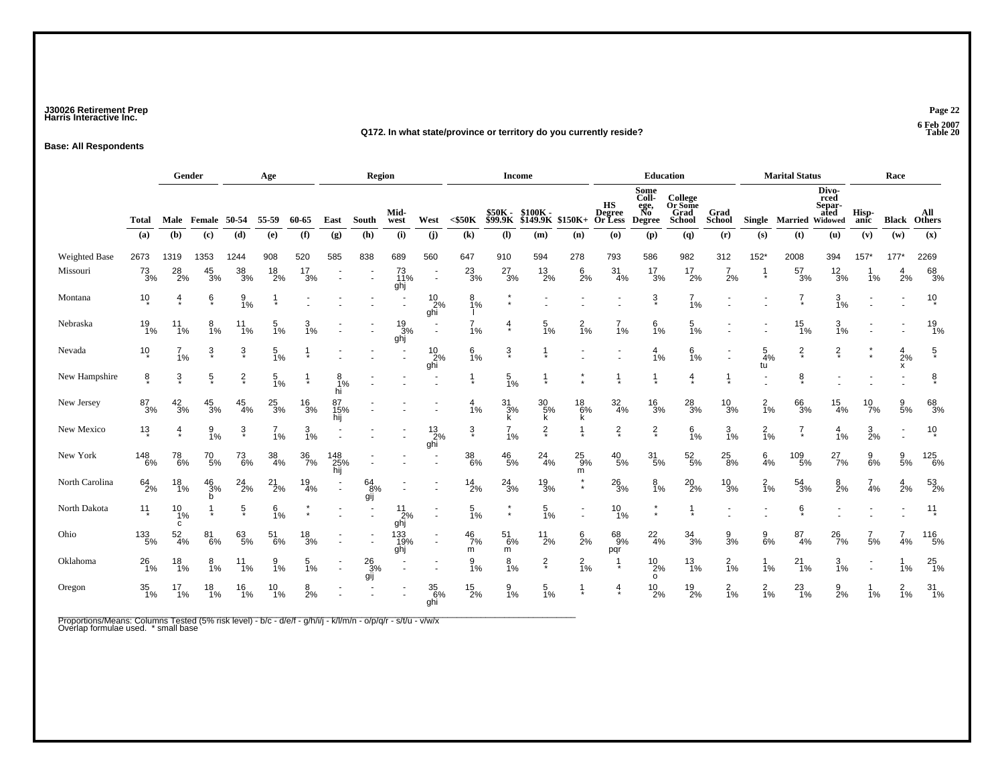### **J30026 Retirement Prep Page 22 Harris Interactive Inc.**

#### **Q172. In what state/province or territory do you currently reside?**

**Base: All Respondents**

|                      |                   | Gender<br>Age         |                      |                  |                  |                  | Region                |                         |                         |                                                        | Income                 |                            |                      |                    |                                          | <b>Education</b>                             |                                             |                       | <b>Marital Status</b> |                        |                                 | Race            |                      |                      |
|----------------------|-------------------|-----------------------|----------------------|------------------|------------------|------------------|-----------------------|-------------------------|-------------------------|--------------------------------------------------------|------------------------|----------------------------|----------------------|--------------------|------------------------------------------|----------------------------------------------|---------------------------------------------|-----------------------|-----------------------|------------------------|---------------------------------|-----------------|----------------------|----------------------|
|                      | <b>Total</b>      | Male                  | Female               | 50-54            | 55-59            | 60-65            | East                  | South                   | Mid-<br>west            | West                                                   | $<$ \$50K              | <b>\$50K -<br/>\$99.9K</b> | \$100K -<br>\$149.9K | $$150K+$           | HS<br><b>Degree</b><br>Or Less           | Some<br>Coll-<br>ege,<br>No<br><b>Degree</b> | College<br>Or Some<br>Grad<br><b>School</b> | Grad<br><b>School</b> |                       | Single Married Widowed | Divo-<br>rced<br>Separ-<br>ated | Hisp-<br>anic   | <b>Black</b>         | All<br><b>Others</b> |
|                      | (a)               | (b)                   | (c)                  | (d)              | (e)              | (f)              | (g)                   | (h)                     | (i)                     | (i)                                                    | (k)                    | (I)                        | (m)                  | (n)                | $\boldsymbol{\left( \mathbf{0} \right)}$ | (p)                                          | $\mathbf{q}$                                | (r)                   | (s)                   | (t)                    | (u)                             | (v)             | (w)                  | (x)                  |
| <b>Weighted Base</b> | 2673              | 1319                  | 1353                 | 1244             | 908              | 520              | 585                   | 838                     | 689                     | 560                                                    | 647                    | 910                        | 594                  | 278                | 793                                      | 586                                          | 982                                         | 312                   | $152*$                | 2008                   | 394                             | $157*$          | 177'                 | 2269                 |
| Missouri             | $^{73}_{3\%}$     | $^{28}_{2\%}$         | $\frac{45}{3%}$      | 38<br>3%         | $^{18}_{2\%}$    | $\frac{17}{3%}$  |                       |                         | 73<br>11%<br>ghj        | $\overline{\phantom{a}}$                               | $^{23}_{3\%}$          | $^{27}_{3\%}$              | $\frac{13}{2\%}$     | 6<br>2%            | 31<br>4%                                 | $\frac{17}{3%}$                              | $^{17}_{2\%}$                               | $\overline{7}$<br>2%  |                       | $\frac{57}{3%}$        | $\frac{12}{3%}$                 | 1%              | 4<br>2%              | 68<br>3%             |
| Montana              | 10                | $\frac{4}{1}$         | ę                    | $\frac{9}{1\%}$  |                  |                  |                       |                         |                         | $^{10}_{\  \, 2\%}$ ghi                                | $\frac{8}{1\%}$        | $\star$                    |                      |                    |                                          | $\frac{3}{4}$                                | $\frac{7}{1\%}$                             |                       |                       | $\frac{7}{4}$          | 3/1%                            |                 |                      | $10*$                |
| Nebraska             | $^{19}_{1\%}$     | 11<br>1%              | 8<br>1%              | 11<br>1%         | 5<br>1%          | 1%               |                       |                         | $\frac{19}{3%}$<br>ghj  | $\overline{a}$                                         | $\overline{7}$<br>1%   | 4                          | 5<br>1%              | $\frac{2}{1%}$     | 1%                                       | 6<br>1%                                      | 5<br>1%                                     |                       |                       | 15<br>1%               | 3<br>1%                         |                 |                      | $^{19}_{1\%}$        |
| Nevada               | $10*$             | 1%                    | $\ddot{3}$           | $\frac{3}{4}$    | $\frac{5}{1%}$   |                  |                       |                         |                         | $\begin{array}{c} 10 \\ 2\% \\ \text{ghi} \end{array}$ | $\frac{6}{1%}$         | $\frac{3}{4}$              |                      |                    |                                          | 4<br>1%                                      | $6\frac{1}{1%}$                             |                       | $\frac{5}{4%}$<br>tu  | $\frac{2}{x}$          | $\frac{2}{x}$                   |                 | $\frac{4}{2}$ %<br>x | $\frac{5}{3}$        |
| New Hampshire        | ĝ.                | $\frac{3}{4}$         | $\frac{5}{2}$        | $\frac{2}{x}$    | $\frac{5}{1\%}$  |                  | $\frac{8}{1\%}$<br>hi |                         |                         |                                                        |                        | $\frac{5}{1\%}$            |                      |                    |                                          |                                              | 4                                           |                       |                       | §                      |                                 |                 |                      | 8                    |
| New Jersey           | $^{87}_{3\%}$     | $\frac{42}{3%}$       | $^{45}_{3\%}$        | $^{45}_{4\%}$    | $^{25}_{3\%}$    | $\frac{16}{3%}$  | 87<br>15%<br>hij      |                         |                         |                                                        | $\frac{4}{1%}$         | $\frac{31}{3%}$<br>k       | $^{30}_{5\%}$<br>k   | $^{18}_{6\%}$<br>k | $\frac{32}{4\%}$                         | $^{16}_{3\%}$                                | $^{28}_{3\%}$                               | $^{10}_{3\%}$         | $\frac{2}{1%}$        | 66<br>3%               | $\frac{15}{4\%}$                | $^{10}_{7\%}$   | $\frac{9}{5\%}$      | 68<br>3%             |
| New Mexico           | $13 \frac{1}{2}$  | $\overline{4}$        | $\frac{9}{1%}$       | $\frac{3}{4}$    | 1%               | $\frac{3}{1\%}$  |                       |                         |                         | $^{13}_{2\%}$<br>ghi                                   | $\frac{3}{4}$          | $\frac{7}{1\%}$            | $\frac{2}{x}$        |                    | $\frac{2}{x}$                            | $\frac{2}{x}$                                | $6\frac{6}{1%}$                             | $\frac{3}{1\%}$       | $\frac{2}{1%}$        | $\frac{7}{4}$          | $\frac{4}{1}$ %                 | $\frac{3}{2\%}$ |                      | 10                   |
| New York             | $\frac{148}{6\%}$ | 78<br>6%              | $^{70}_{\ 5\%}$      | $73\over 6\%$    | $\frac{38}{4\%}$ | $\frac{36}{7\%}$ | 148<br>25%<br>hij     |                         |                         |                                                        | $\substack{38 \\ 6\%}$ | $^{46}_{\ 5\%}$            | $^{24}_{4\%}$        | $^{25}_{9\%}$<br>m | $^{40}_{\ 5\%}$                          | $\frac{31}{5\%}$                             | $\frac{52}{5\%}$                            | $^{25}_{\,\,8\%}$     | 6<br>4%               | 109<br>5%              | $^{27}_{7\%}$                   | 9<br>6%         | $\frac{9}{5\%}$      | 125<br>6%            |
| North Carolina       | $^{64}_{2\%}$     | $^{18}_{1\%}$         | $\frac{46}{3%}$<br>b | $^{24}_{2\%}$    | $^{21}_{2\%}$    | $\frac{19}{4\%}$ | $\sim$                | $^{64}_{8\%}$<br>gij    |                         |                                                        | $^{14}_{2\%}$          | $^{24}_{3\%}$              | $\frac{19}{3%}$      |                    | $^{26}_{3\%}$                            | $\frac{8}{1\%}$                              | $^{20}_{2\%}$                               | $^{10}_{3\%}$         | $\frac{2}{1%}$        | $\frac{54}{3%}$        | $\frac{8}{2}$ %                 | $\frac{7}{4%}$  | $\frac{4}{2}$ %      | $^{53}_{2\%}$        |
| North Dakota         | $11 \frac{1}{1}$  | $\frac{10}{1\%}$<br>c |                      | $\frac{5}{\ast}$ | $6\frac{1}{1%}$  | $\star$          |                       |                         | $\frac{11}{2\%}$<br>ghj |                                                        | $\frac{5}{1\%}$        | $\star$                    | 5<br>1%              |                    | $^{10}_{1\%}$                            | $\star$<br>$\star$                           |                                             |                       |                       | $\frac{6}{\ast}$       |                                 |                 |                      | $11 \over 2$         |
| Ohio                 | $^{133}_{\ 5\%}$  | $\frac{52}{4\%}$      | $\frac{81}{6\%}$     | 63<br>5%         | $^{51}_{6\%}$    | $\frac{18}{3%}$  |                       |                         | 133<br>19%<br>ghj       |                                                        | $^{46}_{7\%}$<br>m     | $^{51}_{6\%}$<br>m         | $^{11}_{2\%}$        | $\frac{6}{2}$ %    | 68<br>9%<br>pqr                          | $^{22}_{4\%}$                                | $\frac{34}{3%}$                             | $\frac{9}{3\%}$       | $\frac{9}{6\%}$       | $^{87}_{4\%}$          | $^{26}_{7\%}$                   | $\frac{7}{5%}$  | $\frac{7}{4%}$       | 116<br>5%            |
| Oklahoma             | $^{26}_{1\%}$     | $\frac{18}{1\%}$      | 8<br>1%              | 11<br>1%         | 9<br>1%          | 5<br>1%          |                       | $\frac{26}{3}\%$<br>gij |                         |                                                        | 9<br>1%                | 8<br>1%                    | $\frac{2}{\ast}$     | $\frac{2}{1\%}$    |                                          | $^{10}_{2\%}$<br>$\circ$                     | $\frac{13}{1\%}$                            | $\frac{2}{1%}$        | 1%                    | 21<br>1%               | $\frac{3}{1\%}$                 |                 | 1%                   | $^{25}_{1\%}$        |
| Oregon               | $\frac{35}{1\%}$  | 17<br>1%              | $^{18}_{1\%}$        | $^{16}_{1\%}$    | $^{10}_{1\%}$    | $\frac{8}{2%}$   |                       |                         |                         | 35<br>6%<br>ghi                                        | $^{15}_{2\%}$          | $\frac{9}{1\%}$            | $\frac{5}{1%}$       |                    |                                          | $^{10}_{2\%}$                                | $^{19}_{2\%}$                               | $\frac{2}{1\%}$       | $\frac{2}{1%}$        | $^{23}_{1\%}$          | $\frac{9}{2}$ %                 | 1%              | $\frac{2}{1%}$       | $^{31}_{1\%}$        |

Proportions/Means: Columns Tested (5% risk level) - b/c - d/e/f - g/h/i/j - k/l/m/n - o/p/q/r - s/t/u - v/w/x<br>Overlap formulae used. \* small base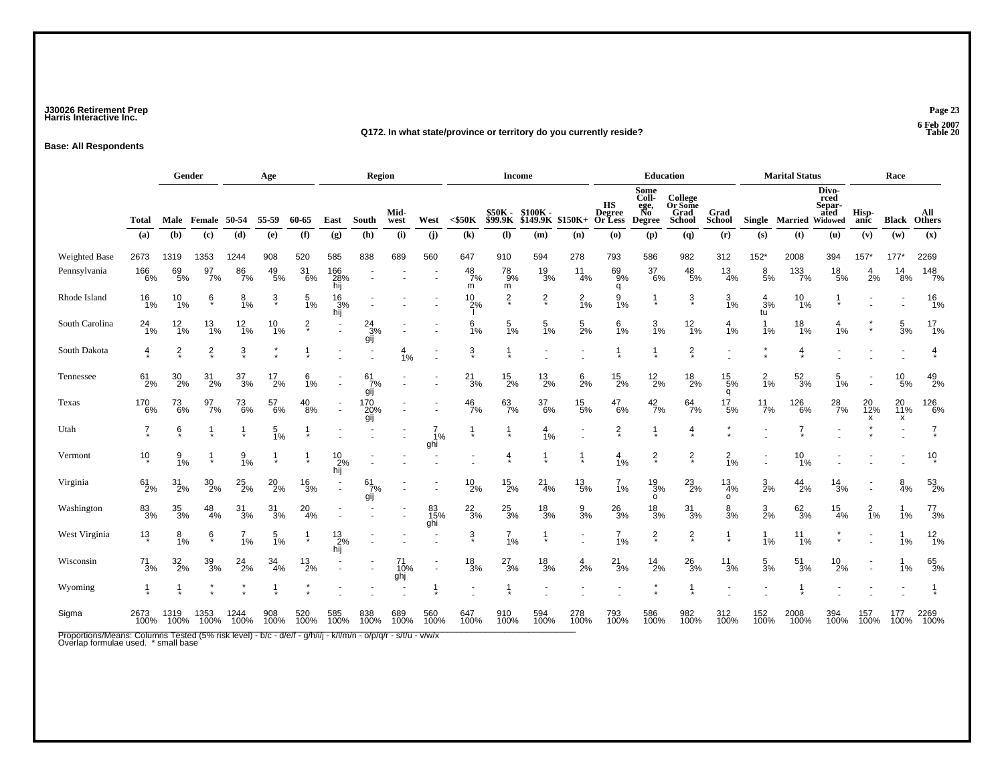### **J30026 Retirement Prep Page 23 Harris Interactive Inc.**

#### **Q172. In what state/province or territory do you currently reside?**

**Base: All Respondents**

|                                                                                                                                                      |                 |                     | Gender                      |                  | Age              |                  |                      | Region                 |                  |                  |                 | <b>Income</b>             |                     |                 |                                       |                                              | <b>Education</b>                                   |                             |                       | <b>Marital Status</b> |                                            |                | Race           |                       |
|------------------------------------------------------------------------------------------------------------------------------------------------------|-----------------|---------------------|-----------------------------|------------------|------------------|------------------|----------------------|------------------------|------------------|------------------|-----------------|---------------------------|---------------------|-----------------|---------------------------------------|----------------------------------------------|----------------------------------------------------|-----------------------------|-----------------------|-----------------------|--------------------------------------------|----------------|----------------|-----------------------|
|                                                                                                                                                      | Total           |                     | Male Female 50-54           |                  | 55-59            | 60-65            | East                 | South                  | Mid-<br>west     | West             | $<$ \$50 $K$    | \$50K -<br><b>\$99.9K</b> | \$100K-<br>\$149.9K | \$150K+         | HS<br><b>Degree</b><br><b>Or Less</b> | Some<br>Coll-<br>ege,<br>No<br><b>Degree</b> | College<br>Or Some<br><b>Grad</b><br><b>School</b> | Grad<br>School              | Single Married        |                       | Divo-<br>rced<br>Separ-<br>ated<br>Widowed | Hisp-<br>anic  | Black          | All<br>Others         |
|                                                                                                                                                      | (a)             | (b)                 | $\left( \mathbf{c} \right)$ | (d)              | (e)              | (f)              | (g)                  | (h)                    | (i)              | (i)              | (k)             | (1)                       | (m)                 | (n)             | (0)                                   | (p)                                          | (q)                                                | (r)                         | (s)                   | (t)                   | (u)                                        | (v)            | (w)            | (x)                   |
| Weighted Base                                                                                                                                        | 2673            | 1319                | 1353                        | 1244             | 908              | 520              | 585                  | 838                    | 689              | 560              | 647             | 910                       | 594                 | 278             | 793                                   | 586                                          | 982                                                | 312                         | $152*$                | 2008                  | 394                                        | $157*$         | 177'           | 2269                  |
| Pennsylvania                                                                                                                                         | 166<br>6%       | 69<br>$-5%$         | 97<br>$7\%$                 | 86<br>7%         | 49<br>5%         | 31<br>$-6%$      | 166<br>28%<br>hij    |                        |                  |                  | 48<br>7%<br>m   | 78<br>9%<br>m             | 19<br>3%            | 11<br>4%        | 69<br>$-9%$<br>q                      | 37<br>$5\%$                                  | 48<br>5%                                           | 13<br>4%                    | 8<br>5%               | 133<br>7%             | $^{18}_{\ 5\%}$                            | 4<br>2%        | 14<br>8%       | $\frac{148}{7%}$      |
| Rhode Island                                                                                                                                         | $^{16}_{1\%}$   | $^{10}_{1\%}$       | ę                           | $\frac{8}{1\%}$  | ŝ                | $\frac{5}{1\%}$  | $^{16}_{3\%}$<br>hij |                        |                  |                  | $^{10}_{2\%}$   | $\frac{2}{x}$             | $\frac{2}{x}$       | $\frac{2}{1%}$  | $\frac{9}{1\%}$                       | $\frac{1}{\ast}$                             | ş                                                  | $\frac{3}{1\%}$             | $\frac{4}{3}$ %<br>tu | $^{10}_{1\%}$         |                                            |                |                | $\frac{16}{1\%}$      |
| South Carolina                                                                                                                                       | $^{24}_{1\%}$   | 12<br>$\frac{1}{6}$ | $\frac{13}{1\%}$            | $\frac{12}{1\%}$ | 10<br>1%         | $\frac{2}{\ast}$ |                      | $\frac{24}{3%}$<br>gij |                  |                  | 6<br>1%         | $\frac{5}{1\%}$           | 5<br>1%             | $\frac{5}{2%}$  | 6<br>1%                               | $\frac{3}{1\%}$                              | $\frac{12}{1\%}$                                   | 4<br>1%                     | 1<br>1%               | 18<br>1%              | 4<br>1%                                    |                | 5<br>3%        | 17<br>$\frac{1}{1}$ % |
| South Dakota                                                                                                                                         | $rac{4}{5}$     | $\frac{2}{3}$       | $\frac{2}{x}$               | $\ddot{3}$       |                  |                  |                      |                        | 4<br>1%          |                  | $\frac{3}{4}$   | $\frac{1}{4}$             |                     |                 |                                       |                                              | $\frac{2}{\pi}$                                    |                             |                       | 4                     |                                            |                |                | $\overline{4}$        |
| Tennessee                                                                                                                                            | $61 \over 2\%$  | $^{30}_{2\%}$       | $^{31}_{2\%}$               | $\frac{37}{3\%}$ | $^{17}_{2\%}$    | 6<br>1%          |                      | 61<br>7%<br>gij        |                  |                  | $^{21}_{3\%}$   | $^{15}_{2\%}$             | $^{13}_{2\%}$       | $6\over 2%$     | $^{15}_{2\%}$                         | $^{12}_{2\%}$                                | $^{18}_{2\%}$                                      | $^{15}_{5\%}$<br>q          | $\frac{2}{1%}$        | $\frac{52}{3%}$       | 5<br>1%                                    |                | 10<br>5%       | $^{49}_{2\%}$         |
| Texas                                                                                                                                                | 170<br>6%       | $^{73}_{\ 6\%}$     | $\frac{97}{7\%}$            | $^{73}_{6\%}$    | 57<br>6%         | $^{40}_{8\%}$    |                      | $^{170}_{20\%}$<br>gij |                  |                  | $^{46}_{7\%}$   | $^{63}_{7\%}$             | 37<br>6%            | $^{15}_{5\%}$   | $^{47}_{6\%}$                         | $^{42}_{7\%}$                                | $64 \atop 7\%$                                     | $^{17}_{\ 5\%}$             | $^{11}_{7\%}$         | 126<br>6%             | $^{28}_{7\%}$                              | 20<br>12%<br>x | 20<br>11%<br>x | $^{126}_{6\%}$        |
| Utah                                                                                                                                                 | 7               | ė                   |                             |                  | $\frac{5}{1%}$   |                  |                      |                        |                  | 1%<br>ghi        |                 |                           | 4<br>1%             |                 | $\frac{2}{x}$                         |                                              | $\frac{4}{1}$                                      |                             |                       | 7                     |                                            |                |                | 7                     |
| Vermont                                                                                                                                              | $10*$           | $\frac{9}{1\%}$     |                             | $\frac{9}{1\%}$  |                  |                  | $^{10}_{2\%}$<br>hij |                        |                  |                  |                 | $\overline{4}$            |                     | 1               | $\frac{4}{1%}$                        | $\frac{2}{\ast}$                             | $\frac{2}{x}$                                      | $\frac{2}{1%}$              |                       | 10<br>1%              |                                            |                |                | $10 \times$           |
| Virginia                                                                                                                                             | $61 \over 2\%$  | $31_{2\%}$          | $^{30}_{2\%}$               | $^{25}_{2\%}$    | $^{20}_{2\%}$    | $\frac{16}{3%}$  |                      | 61<br>7%<br>gij        |                  |                  | $^{10}_{2\%}$   | $^{15}_{2\%}$             | $^{21}_{4\%}$       | $^{13}_{\ 5\%}$ | 1%                                    | $\frac{19}{3%}$<br>$\circ$                   | $^{23}_{2\%}$                                      | $\frac{13}{4\%}$<br>$\circ$ | $\frac{3}{2}$ %       | $^{44}_{2\%}$         | $\frac{14}{3%}$                            |                | $\frac{8}{4%}$ | 53<br>2%              |
| Washington                                                                                                                                           | 83<br>3%        | $\frac{35}{3\%}$    | $^{48}_{4\%}$               | $\frac{31}{3%}$  | $\frac{31}{3%}$  | $^{20}_{4\%}$    |                      |                        |                  | 83<br>15%<br>ghi | $\frac{22}{3%}$ | $\frac{25}{3%}$           | $\frac{18}{3%}$     | 9<br>3%         | $^{26}_{3\%}$                         | $\frac{18}{3%}$                              | $\frac{31}{3%}$                                    | $\frac{8}{3%}$              | $\frac{3}{2\%}$       | $\frac{62}{3%}$       | $\frac{15}{4\%}$                           | $\frac{2}{1%}$ | 1%             | $^{77}_{3\%}$         |
| West Virginia                                                                                                                                        | $1\frac{3}{4}$  | $\frac{8}{1%}$      | ę                           | 1%               | $\frac{5}{1\%}$  |                  | $^{13}_{2\%}$<br>hij |                        |                  |                  | $\frac{3}{4}$   | $7_{1%}$                  |                     |                 | $7_{1%}$                              | $\frac{2}{x}$                                | $\frac{2}{\ast}$                                   |                             | $1\%$                 | $^{11}_{1\%}$         |                                            |                | 1%             | $\frac{12}{1\%}$      |
| Wisconsin                                                                                                                                            | $\frac{71}{3%}$ | $\frac{32}{2\%}$    | $\frac{39}{3\%}$            | $^{24}_{2\%}$    | $\frac{34}{4\%}$ | $^{13}_{2\%}$    |                      |                        | 71<br>10%<br>ghj | $\blacksquare$   | $\frac{18}{3%}$ | $^{27}_{3\%}$             | $\frac{18}{3%}$     | $\frac{4}{2%}$  | $^{21}_{3\%}$                         | $\frac{14}{2\%}$                             | $\frac{26}{3%}$                                    | $\frac{11}{3%}$             | $\frac{5}{3%}$        | $\frac{51}{3%}$       | $^{10}_{2\%}$                              |                | 1%             | 65<br>3%              |
| Wyoming                                                                                                                                              |                 |                     |                             |                  |                  |                  |                      |                        |                  |                  |                 |                           |                     |                 |                                       |                                              |                                                    |                             |                       |                       |                                            |                |                |                       |
| Sigma                                                                                                                                                | 2673<br>100%    | 1319<br>100%        | 1353<br>100%                | 1244<br>100%     | 908<br>100%      | 520<br>100%      | 585<br>100%          | 838<br>100%            | 689<br>100%      | 560<br>100%      | 647<br>100%     | 910<br>100%               | 594<br>100%         | 278<br>100%     | 793<br>100%                           | 586<br>100%                                  | 982<br>100%                                        | 312<br>100%                 | 152<br>100%           | 2008<br>100%          | 394<br>100%                                | 157<br>100%    | 177<br>100%    | 2269<br>100%          |
| Proportions/Means: Columns Tested (5% risk level) - b/c - d/e/f - g/h/i/j - k/l/m/n - o/p/q/r - s/t/u - v/w/x<br>Overlap formulae used. * small base |                 |                     |                             |                  |                  |                  |                      |                        |                  |                  |                 |                           |                     |                 |                                       |                                              |                                                    |                             |                       |                       |                                            |                |                |                       |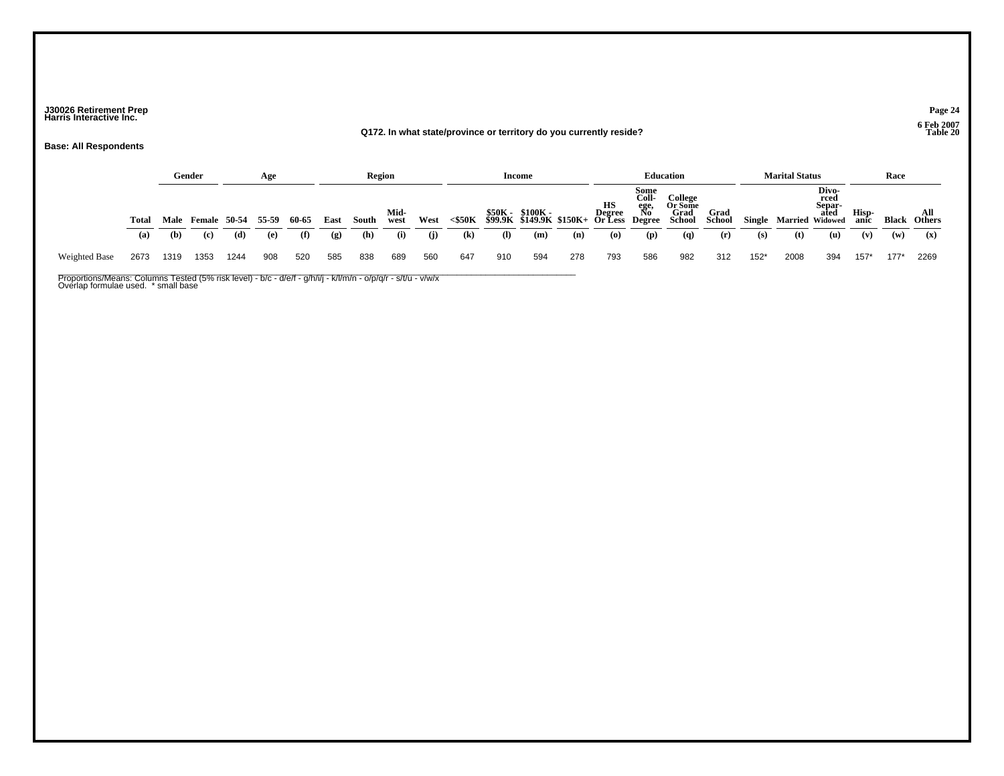### **J30026 Retirement Prep Page 24 Harris Interactive Inc.**

#### **Q172. In what state/province or territory do you currently reside?**

**Base: All Respondents**

|               |       |      | Gender            |      | Age   |       |                             | Region |              |      |                            |              | Income                                                                                |     |                             |     | <b>Education</b>                              |                       |        | <b>Marital Status</b>            |               |               | Race  |                      |
|---------------|-------|------|-------------------|------|-------|-------|-----------------------------|--------|--------------|------|----------------------------|--------------|---------------------------------------------------------------------------------------|-----|-----------------------------|-----|-----------------------------------------------|-----------------------|--------|----------------------------------|---------------|---------------|-------|----------------------|
|               | Total |      | Male Female 50-54 |      | 55-59 | 60-65 | East                        | South  | Mid-<br>west | West | $<$ \$50K                  |              | Some<br>Coll-<br>S50K - \$100K - Begree Ro<br>\$99.9K \$149.9K \$150K+ Or Less Degree |     |                             |     | College<br><b>Or Some<br/>Grad<br/>School</b> | <b>Grad</b><br>School |        | Separ-<br>Single Married Widowed | Divo-<br>rced | Hisp-<br>anic | Black | <b>All</b><br>Others |
|               | (a)   | (b)  | (c)               | (d)  | (e)   | (f)   | $\left( \mathbf{g} \right)$ | (h)    | (i)          | (i)  | $\left( \mathbf{k}\right)$ | $\mathbf{I}$ | (m)                                                                                   | (n) | $\boldsymbol{\mathsf{(0)}}$ | (p) | (q)                                           | (r)                   | (s)    | (t)                              | (u)           | (v)           | (w)   | $(\mathbf{x})$       |
| Weighted Base | 2673  | 1319 | 1353              | 1244 | 908   | 520   | 585                         | 838    | 689          | 560  | 647                        | 910          | 594                                                                                   | 278 | 793                         | 586 | 982                                           | 312                   | $152*$ | 2008                             | 394           | $157*$        | 177'  | 2269                 |

Proportions/Means: Columns Tested (5% risk level) - b/c - d/e/f - g/h/i/j - k/l/m/n - o/p/q/r - s/t/u - v/w/x<br>Overlap formulae used. \* small base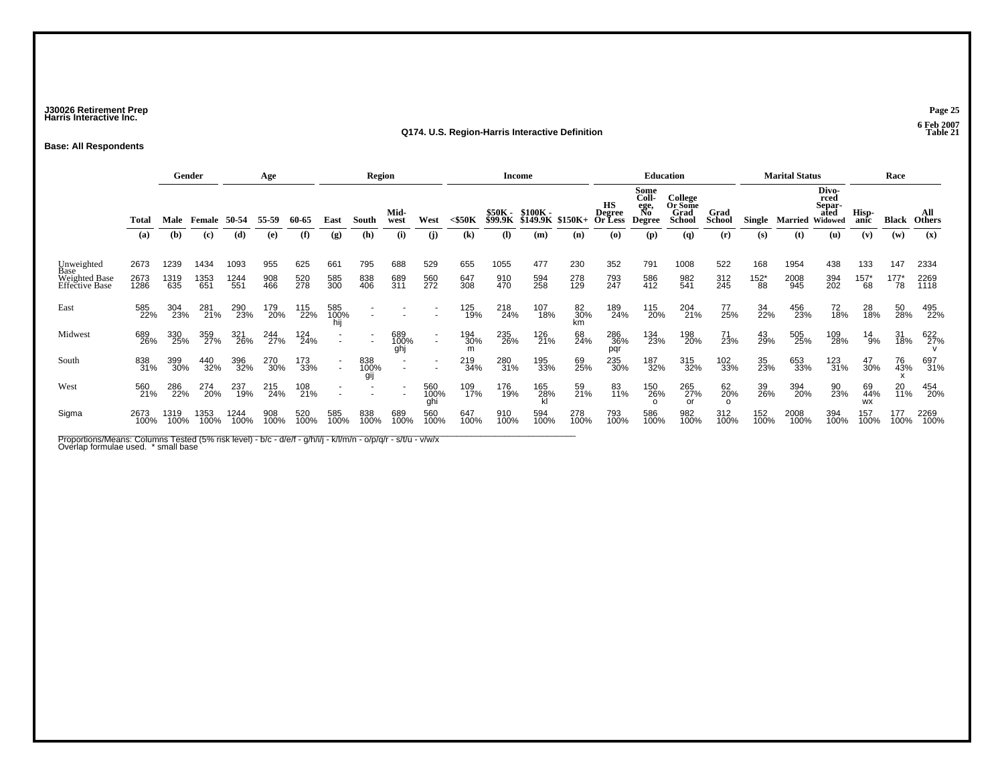### **J30026 Retirement Prep Page 25 Harris Interactive Inc.**

#### **Q174. U.S. Region-Harris Interactive Definition Table 21**

**Base: All Respondents**

|                                 |              |              | Gender        |              | Age          |              |                                                      | <b>Region</b> |                          |                                                      |                                            |                           | <b>Income</b>               |                 |                                | <b>Education</b>                                    |                                                    |                              |                      | <b>Marital Status</b> |                                                   |                        | Race            |                             |
|---------------------------------|--------------|--------------|---------------|--------------|--------------|--------------|------------------------------------------------------|---------------|--------------------------|------------------------------------------------------|--------------------------------------------|---------------------------|-----------------------------|-----------------|--------------------------------|-----------------------------------------------------|----------------------------------------------------|------------------------------|----------------------|-----------------------|---------------------------------------------------|------------------------|-----------------|-----------------------------|
|                                 | Total<br>(a) | Male<br>(b)  | Female<br>(c) | 50-54<br>(d) | 55-59<br>(e) | 60-65<br>(f) | East<br>(g)                                          | South<br>(h)  | Mid-<br>west<br>(i)      | West<br>(i)                                          | $<$ \$50 $K$<br>$\left( \mathbf{k}\right)$ | \$50K -<br>\$99.9K<br>(I) | \$100K -<br>\$149.9K<br>(m) | $$150K+$<br>(n) | нs<br>Degree<br>Or Less<br>(O) | Some<br>Coll-<br>ege,<br>No<br><b>Degree</b><br>(p) | College<br>Or Some<br>Grad<br><b>School</b><br>(q) | Grad<br><b>School</b><br>(r) | Single<br>(s)        | Married<br>(t)        | Divo-<br>rced<br>Separ-<br>ated<br>Widowed<br>(u) | Hisp-<br>anic<br>(v)   | Black<br>(w)    | All<br><b>Others</b><br>(x) |
|                                 |              |              |               |              |              |              |                                                      |               |                          |                                                      |                                            |                           |                             |                 |                                |                                                     |                                                    |                              |                      |                       |                                                   |                        |                 |                             |
| Unweighted<br>Base              | 2673         | 1239         | 1434          | 1093         | 955          | 625          | 661                                                  | 795           | 688                      | 529                                                  | 655                                        | 1055                      | 477                         | 230             | 352                            | 791                                                 | 1008                                               | 522                          | 168                  | 1954                  | 438                                               | 133                    | 147             | 2334                        |
| Weighted Base<br>Effective Base | 2673<br>1286 | 1319<br>635  | 1353<br>651   | 1244<br>551  | 908<br>466   | 520<br>278   | 585<br>300                                           | 838<br>406    | 689<br>311               | 560<br>272                                           | 647<br>308                                 | 910<br>470                | 594<br>258                  | 278<br>129      | 793<br>247                     | 586<br>412                                          | 982<br>541                                         | 312<br>245                   | $^{152^{\ast}}_{88}$ | 2008<br>945           | 394<br>202                                        | $^{157^*}_{68}$        | $^{177^*}_{78}$ | 2269<br>1118                |
| East                            | 585<br>22%   | 304<br>23%   | 281<br>21%    | 290<br>23%   | 179<br>20%   | 115<br>22%   | 585<br>100%                                          |               |                          |                                                      | 125<br>19%                                 | 218<br>24%                | 107<br>18%                  | 82<br>30%<br>km | 189<br>24%                     | 115<br>20%                                          | 204<br>21%                                         | 77<br>25%                    | 34<br>22%            | 456<br>23%            | 72<br>18%                                         | 28<br>18%              | 50<br>28%       | 495<br>22%                  |
| Midwest                         | 689<br>26%   | 330<br>25%   | 359<br>27%    | 321<br>26%   | 244<br>27%   | 124<br>24%   | $\overline{\phantom{a}}$<br>$\overline{\phantom{a}}$ |               | 689<br>100%<br>ghj       | $\overline{\phantom{a}}$<br>$\overline{\phantom{a}}$ | 194<br>30%<br>m                            | 235<br>26%                | 126<br>21%                  | 68<br>24%       | 286<br>36%<br>pqr              | 134<br>23%                                          | 198<br>20%                                         | 71<br>23%                    | 43<br>29%            | 505<br>25%            | 109<br>28%                                        | $^{14}_{9\%}$          | 31<br>18%       | 622<br>27%                  |
| South                           | 838<br>31%   | 399<br>30%   | 440<br>32%    | 396<br>32%   | 270<br>30%   | 173<br>33%   | ۰<br>$\sim$                                          | 838<br>100%   | $\overline{\phantom{a}}$ |                                                      | 219<br>34%                                 | 280<br>31%                | 195<br>33%                  | 69<br>25%       | 235<br>30%                     | 187<br>32%                                          | 315<br>32%                                         | 102<br>33%                   | 35<br>23%            | 653<br>33%            | 123<br>31%                                        | 47<br>30%              | 76<br>43%       | 697<br>31%                  |
| West                            | 560<br>21%   | 286<br>22%   | 274<br>20%    | 237<br>19%   | 215<br>24%   | 108<br>21%   |                                                      |               | <b>.</b>                 | 560<br>100%<br>ghi                                   | 109<br>17%                                 | 176<br>19%                | 165<br>28%<br>kl            | 59<br>21%       | 83<br>11%                      | 150<br>26%                                          | 265<br>27%<br>or                                   | 62<br>20%<br>$\Omega$        | 39<br>26%            | 394<br>20%            | 90<br>23%                                         | 69<br>44%<br><b>WX</b> | 20<br>11%       | 454<br>20%                  |
| Sigma                           | 2673<br>100% | 1319<br>100% | 1353<br>100%  | 1244<br>100% | 908<br>100%  | 520<br>100%  | 585<br>100%                                          | 838<br>100%   | 689<br>100%              | 560<br>100%                                          | 647<br>100%                                | 910<br>100%               | 594<br>100%                 | 278<br>100%     | 793<br>100%                    | 586<br>100%                                         | 982<br>100%                                        | 312<br>100%                  | 152<br>100%          | 2008<br>100%          | 394<br>100%                                       | 157<br>100%            | 177<br>100%     | 2269<br>100%                |

Proportions/Means: Columns Tested (5% risk level) - b/c - d/e/f - g/h/i/j - k/l/m/n - o/p/q/r - s/t/u - v/w/x<br>Overlap formulae used. \* small base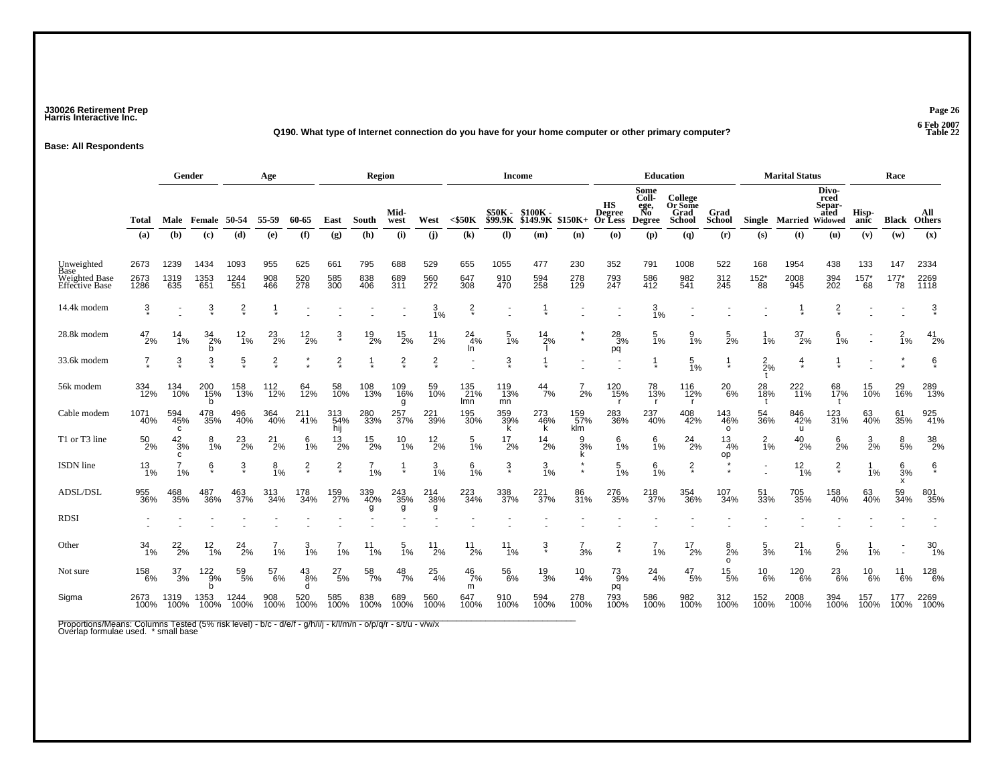### **J30026 Retirement Prep Page 26 Harris Interactive Inc.**

#### **Q190. What type of Internet connection do you have for your home computer or other primary computer? Table 22**

**Base: All Respondents**

|                                                              |                      | Gender<br>Age       |                       |                     |                   |                    | <b>Region</b>     |                   |                   |                      |                            | <b>Income</b>                    |                              |                    |                                | <b>Education</b>                             |                                      |                       | <b>Marital Status</b>            |                        |                                 | Race                        |                        |                         |
|--------------------------------------------------------------|----------------------|---------------------|-----------------------|---------------------|-------------------|--------------------|-------------------|-------------------|-------------------|----------------------|----------------------------|----------------------------------|------------------------------|--------------------|--------------------------------|----------------------------------------------|--------------------------------------|-----------------------|----------------------------------|------------------------|---------------------------------|-----------------------------|------------------------|-------------------------|
|                                                              | Total                | Male                | Female                | 50-54               | 55-59             | 60-65              | East              | South             | Mid-<br>west      | West                 | $<$ \$50K                  | \$50K -<br>\$99.9K               | \$100K -<br>\$149.9K \$150K+ |                    | HS<br><b>Degree</b><br>Or Less | Some<br>Coll-<br>ege,<br>No<br><b>Degree</b> | College<br>Or Some<br>Grad<br>School | Grad<br><b>School</b> | Single                           | <b>Married Widowed</b> | Divo-<br>rced<br>Separ-<br>ated | Hisp-<br>anic               | Black                  | All<br><b>Others</b>    |
|                                                              | (a)                  | (b)                 | (c)                   | (d)                 | (e)               | (f)                | (g)               | (h)               | (i)               | (i)                  | $\left( \mathbf{k}\right)$ | $\left( \mathbf{I} \right)$      | (m)                          | (n)                | (o)                            | (p)                                          | (q)                                  | (r)                   | (s)                              | (t)                    | (u)                             | (v)                         | (w)                    | (x)                     |
| Unweighted<br>Base<br><b>Weighted Base</b><br>Effective Base | 2673<br>2673<br>1286 | 1239<br>1319<br>635 | 1434<br>1353<br>651   | 1093<br>1244<br>551 | 955<br>908<br>466 | 625<br>520<br>278  | 661<br>585<br>300 | 795<br>838<br>406 | 688<br>689<br>311 | 529<br>560<br>272    | 655<br>647<br>308          | 1055<br>910<br>470               | 477<br>594<br>258            | 230<br>278<br>129  | 352<br>793<br>247              | 791<br>586<br>412                            | 1008<br>982<br>541                   | 522<br>312<br>245     | 168<br>$^{152^{\ast}}_{88}$      | 1954<br>2008<br>-945   | 438<br>394<br>202               | 133<br>$^{157^{\ast}}_{68}$ | 147<br>$^{177^*}_{78}$ | 2334<br>2269<br>1118    |
| 14.4k modem                                                  | 3                    |                     | $\frac{3}{\epsilon}$  | $\frac{2}{x}$       |                   |                    |                   |                   |                   | 3<br>1%              | $\frac{2}{x}$              |                                  |                              |                    |                                | 3<br>1%                                      |                                      |                       |                                  |                        | $\frac{2}{x}$                   |                             |                        | $\frac{3}{4}$           |
| 28.8k modem                                                  | $^{47}_{2\%}$        | $14 \atop 1\%$      | $\frac{34}{2\%}$<br>b | $^{12}_{1\%}$       | $^{23}_{2\%}$     | $^{12}_{2\%}$      | $\frac{3}{4}$     | $^{19}_{2\%}$     | $^{15}_{2\%}$     | $^{11}_{2\%}$        | 24<br>-4%<br>In            | $\frac{5}{1\%}$                  | $^{14}_{2\%}$                | $\star$            | $^{28}_{3\%}$<br>pq            | $\frac{5}{1\%}$                              | $\frac{9}{1\%}$                      | $\frac{5}{2}$ %       | 1%                               | $\frac{37}{2\%}$       | $\frac{6}{1\%}$                 |                             | $\frac{2}{1%}$         | $^{41}_{2\%}$           |
| 33.6k modem                                                  | $\overline{7}$       | $\frac{3}{4}$       | 3                     | $\frac{5}{3}$       | $\frac{2}{x}$     |                    | $\frac{2}{x}$     |                   | $\frac{2}{x}$     | $\frac{2}{x}$        |                            | 3                                |                              |                    |                                |                                              | $\frac{5}{1\%}$                      | -1                    | $2\frac{2}{2}\%$<br>$\mathbf{f}$ | 4                      |                                 |                             |                        | $\frac{6}{\ast}$        |
| 56k modem                                                    | 334<br>12%           | 134<br>10%          | 200<br>15%<br>b       | 158<br>13%          | 112<br>12%        | 64<br>12%          | 58<br>10%         | 108<br>13%        | 109<br>16%<br>g   | 59<br>10%            | 135<br>21%<br>lmn          | 119<br>$\frac{13\%}{13\%}$<br>mn | $^{44}_{7\%}$                | 2%                 | 120<br>15%                     | 78<br>13%<br>$\mathsf{r}$                    | 116<br>12%<br>- r                    | $^{20}_{6\%}$         | 28<br>18%                        | 222<br>11%             | 68<br>17%                       | 15<br>10%                   | 29<br>16%              | 289<br>13%              |
| Cable modem                                                  | 1071<br>40%          | 594<br>45%<br>C     | 478<br>35%            | 496<br>40%          | 364<br>40%        | 211<br>-41%        | 313<br>54%<br>hij | 280<br>33%        | 257<br>37%        | 221<br>39%           | 195<br>30%                 | 359<br>39%<br>k                  | 273<br>46%<br>k              | 159<br>57%<br>klm  | 283<br>36%                     | 237<br>40%                                   | 408<br>42%                           | 143<br>46%<br>$\circ$ | 54<br>36%                        | 846<br>42%<br>u        | 123<br>31%                      | 63<br>40%                   | 61<br>35%              | 925<br>41%              |
| T1 or T3 line                                                | $^{50}_{2\%}$        | $^{42}_{3\%}$<br>c  | 8<br>1%               | $^{23}_{2\%}$       | $^{21}_{2\%}$     | $\frac{6}{1}$ %    | $^{13}_{2\%}$     | $^{15}_{2\%}$     | $^{10}_{1\%}$     | $^{12}_{2\%}$        | $\frac{5}{1\%}$            | $^{17}_{2\%}$                    | $^{14}_{2\%}$                | $\frac{9}{3}$ %    | $\frac{6}{1%}$                 | $\frac{6}{1\%}$                              | $^{24}_{2\%}$                        | $\frac{13}{4%}$<br>op | $\frac{2}{1}$ %                  | $^{40}_{2\%}$          | $\frac{6}{2}$ %                 | $\frac{3}{2}$ %             | $\frac{8}{5%}$         | $\frac{38}{2\%}$        |
| ISDN line                                                    | $^{13}_{1\%}$        | 1%                  | ę̃                    | $\ddot{3}$          | $8_{1\%}$         | $\frac{2}{\ast}$   | $\frac{2}{\ast}$  | $\frac{7}{1\%}$   |                   | $\frac{3}{1\%}$      | $\frac{6}{1%}$             | $\ddot{\mathrm{3}}$              | $\frac{3}{1%}$               | $\star$<br>$\star$ | $\frac{5}{1%}$                 | $6\frac{1}{1%}$                              | $\frac{2}{x}$                        |                       | ٠                                | $\frac{12}{1\%}$       | $\frac{2}{\ast}$                | 1%                          | $\frac{6}{3}$ %<br>x   | ę̃                      |
| <b>ADSL/DSL</b>                                              | 955<br>36%           | 468<br>35%          | 487<br>36%            | 463<br>37%          | 313<br>34%        | 178<br>34%         | 159<br>27%        | 339<br>40%        | 243<br>35%<br>g   | $^{214}_{38\%}$<br>g | 223<br>34%                 | 338<br>37%                       | 221<br>37%                   | 86<br>31%          | 276<br>35%                     | 218<br>37%                                   | 354<br>36%                           | 107<br>34%            | 51<br>33%                        | 705<br>35%             | 158<br>40%                      | 63<br>40%                   | 59<br>34%              | 801<br>35%              |
| <b>RDSI</b>                                                  |                      |                     |                       |                     |                   |                    |                   |                   |                   |                      |                            |                                  |                              |                    |                                |                                              |                                      |                       |                                  |                        |                                 |                             |                        |                         |
| Other                                                        | 34<br>1%             | $^{22}_{2\%}$       | $\frac{12}{1\%}$      | 24<br>2%            | 1%                | 3<br>1%            | 1%                | 11<br>1%          | 5<br>1%           | 11<br>2%             | 11<br>2%                   | 11<br>1%                         |                              | 3%                 | $\frac{2}{x}$                  | 1%                                           | 17<br>2%                             | 8<br>2%<br>$\Omega$   | 5<br>3%                          | 21<br>1%               | 6<br>2%                         | 1%                          |                        | 30<br>1%                |
| Not sure                                                     | $^{158}_{6\%}$       | 37<br>3%            | $^{122}_{9\%}$<br>b   | 59<br>5%            | 57<br>$6\%$       | $^{43}_{8\%}$<br>d | $^{27}_{5\%}$     | $\frac{58}{7\%}$  | $^{48}_{7\%}$     | $^{25}_{4\%}$        | $\frac{46}{7}\%$<br>m      | 56<br>6%                         | $^{19}_{3\%}$                | $^{10}_{4\%}$      | $^{73}_{9\%}$<br>pq            | $^{24}_{4\%}$                                | 47<br>5%                             | $^{15}_{5\%}$         | $^{10}_{6\%}$                    | 120<br>6%              | $^{23}_{6\%}$                   | $^{10}_{6\%}$               | 11<br>6%               | $^{128}_{\  \  \, 6\%}$ |
| Sigma                                                        | 2673<br>100%         | 1319<br>100%        | 1353<br>100%          | 1244<br>100%        | 908<br>100%       | 520<br>100%        | 585<br>100%       | 838<br>100%       | 689<br>100%       | 560<br>100%          | 647<br>100%                | 910<br>100%                      | 594<br>100%                  | 278<br>100%        | 793<br>100%                    | 586<br>100%                                  | 982<br>100%                          | 312<br>100%           | 152<br>100%                      | 2008<br>100%           | 394<br>100%                     | 157<br>100%                 | 177<br>100%            | 2269<br>100%            |

Proportions/Means: Columns Tested (5% risk level) - b/c - d/e/f - g/h/i/j - k/l/m/n - o/p/q/r - s/t/u - v/w/x<br>Overlap formulae used. \* small base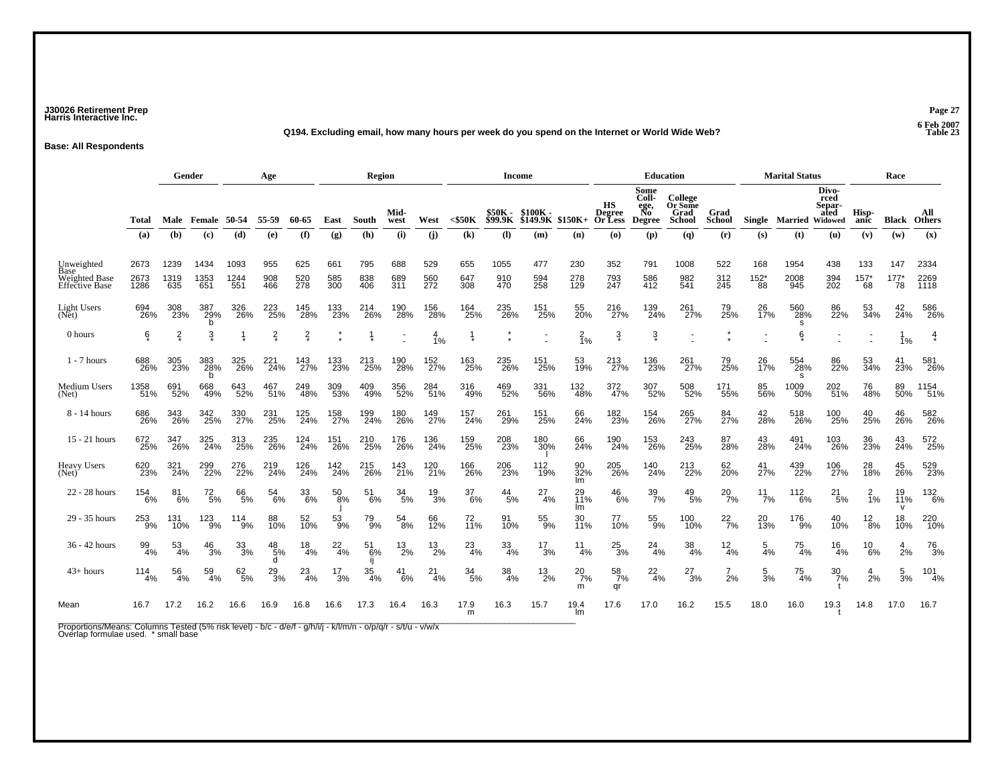### **J30026 Retirement Prep Page 27 Harris Interactive Inc.**

#### **Q194. Excluding email, how many hours per week do you spend on the Internet or World Wide Web? Table 23**

**Base: All Respondents**

|                                                                     |                      | Gender              |                     |                     | Age               |                   |                   | Region            |                   |                   |                            |                           | <b>Income</b>                         |                        |                        | <b>Education</b>                             |                                      |                       |                              | <b>Marital Status</b>  |                                 |                     | Race                   |                      |
|---------------------------------------------------------------------|----------------------|---------------------|---------------------|---------------------|-------------------|-------------------|-------------------|-------------------|-------------------|-------------------|----------------------------|---------------------------|---------------------------------------|------------------------|------------------------|----------------------------------------------|--------------------------------------|-----------------------|------------------------------|------------------------|---------------------------------|---------------------|------------------------|----------------------|
|                                                                     | Total                |                     | <b>Male</b> Female  | 50-54               | 55-59             | 60-65             | East              | South             | Mid-<br>west      | West              | $<$ \$50 $K$               | \$50K -<br><b>\$99.9K</b> | \$100K -<br>$$149.9K$ \$150K+ Or Less |                        | НS<br>Degree           | Some<br>Coll-<br>ege,<br>No<br><b>Degree</b> | College<br>Or Some<br>Grad<br>School | Grad<br><b>School</b> |                              | Single Married Widowed | Divo-<br>rced<br>Separ-<br>ated | Hisp-<br>anic       | Black                  | All<br><b>Others</b> |
|                                                                     | (a)                  | (b)                 | (c)                 | (d)                 | (e)               | (f)               | (g)               | (h)               | (i)               | (i)               | $\left( \mathbf{k}\right)$ | (1)                       | (m)                                   | (n)                    | $\omega$               | (p)                                          | (q)                                  | (r)                   | (s)                          | (t)                    | (u)                             | (v)                 | (w)                    | (x)                  |
| Unweighted<br>Base<br><b>Weighted Base</b><br><b>Effective Base</b> | 2673<br>2673<br>1286 | 1239<br>1319<br>635 | 1434<br>1353<br>651 | 1093<br>1244<br>551 | 955<br>908<br>466 | 625<br>520<br>278 | 661<br>585<br>300 | 795<br>838<br>406 | 688<br>689<br>311 | 529<br>560<br>272 | 655<br>647<br>308          | 1055<br>910<br>470        | 477<br>594<br>258                     | 230<br>278<br>129      | 352<br>793<br>247      | 791<br>586<br>412                            | 1008<br>982<br>541                   | 522<br>312<br>245     | 168<br>$^{152^{\star}}_{88}$ | 1954<br>2008<br>945    | 438<br>394<br>202               | 133<br>$157*$<br>68 | 147<br>$^{177^*}_{78}$ | 2334<br>2269<br>1118 |
| Light Users<br>(Net)                                                | 694<br>26%           | 308<br>23%          | 387<br>29%<br>b     | 326<br>26%          | 223<br>25%        | 145<br>28%        | 133<br>23%        | 214<br>26%        | 190<br>28%        | 156<br>28%        | 164<br>25%                 | 235<br>26%                | 151<br>25%                            | 55<br>20%              | 216<br>27%             | 139<br>24%                                   | 261<br>27%                           | 79<br>25%             | 26<br>17%                    | 560<br>28%<br>s        | 86<br>22%                       | 53<br>34%           | 42<br>24%              | 586<br>26%           |
| 0 hours                                                             | ę                    | $\frac{2}{x}$       | ŝ                   |                     | $\frac{2}{3}$     | $\frac{2}{x}$     |                   |                   |                   | $\frac{4}{1%}$    |                            |                           |                                       | $\frac{2}{1%}$         | $\ddot{\mathrm{3}}$    | $\ddot{3}$                                   |                                      |                       |                              | ę                      |                                 |                     | 1%                     | $\frac{4}{3}$        |
| $1 - 7$ hours                                                       | 688<br>26%           | 305<br>23%          | 383<br>28%<br>b     | 325<br>26%          | 221<br>24%        | 143<br>27%        | 133<br>23%        | 213<br>25%        | 190<br>28%        | 152<br>27%        | 163<br>25%                 | 235<br>26%                | 151<br>25%                            | 53<br>19%              | 213<br>27%             | 136<br>23%                                   | 261<br>27%                           | 79<br>25%             | 26<br>17%                    | 554<br>28%<br>s        | 86<br>22%                       | 53<br>34%           | 41<br>23%              | 581<br>26%           |
| Medium Users<br>(Net)                                               | 1358<br>51%          | 691<br>52%          | 668<br>49%          | 643<br>52%          | 467<br>51%        | 249<br>48%        | 309<br>53%        | 409<br>49%        | 356<br>52%        | 284<br>51%        | 316<br>49%                 | 469<br>52%                | 331<br>56%                            | 132<br>48%             | 372<br>47%             | 307<br>52%                                   | 508<br>52%                           | 171<br>55%            | 85<br>56%                    | 1009<br>50%            | 202<br>51%                      | 76<br>48%           | 89<br>50%              | 1154<br>51%          |
| 8 - 14 hours                                                        | 686<br>26%           | 343<br>26%          | 342<br>25%          | 330<br>27%          | 231<br>25%        | 125<br>24%        | 158<br>27%        | 199<br>24%        | 180<br>26%        | 149<br>27%        | 157<br>24%                 | 261<br>29%                | 151<br>25%                            | 66<br>24%              | 182<br>23%             | 154<br>26%                                   | 265<br>27%                           | 84<br>27%             | 42<br>28%                    | 518<br>26%             | 100<br>25%                      | 40<br>25%           | 46<br>26%              | 582<br>26%           |
| 15 - 21 hours                                                       | 672<br>25%           | 347<br>26%          | 325<br>24%          | 313<br>25%          | 235<br>26%        | 124<br>24%        | 151<br>26%        | 210<br>25%        | 176<br>26%        | 136<br>24%        | 159<br>25%                 | 208<br>23%                | 180<br>30%                            | 66<br>24%              | 190<br>24%             | 153<br>26%                                   | 243<br>25%                           | 87<br>28%             | 43<br>28%                    | 491<br>24%             | 103<br>26%                      | 36<br>23%           | 43<br>24%              | 572<br>25%           |
| <b>Heavy Users</b><br>$(Net)$ <sup>-</sup>                          | 620<br>23%           | 321<br>24%          | 299<br>22%          | 276<br>22%          | 219<br>24%        | 126<br>24%        | 142<br>24%        | 215<br>26%        | 143<br>21%        | 120<br>21%        | <sup>166</sup> 26%         | 206<br>23%                | 112 <sub>9%</sub>                     | 90<br>32%<br>lm        | 205<br>26%             | 140<br>24%                                   | 213<br>22%                           | 62<br>20%             | 41<br>27%                    | 439<br>22%             | 106<br>27%                      | 28<br>18%           | 45<br>26%              | 529<br>23%           |
| 22 - 28 hours                                                       | 154<br>6%            | 81<br>6%            | $^{72}_{\ 5\%}$     | 66<br>5%            | 54<br>6%          | 33<br>6%          | 50<br>8%          | 51<br>6%          | 34<br>5%          | $\frac{19}{3%}$   | 37<br>6%                   | $\frac{44}{5\%}$          | 27<br>4%                              | 29<br><b>11%</b><br>lm | $^{46}_{6\%}$          | $\frac{39}{7\%}$                             | $^{49}_{\ 5\%}$                      | $^{20}_{7\%}$         | 11<br>7%                     | $^{112}_{6\%}$         | $^{21}_{5\%}$                   | $\overline{1}\%$    | 19<br>11%<br>v         | $\frac{132}{6\%}$    |
| 29 - 35 hours                                                       | 253<br>9%            | 131<br>10%          | 123<br>9%           | $^{114}_{9\%}$      | 88<br>10%         | 52<br>10%         | $^{53}_{9\%}$     | 79<br>9%          | $^{54}_{\ 8\%}$   | 66<br>12%         | 72<br>11%                  | 91<br>10%                 | 55<br>9%                              | 30<br>11%              | 77<br>10%              | 55<br>9%                                     | 100<br>10%                           | $^{22}_{7\%}$         | 20<br>13%                    | 176<br>9%              | 40 <sub>%</sub>                 | $^{12}_{8\%}$       | 18<br>10%              | 220<br>10%           |
| 36 - 42 hours                                                       | 99<br>4%             | 53<br>4%            | 46<br>3%            | $\frac{33}{3\%}$    | 48<br>5%<br>d     | 18<br>4%          | $^{22}_{4\%}$     | 51<br>6%          | 13<br>2%          | 13<br>2%          | 23<br>4%                   | 33<br>4%                  | 17<br>3%                              | 11<br>4%               | $\frac{25}{3%}$        | 24<br>4%                                     | 38<br>4%                             | $\frac{12}{4\%}$      | 5<br>4%                      | $^{75}_{4\%}$          | 16<br>4%                        | 10<br>6%            | $\frac{4}{2\%}$        | 76<br>3%             |
| $43+ hours$                                                         | $114 \over 4\%$      | $\frac{56}{4\%}$    | $^{59}_{4\%}$       | 62/5%               | $^{29}_{3\%}$     | $^{23}_{4\%}$     | 17<br>3%          | $\frac{35}{4\%}$  | 41<br>6%          | 21<br>4%          | 34<br>5%                   | $\frac{38}{4\%}$          | 13<br>2%                              | $^{20}_{7\%}$<br>m     | $\frac{58}{7\%}$<br>qr | $^{22}_{4\%}$                                | 27<br>3%                             | 2%                    | $\frac{5}{3%}$               | $^{75}_{4\%}$          | 30<br>7%                        | 4<br>2%             | $\frac{5}{3%}$         | 101<br>4%            |
| Mean                                                                | 16.7                 | 17.2                | 16.2                | 16.6                | 16.9              | 16.8              | 16.6              | 17.3              | 16.4              | 16.3              | 17.9<br>m                  | 16.3                      | 15.7                                  | 19.4<br>Im             | 17.6                   | 17.0                                         | 16.2                                 | 15.5                  | 18.0                         | 16.0                   | 19.3                            | 14.8                | 17.0                   | 16.7                 |

Proportions/Means: Columns Tested (5% risk level) - b/c - d/e/f - g/h/i/j - k/l/m/n - o/p/q/r - s/t/u - v/w/x<br>Overlap formulae used. \* small base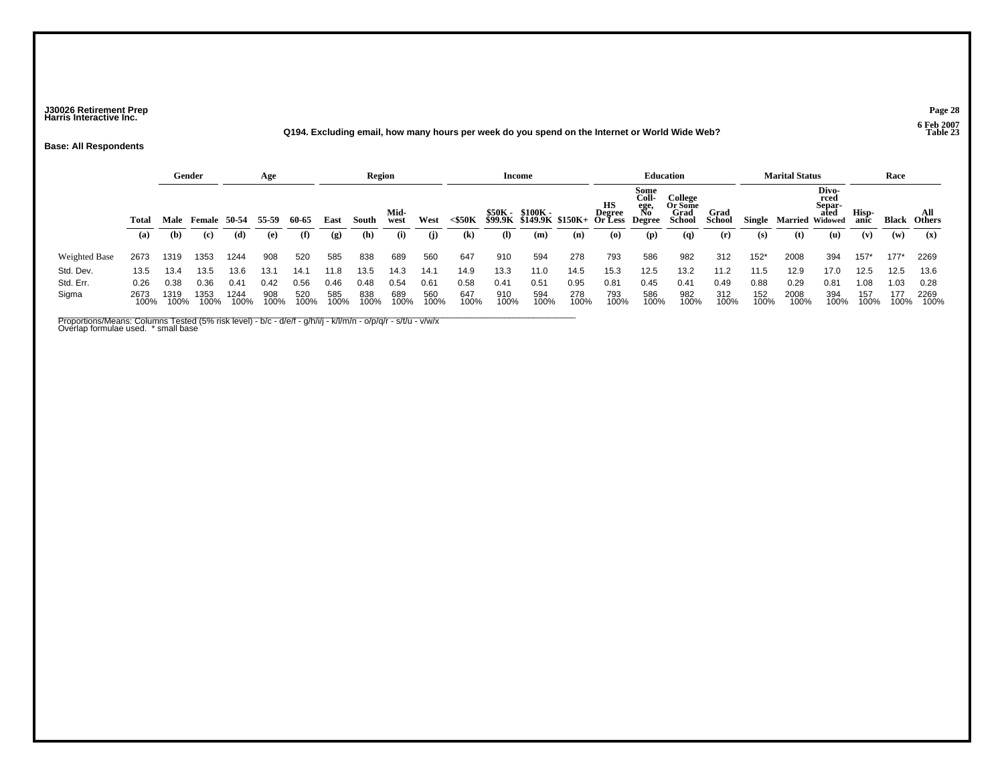### **J30026 Retirement Prep Page 28 Harris Interactive Inc.**

#### **Q194. Excluding email, how many hours per week do you spend on the Internet or World Wide Web? Table 23**

**Base: All Respondents**

|                      |              | Gender       |                     |              | Age         |             |             | Region      |              |             |                            |             | Income                                       |             |                         |                                              | <b>Education</b>                     |                       |             | <b>Marital Status</b>  |                                 |               | Race         |                      |
|----------------------|--------------|--------------|---------------------|--------------|-------------|-------------|-------------|-------------|--------------|-------------|----------------------------|-------------|----------------------------------------------|-------------|-------------------------|----------------------------------------------|--------------------------------------|-----------------------|-------------|------------------------|---------------------------------|---------------|--------------|----------------------|
|                      | Total        | Male         | <b>Female</b> 50-54 |              | 55-59       | 60-65       | East        | South       | Mid-<br>west | West        | $<$ \$50 $K$               |             | \$50K - \$100K -<br>\$99.9K \$149.9K \$150K+ |             | HS<br>Degree<br>Or Less | Some<br>Coll-<br>ege,<br>No<br><b>Degree</b> | College<br>Or Some<br>Grad<br>School | Grad<br><b>School</b> | Single      | <b>Married Widowed</b> | Divo-<br>rced<br>Separ-<br>ated | Hisp-<br>anic | <b>Black</b> | All<br><b>Others</b> |
|                      | (a)          | (b)          | (c)                 | (d)          | (e)         | (f)         | (g)         | (h)         | (i)          | (i)         | $\left( \mathbf{k}\right)$ | (I)         | (m)                                          | (n)         | (O)                     | (p)                                          | $\mathbf{q}$                         | (r)                   | (s)         | (t)                    | (u)                             | (v)           | (w)          | (x)                  |
| <b>Weighted Base</b> | 2673         | 1319         | 1353                | 1244         | 908         | 520         | 585         | 838         | 689          | 560         | 647                        | 910         | 594                                          | 278         | 793                     | 586                                          | 982                                  | 312                   | $152*$      | 2008                   | 394                             | $157*$        | $177*$       | 2269                 |
| Std. Dev.            | 13.5         | 13.4         | 13.5                | 13.6         | 13.1        | 14.1        | 11.8        | 13.5        | 14.3         | 14.1        | 14.9                       | 13.3        | 11.0                                         | 14.5        | 15.3                    | 12.5                                         | 13.2                                 | 11.2                  | 11.5        | 12.9                   | 17.0                            | 12.5          | 12.5         | 13.6                 |
| Std. Err.            | 0.26         | 0.38         | 0.36                | 0.41         | 0.42        | 0.56        | 0.46        | 0.48        | 0.54         | 0.61        | 0.58                       | 0.41        | 0.51                                         | 0.95        | 0.81                    | 0.45                                         | 0.41                                 | 0.49                  | 0.88        | 0.29                   | 0.81                            | 1.08          | 1.03         | 0.28                 |
| Sigma                | 2673<br>100% | 1319<br>100% | 1353                | 1244<br>100% | 908<br>100% | 520<br>100% | 585<br>100% | 838<br>100% | 689<br>100%  | 560<br>100% | 647<br>100%                | 910<br>100% | 594<br>100%                                  | 278<br>100% | 793<br>100%             | 586<br>100%                                  | 982<br>100%                          | 312<br>100%           | 152<br>100% | 2008<br>100%           | 394<br>100%                     | 157<br>100%   | 177<br>100%  | 2269<br>100%         |

\_\_\_\_\_\_\_\_\_\_\_\_\_\_\_\_\_\_\_\_\_\_\_\_\_\_\_\_\_\_\_\_\_\_\_\_\_\_\_\_\_\_\_\_\_\_\_\_\_\_\_\_\_\_\_\_\_\_\_\_\_\_\_\_\_\_\_\_\_\_\_\_\_\_\_\_\_\_\_\_\_\_\_\_\_\_\_\_\_\_\_\_\_\_\_\_\_\_\_\_\_\_\_\_\_\_\_\_\_ Proportions/Means: Columns Tested (5% risk level) - b/c - d/e/f - g/h/i/j - k/l/m/n - o/p/q/r - s/t/u - v/w/x Overlap formulae used. \* small base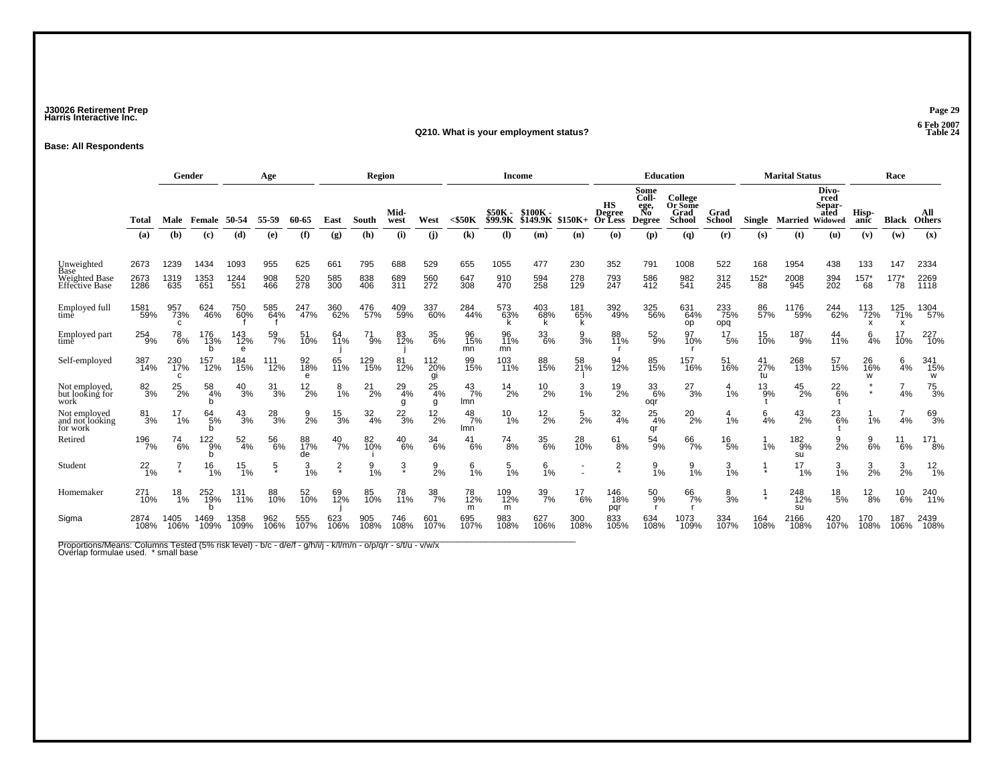### **J30026 Retirement Prep Page 29 Harris Interactive Inc.**

#### **Q210. What is your employment status?**

**Base: All Respondents**

|                                                                     |                      |                            | Gender              |                     | Age               |                   |                             | <b>Region</b>     |                   |                   |                      | <b>Income</b>             |                              |                   |                                | <b>Education</b>                             |                                             |                       |                             | <b>Marital Status</b> |                                            |                        | Race                        |                      |
|---------------------------------------------------------------------|----------------------|----------------------------|---------------------|---------------------|-------------------|-------------------|-----------------------------|-------------------|-------------------|-------------------|----------------------|---------------------------|------------------------------|-------------------|--------------------------------|----------------------------------------------|---------------------------------------------|-----------------------|-----------------------------|-----------------------|--------------------------------------------|------------------------|-----------------------------|----------------------|
|                                                                     | <b>Total</b>         | Male                       | Female              | 50-54               | 55-59             | 60-65             | East                        | South             | Mid-<br>west      | West              | $<$ \$50 $K$         | \$50K -<br><b>\$99.9K</b> | $$100K -$<br><b>\$149.9K</b> | $$150K+$          | HS<br><b>Degree</b><br>Or Less | Some<br>Coll-<br>ege,<br>No<br><b>Degree</b> | College<br>Or Some<br>Grad<br><b>School</b> | Grad<br><b>School</b> | Single                      | <b>Married</b>        | Divo-<br>rced<br>Separ-<br>ated<br>Widowed | Hisp-<br>anic          | <b>Black</b>                | All<br><b>Others</b> |
|                                                                     | (a)                  | (b)                        | (c)                 | (d)                 | (e)               | (f)               | $\left( \mathbf{g} \right)$ | (h)               | (i)               | (i)               | (k)                  | (1)                       | (m)                          | (n)               | $\boldsymbol{\omega}$          | (p)                                          | $\left( q\right)$                           | (r)                   | (s)                         | (t)                   | (u)                                        | (v)                    | (w)                         | (x)                  |
| Unweighted<br>Base<br><b>Weighted Base</b><br><b>Effective Base</b> | 2673<br>2673<br>1286 | 1239<br>1319<br>635        | 1434<br>1353<br>651 | 1093<br>1244<br>551 | 955<br>908<br>466 | 625<br>520<br>278 | 661<br>585<br>300           | 795<br>838<br>406 | 688<br>689<br>311 | 529<br>560<br>272 | 655<br>647<br>308    | 1055<br>910<br>470        | 477<br>594<br>258            | 230<br>278<br>129 | 352<br>793<br>247              | 791<br>586<br>412                            | 1008<br>982<br>541                          | 522<br>312<br>245     | 168<br>$^{152^{\ast}}_{88}$ | 1954<br>2008<br>945   | 438<br>394<br>202                          | 133<br>$^{157^*}_{68}$ | 147<br>$^{177^{\ast}}_{78}$ | 2334<br>2269<br>1118 |
| Employed full<br>time                                               | 1581<br>59%          | 957<br>73%<br>$\mathbf{C}$ | 624<br>46%          | 750<br>60%          | 585<br>64%        | 247<br>47%        | 360<br>62%                  | 476<br>57%        | 409<br>59%        | 337<br>60%        | 284<br>44%           | 573<br>63%                | 403<br>68%<br>k              | 181<br>65%<br>k   | 392<br>49%                     | 325<br>56%                                   | 631<br>64%<br>op                            | 233<br>75%<br>opq     | 86<br>57%                   | 1176<br>59%           | 244<br>62%                                 | 113<br>72%             | 125<br>71%<br>x             | 1304<br>57%          |
| Employed part                                                       | 254<br>9%            | 78<br>6%                   | 176<br>13%<br>h     | 143<br>12%<br>e     | 59<br>7%          | 51<br>10%         | 64<br>11%                   | $^{71}_{9\%}$     | 83<br>12%         | 35<br>6%          | 96<br>15%<br>mn      | 96<br>11%<br>mn           | 33<br>6%                     | $\frac{9}{3}$ %   | 88<br>11%                      | $^{52}_{9\%}$                                | 97<br>10%                                   | $^{17}_{\ 5\%}$       | 15<br>10%                   | 187<br>9%             | 44<br>11%                                  | $\frac{6}{4}$ %        | 17<br>10%                   | 227<br>10%           |
| Self-employed                                                       | 387<br>14%           | 230<br>17%<br>C            | 157<br>12%          | 184<br>15%          | 111<br>12%        | 92<br>18%         | 65<br>11%                   | 129<br>15%        | 81<br>12%         | 112<br>20%<br>gi  | 99<br>15%            | 103<br>11%                | 88<br>15%                    | 58<br>21%         | 94<br>12%                      | 85<br>15%                                    | 157<br>16%                                  | 51<br>16%             | 41<br>27%<br>tu             | 268<br>13%            | 57<br>15%                                  | 26<br>16%<br>w         | 6<br>4%                     | 341<br>15%<br>W      |
| Not employed.<br>but looking for<br>work                            | $^{82}_{3\%}$        | $^{25}_{2\%}$              | 58<br>4%            | $^{40}_{3\%}$       | $\frac{31}{3%}$   | $^{12}_{2\%}$     | $8_{1\%}$                   | $^{21}_{2\%}$     | $^{29}_{4\%}$     | $^{25}_{4\%}$     | $^{43}_{7\%}$<br>lmn | $^{14}_{2\%}$             | $^{10}_{2\%}$                | 3/1%              | $^{19}_{2\%}$                  | 33<br>6%<br>oqr                              | $^{27}_{3\%}$                               | 4<br>1%               | $^{13}_{9\%}$               | $^{45}_{2\%}$         | $^{22}_{6\%}$                              |                        | 4%                          | $^{75}_{3\%}$        |
| Not employed<br>and not looking<br>for work                         | $\frac{81}{3%}$      | 17<br>1%                   | $^{64}_{5\%}$<br>h  | $^{43}_{3\%}$       | $^{28}_{3\%}$     | $\frac{9}{2%}$    | $\frac{15}{3%}$             | $\frac{32}{4%}$   | $^{22}_{3\%}$     | $^{12}_{2\%}$     | $^{48}_{7\%}$<br>Imn | $^{10}_{1\%}$             | $12\frac{2}{2}\%$            | $\frac{5}{2%}$    | $\frac{32}{4\%}$               | $^{25}_{4\%}$<br>qr                          | $^{20}_{2\%}$                               | 4<br>1%               | 6<br>4%                     | $^{43}_{2\%}$         | $^{23}_{6\%}$                              | 1%                     | 4%                          | 69<br>3%             |
| Retired                                                             | 196<br>7%            | $^{74}_{6\%}$              | $^{122}_{9%}$       | $\frac{52}{4\%}$    | 56<br>6%          | 88<br>17%<br>de   | $^{40}_{7\%}$               | 82<br>10%         | $^{40}_{6\%}$     | 34<br>6%          | 41<br>6%             | $^{74}_{8\%}$             | 35<br>6%                     | 28<br>10%         | $^{61}_{8\%}$                  | $^{54}_{9\%}$                                | 66<br>7%                                    | $^{16}_{5\%}$         | 1%                          | 182<br>9%<br>su       | $\frac{9}{2}$ %                            | $\frac{9}{6\%}$        | $^{11}_{6\%}$               | $^{171}_{8\%}$       |
| Student                                                             | $^{22}_{1\%}$        |                            | $\frac{16}{1%}$     | $^{15}_{1\%}$       | $\frac{5}{3}$     | $\frac{3}{1\%}$   | $\frac{2}{x}$               | $\frac{9}{1\%}$   | $\frac{3}{2}$     | $\frac{9}{2\%}$   | $\frac{6}{1\%}$      | $\frac{5}{1\%}$           | $6\frac{6}{1\%}$             |                   | $\frac{2}{x}$                  | $\frac{9}{1\%}$                              | $\frac{9}{1%}$                              | $\frac{3}{1\%}$       |                             | 17<br>1%              | $\frac{3}{1%}$                             | $\frac{3}{2}$ %        | $\frac{3}{2\%}$             | $12_{1%}$            |
| Homemaker                                                           | 271<br>10%           | 18<br>1%                   | 252<br>19%          | 131<br>11%          | 88<br>10%         | 52<br>10%         | 69<br>12%                   | 85<br>10%         | 78<br>11%         | 38<br>7%          | 78<br>12%<br>m       | 109<br>12%<br>m           | 39<br>7%                     | 17<br>6%          | 146<br>18%<br>pqr              | 50<br>9%                                     | 66<br>7%                                    | $\frac{8}{3}$ %       |                             | 248<br>12%<br>su      | $^{18}_{\ 5\%}$                            | 12<br>$\overline{8}$ % | $^{10}_{6\%}$               | 240<br>11%           |
| Sigma                                                               | 2874<br>108%         | 1405<br>106%               | 1469<br>109%        | 1358<br>109%        | 962<br>106%       | 555<br>107%       | 623<br>106%                 | 905<br>108%       | 746<br>108%       | 601<br>107%       | 695<br>107%          | 983<br>108%               | 627<br>106%                  | 300<br>108%       | 833<br>105%                    | 634<br>108%                                  | 1073<br>109%                                | 334<br>107%           | 164<br>108%                 | 2166<br>108%          | 420<br>107%                                | 170<br>108%            | 187<br>106%                 | 2439<br>108%         |

Proportions/Means: Columns Tested (5% risk level) - b/c - d/e/f - g/h/i/j - k/l/m/n - o/p/q/r - s/t/u - v/w/x<br>Overlap formulae used. \* small base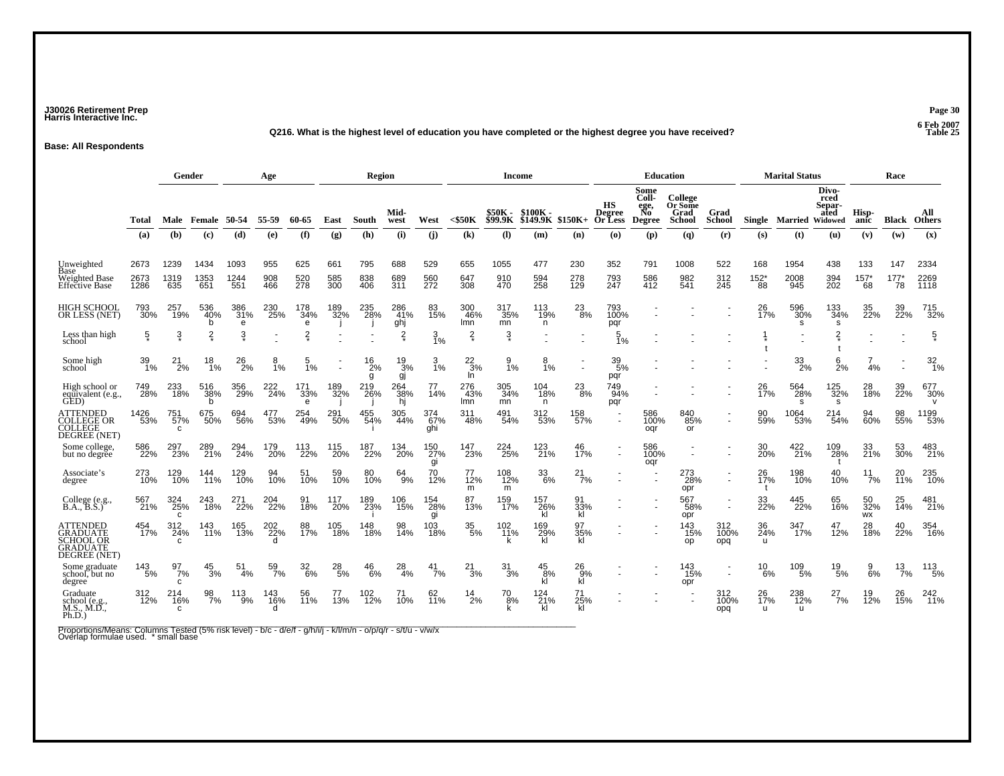### **J30026 Retirement Prep Page 30 Harris Interactive Inc.**

#### **Q216. What is the highest level of education you have completed or the highest degree you have received? Table 25**

**Base: All Respondents**

|                                                                             |              | Gender                     |                  |                 | Age        |                  |                          | Region          |                   |                   |                            | <b>Income</b>             |                                |                      |                                       | <b>Education</b>                             |                                      |                                            |                           | <b>Marital Status</b>  |                                 |                      | Race                |                            |
|-----------------------------------------------------------------------------|--------------|----------------------------|------------------|-----------------|------------|------------------|--------------------------|-----------------|-------------------|-------------------|----------------------------|---------------------------|--------------------------------|----------------------|---------------------------------------|----------------------------------------------|--------------------------------------|--------------------------------------------|---------------------------|------------------------|---------------------------------|----------------------|---------------------|----------------------------|
|                                                                             | Total        | Male                       | Female           | 50-54           | 55-59      | 60-65            | East                     | South           | Mid-<br>west      | West              | $<$ \$50 $K$               | \$50K -<br><b>\$99.9K</b> | $$100K -$<br>$$149.9K$ \$150K+ |                      | нs<br><b>Degree</b><br><b>Or Less</b> | Some<br>Coll-<br>ege,<br>No<br><b>Degree</b> | College<br>Or Some<br>Grad<br>School | Grad<br><b>School</b>                      |                           | Single Married Widowed | Divo-<br>rced<br>Separ-<br>ated | Hisp-<br>anic        | <b>Black Others</b> | All                        |
|                                                                             | (a)          | (b)                        | (c)              | (d)             | (e)        | (f)              | (g)                      | (h)             | (i)               | (i)               | $\left( \mathbf{k}\right)$ | (I)                       | (m)                            | (n)                  | $\boldsymbol{\omega}$                 | (p)                                          | (q)                                  | (r)                                        | (s)                       | (t)                    | (u)                             | (v)                  | (w)                 | (x)                        |
| Unweighted<br>Base                                                          | 2673         | 1239                       | 1434             | 1093            | 955        | 625              | 661                      | 795             | 688               | 529               | 655                        | 1055                      | 477                            | 230                  | 352                                   | 791                                          | 1008                                 | 522                                        | 168                       | 1954                   | 438                             | 133                  | 147                 | 2334                       |
| <b>Weighted Base</b><br><b>Effective Base</b>                               | 2673<br>1286 | 1319<br>635                | 1353<br>651      | 1244<br>551     | 908<br>466 | 520<br>278       | 585<br>300               | 838<br>406      | 689<br>311        | 560<br>272        | 647<br>308                 | 910<br>470                | 594<br>258                     | 278<br>129           | 793<br>247                            | 586<br>412                                   | 982<br>541                           | 312<br>245                                 | $^{152^{\star}}_{88}$     | 2008<br>945            | 394<br>202                      | $^{157^*}_{68}$      | $177*$<br>78        | 2269<br>1118               |
| <b>HIGH SCHOOL</b><br>OR LESS (NET)                                         | 793<br>30%   | 257<br>19%                 | 536<br>40%       | 386<br>31%<br>e | 230<br>25% | 178<br>34%<br>e  | 189<br>32%               | 235<br>28%      | 286<br>41%<br>ghj | 83<br>15%         | 300<br>46%<br>lmn          | 317<br>35%<br>mn          | 113<br>19%<br>n                | 23<br>8%             | 793<br>100%<br>pqr                    |                                              |                                      |                                            | 26<br>17%                 | 596<br>30%<br>s        | 133<br>34%<br>s                 | 35<br>22%            | 39<br>22%           | 715<br>32%                 |
| Less than high<br>school                                                    | 5            | Ş                          | $\frac{2}{x}$    | 3               |            | $\frac{2}{3}$    |                          |                 | $\frac{2}{x}$     | $\frac{3}{1\%}$   | $\frac{2}{x}$              | $\frac{3}{5}$             |                                |                      | 5<br>1%                               |                                              |                                      |                                            |                           | $\blacksquare$         | $\frac{2}{x}$                   |                      |                     | $\frac{5}{\ast}$           |
| Some high<br>school                                                         | 39<br>1%     | 21<br>2%                   | 18<br>1%         | $^{26}_{2\%}$   | 8<br>1%    | 5<br>1%          | $\overline{\phantom{a}}$ | 16<br>2%<br>g   | 19<br>3%<br>gj    | 3<br>1%           | $\frac{22}{3%}$<br>In.     | 9<br>1%                   | 8<br>1%                        |                      | $39 \atop 5\%$<br>pqr                 |                                              |                                      |                                            |                           | $\frac{33}{2\%}$       | 6<br>2%                         | $\overline{7}$<br>4% | $\blacksquare$      | $\frac{32}{1\%}$           |
| High school or<br>equivalent (e.g.,<br>GED)                                 | 749<br>28%   | 233<br>18%                 | 516<br>38%       | 356<br>29%      | 222<br>24% | 171<br>33%<br>e  | 189<br>32%               | $^{219}_{26\%}$ | 264<br>38%<br>hj  | 77<br>14%         | 276<br>43%<br>lmn          | 305<br>34%<br>mn          | 104<br>18%<br>n                | $^{23}_{8\%}$        | 749<br>94%<br>pqr                     |                                              |                                      |                                            | 26<br>17%                 | 564<br>28%<br>s        | 125<br>32%<br>s                 | 28<br>18%            | 39<br>22%           | 677<br>30%<br>$\mathsf{v}$ |
| <b>ATTENDED</b><br><b>COLLEGE OR</b><br>COLLEGE<br>DEGREE (NET)             | 1426<br>53%  | 57%<br>C.                  | 675<br>50%       | 694<br>56%      | 477<br>53% | 254<br>49%       | 291<br>50%               | 455<br>54%      | 305<br>44%        | 374<br>67%<br>ghi | 311<br>48%                 | 491<br>54%                | 312<br>53%                     | 158<br>57%           |                                       | 586<br>100%<br>oqr                           | 840<br>85%<br>or                     | $\sim$                                     | 90<br>59%                 | 1064<br>53%            | 214<br>54%                      | 94<br>60%            | 98<br>55%           | 1199<br>53%                |
| Some college.<br>but no degree                                              | 586<br>22%   | 297<br>23%                 | 289<br>21%       | 294<br>24%      | 179<br>20% | 113<br>22%       | 115<br>20%               | 187<br>22%      | 134<br>20%        | 150<br>27%<br>gi  | 147<br>23%                 | 224<br>25%                | 123<br>21%                     | 46<br>17%            | $\sim$                                | 586<br>100%<br>oqr                           |                                      | ÷.                                         | 30<br>20%                 | 422<br>21%             | 109<br>28%                      | 33<br>21%            | 53<br>30%           | 483<br>21%                 |
| Associate's<br>degree                                                       | 273<br>10%   | 129<br>10%                 | 144<br>11%       | 129<br>10%      | 94<br>10%  | 51<br>10%        | 59<br>10%                | 80<br>10%       | 64<br>9%          | 70<br>12%         | 77<br>12%<br>m             | 108<br>12%<br>m           | 33<br>6%                       | 21<br>7%             |                                       |                                              | 273<br>28%<br>opr                    | $\overline{\phantom{a}}$                   | 26<br>17%                 | 198<br>10%             | 40<br>10%                       | 11<br>7%             | 20<br>11%           | 235<br>10%                 |
| College (e.g., B.A., B.S.)                                                  | 567<br>21%   | 324<br>25%<br>C            | 243<br>18%       | 271<br>22%      | 204<br>22% | 18%              | 117<br>20%               | 189<br>23%      | 106<br>15%        | 154<br>28%<br>gi  | 87<br>13%                  | 159<br>17%                | 157<br>26%<br>kl               | 91<br>33%<br>kl      |                                       |                                              | 567<br>58%<br>opr                    | $\blacksquare$<br>$\blacksquare$           | 33<br>22%                 | 445<br>22%             | 65<br>16%                       | 50<br>32%<br>WX      | 25<br>14%           | 481<br>21%                 |
| <b>ATTENDED</b><br>GRADUATE<br><b>SCHOOL OR</b><br>GRADUATE<br>DEGREE (NET) | 454<br>17%   | 312<br>24%                 | 143<br>11%       | 165<br>13%      | 202<br>22% | 88<br>17%        | 105<br>18%               | 148<br>18%      | 98<br>14%         | 103<br>18%        | 35<br>5%                   | 102<br>11%                | 169<br>29%<br>kl               | 97<br>$\frac{35}{k}$ |                                       |                                              | 143<br>15%<br><b>OD</b>              | 312<br>100%<br>opq                         | 36<br>24%<br>$\mathbf{u}$ | 347<br>17%             | 47<br>12%                       | 28<br>18%            | 40<br>22%           | 354<br>16%                 |
| Some graduate<br>school, but no<br>degree                                   | 143<br>5%    | 97<br>$7\%$<br>C           | $^{45}_{3\%}$    | 51<br>4%        | 59<br>7%   | 32 <sub>6%</sub> | $^{28}_{5\%}$            | $^{46}_{6\%}$   | 28<br>4%          | $^{41}_{7\%}$     | $^{21}_{3\%}$              | $\frac{31}{3%}$           | $^{45}_{.8\%}$<br>kl           | $^{26}_{9%}$<br>кī   |                                       |                                              | 143<br>15%<br>opr                    | $\overline{\phantom{a}}$<br>$\blacksquare$ | $^{10}_{6\%}$             | 109<br>5%              | 19<br>5%                        | $\frac{9}{6}$ %      | $\frac{13}{7\%}$    | $113 \atop 5\%$            |
| Graduate<br>school (e.g.<br>M.S., M.D.,<br>Ph.D.)                           | 312<br>12%   | 214<br>16%<br>$\mathbf{C}$ | $\frac{98}{7\%}$ | $^{113}_{9\%}$  | 143<br>16% | 56<br>11%        | 77<br>13%                | 102<br>12%      | 71<br>10%         | 62<br>11%         | $^{14}_{2\%}$              | 70<br>8%                  | $^{124}_{21\%}$<br>kl          | 71<br>25%<br>kl      |                                       |                                              |                                      | 312<br>100%<br>opq                         | 26<br>17%<br>$\mathbf{u}$ | 238<br>12%<br>u        | $^{27}_{7\%}$                   | 19<br>12%            | 26<br>15%           | 242<br>11%                 |

Proportions/Means: Columns Tested (5% risk level) - b/c - d/e/f - g/h/i/j - k/l/m/n - o/p/q/r - s/t/u - v/w/x<br>Overlap formulae used. \* small base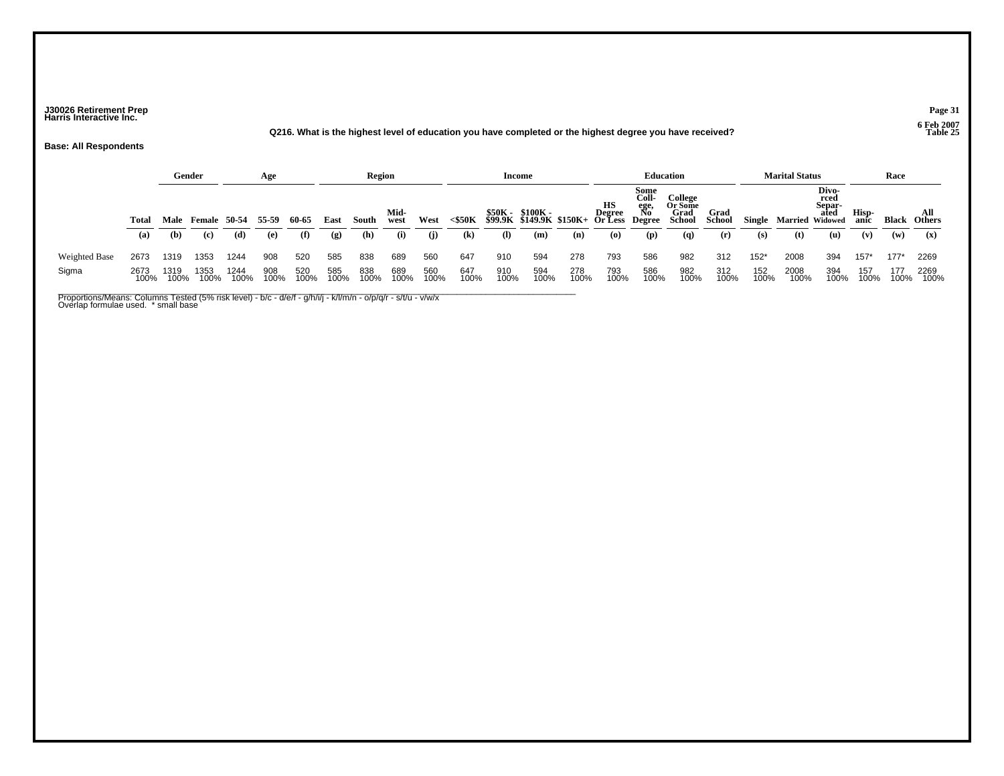### **J30026 Retirement Prep Page 31 Harris Interactive Inc.**

**Q216. What is the highest level of education you have completed or the highest degree you have received? Table 25**

**Base: All Respondents**

|               |              | Gender       |                          |              | Age          |              |             | Region       |                     |             |               | Income       |                                                     |             |                                                                                            |                                    | <b>Education</b>                            |                       |               | <b>Marital Status</b>         |                                        |                      | Race         |                                        |
|---------------|--------------|--------------|--------------------------|--------------|--------------|--------------|-------------|--------------|---------------------|-------------|---------------|--------------|-----------------------------------------------------|-------------|--------------------------------------------------------------------------------------------|------------------------------------|---------------------------------------------|-----------------------|---------------|-------------------------------|----------------------------------------|----------------------|--------------|----------------------------------------|
|               | Total<br>(a) | (b)          | Male Female 50-54<br>(c) | (d)          | 55-59<br>(e) | 60-65<br>(f) | East<br>(g) | South<br>(h) | Mid-<br>west<br>(i) | West<br>(j) | <\$50K<br>(k) | $\mathbf{I}$ | \$50K - \$100K -<br>\$99.9K \$149.9K \$150K+<br>(m) | (n)         | HS<br>Degree No <sup>o</sup><br>Or Less Degree<br>$\boldsymbol{\left( \mathbf{0} \right)}$ | Some<br>Coll-<br>ege,<br>No<br>(p) | College<br>Or Some<br>Grad<br>School<br>(q) | Grad<br>School<br>(r) | Single<br>(s) | <b>Married Widowed</b><br>(t) | Divo-<br>rced<br>Separ-<br>ated<br>(u) | Hisp-<br>anic<br>(v) | Black<br>(w) | All<br><b>Others</b><br>$(\mathbf{x})$ |
| Weighted Base | 2673         | 1319         | 1353                     | 1244         | 908          | 520          | 585         | 838          | 689                 | 560         | 647           | 910          | 594                                                 | 278         | 793                                                                                        | 586                                | 982                                         | 312                   | $152*$        | 2008                          | 394                                    | 157'                 | $177*$       | 2269                                   |
| Sigma         | 2673<br>100% | 1319<br>100% | 1353<br>100%             | 1244<br>100% | 908<br>100%  | 520<br>100%  | 585<br>100% | 838<br>100%  | 689<br>100%         | 560<br>100% | 647<br>100%   | 910<br>100%  | 594<br>100%                                         | 278<br>100% | 793<br>100%                                                                                | 586<br>100%                        | 982<br>100%                                 | 312<br>100%           | 152<br>100%   | 2008<br>100%                  | 394<br>100%                            | 157<br>100%          | 177<br>100%  | 2269<br>100%                           |

Proportions/Means: Columns Tested (5% risk level) - b/c - d/e/f - g/h/i/j - k/l/m/n - o/p/q/r - s/t/u - v/w/x<br>Overlap formulae used. \* small base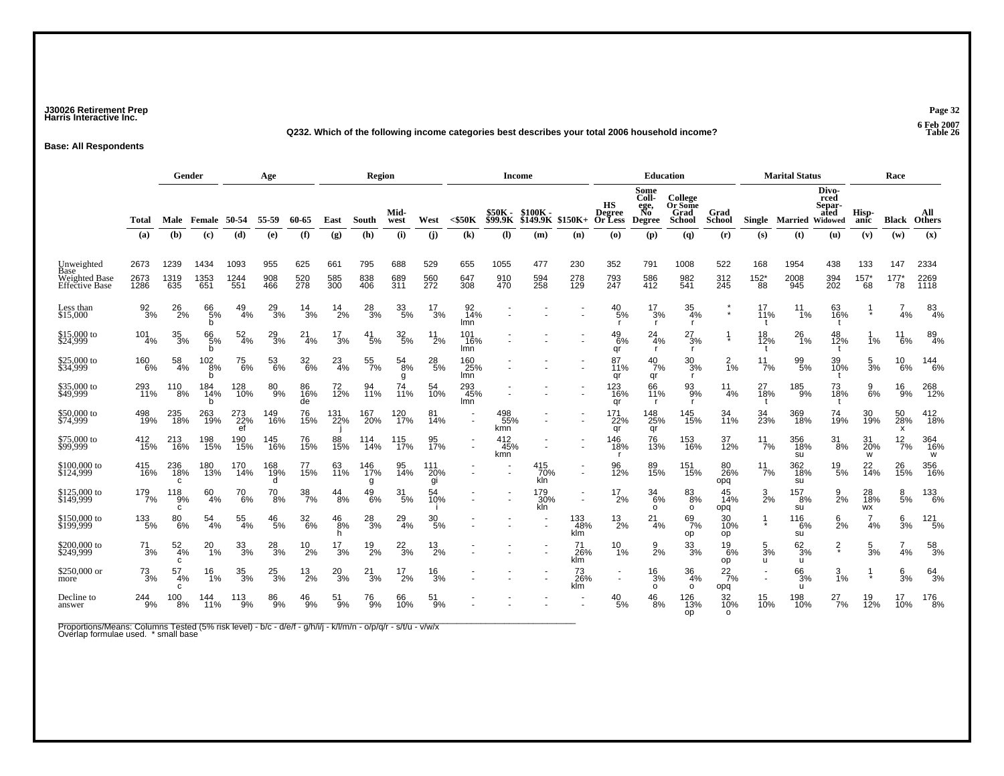### **J30026 Retirement Prep Page 32 Harris Interactive Inc.**

#### **Q232. Which of the following income categories best describes your total 2006 household income? Table 26**

**Base: All Respondents**

|                                            |                      | Gender              |                       |                     | Age               |                        |                             | <b>Region</b>     |                      |                   |                            |                             | <b>Income</b>       |                               |                                       |                                              | <b>Education</b>                     |                       |                             | <b>Marital Status</b> |                                            |                        | Race                      |                      |
|--------------------------------------------|----------------------|---------------------|-----------------------|---------------------|-------------------|------------------------|-----------------------------|-------------------|----------------------|-------------------|----------------------------|-----------------------------|---------------------|-------------------------------|---------------------------------------|----------------------------------------------|--------------------------------------|-----------------------|-----------------------------|-----------------------|--------------------------------------------|------------------------|---------------------------|----------------------|
|                                            | Total                | Male                | Female                | 50-54               | 55-59             | 60-65                  | East                        | South             | Mid-<br>west         | West              | $<$ \$50 $K$               | \$50K -<br><b>\$99.9K</b>   | \$100K-<br>\$149.9K | $$150K+$                      | HS<br><b>Degree</b><br><b>Or Less</b> | Some<br>Coll-<br>ege,<br>No<br><b>Degree</b> | College<br>Or Some<br>Grad<br>School | Grad<br><b>School</b> |                             | Single Married        | Divo-<br>rced<br>Separ-<br>ated<br>Widowed | Hisp-<br>anic          | <b>Black</b>              | All<br><b>Others</b> |
|                                            | (a)                  | (b)                 | (c)                   | (d)                 | (e)               | (f)                    | $\left( \mathbf{g} \right)$ | (h)               | (i)                  | (i)               | $\left( \mathbf{k}\right)$ | $\left( \mathbf{I} \right)$ | (m)                 | (n)                           | $\boldsymbol{\omega}$                 | (p)                                          | (q)                                  | (r)                   | (s)                         | (t)                   | (u)                                        | (v)                    | (w)                       | (x)                  |
| Unweighted<br>Base<br><b>Weighted Base</b> | 2673<br>2673<br>1286 | 1239<br>1319<br>635 | 1434<br>1353<br>651   | 1093<br>1244<br>551 | 955<br>908<br>466 | 625<br>520<br>278      | 661<br>585<br>300           | 795<br>838<br>406 | 688<br>689<br>311    | 529<br>560<br>272 | 655<br>647                 | 1055<br>910                 | 477<br>594<br>258   | 230<br>278<br>129             | 352<br>793<br>247                     | 791<br>586<br>412                            | 1008<br>982<br>541                   | 522<br>312<br>245     | 168<br>$^{152^{\ast}}_{88}$ | 1954<br>2008          | 438<br>394<br>202                          | 133<br>$157*$          | 147<br>177                | 2334<br>2269         |
| <b>Effective Base</b>                      |                      |                     |                       |                     |                   |                        |                             |                   |                      |                   | 308                        | 470                         |                     |                               |                                       |                                              |                                      |                       |                             | 945                   |                                            | 68                     | 78                        | <b>1118</b>          |
| Less than<br>\$15,000                      | 92<br>3%             | 26<br>2%            | 66<br>5%<br>b         | 49<br>4%            | $^{29}_{3\%}$     | 14<br>3%               | 14<br>2%                    | $^{28}_{3\%}$     | 33<br>5%             | 17<br>3%          | 92<br>14%<br>lmn           |                             |                     |                               | 40<br>5%                              | 17<br>3%<br>$\mathsf{r}$                     | 35<br>4%<br>$\mathsf{r}$             | $\star$               | 17<br>11%                   | 11<br>1%              | 63<br>16%                                  | $\star$                | 4%                        | 83<br>4%             |
| \$15,000 to<br>\$24,999                    | 101<br>4%            | $\frac{35}{3\%}$    | 66<br>5%<br>h         | 52<br>4%            | $^{29}_{3\%}$     | 21<br>-4%              | 17<br>3%                    | $^{41}_{5\%}$     | $\frac{32}{5\%}$     | $^{11}_{2\%}$     | 101<br>16%<br>lmn          |                             |                     |                               | $^{49}_{6\%}$<br>qr                   | 24<br>4%<br>-r                               | 27<br>3%<br><b>r</b>                 | $\star$               | 18<br>12%                   | $^{26}_{1\%}$         | 48<br>12%                                  | 1%                     | 11<br>6%                  | 89<br>4%             |
| \$25,000 to<br>\$34,999                    | 160<br>6%            | 58<br>4%            | $\frac{102}{8%}$<br>h | 75<br>6%            | 53<br>6%          | $\frac{32}{6\%}$       | $^{23}_{4\%}$               | 55<br>7%          | $^{54}_{\ 8\%}$<br>g | $^{28}_{\ 5\%}$   | 160<br>25%<br>lmn          |                             |                     |                               | 87<br>11%<br>qr                       | 40<br>7%<br>qr                               | 30<br>3%                             | $\frac{2}{1\%}$       | 11<br>7%                    | 99<br>5%              | 39<br>10%                                  | 5<br>3%                | 10<br>6%                  | 144<br>6%            |
| \$35,000 to<br>\$49,999                    | 293<br>11%           | 110<br>$.8\%$       | 184<br>14%<br>h       | 128<br>10%          | 80<br>9%          | 86<br>16%<br>de        | 72<br>12%                   | 11%               | 11%                  | 54<br>10%         | 293<br>45%<br>lmn          |                             |                     |                               | 123<br>16%<br>qr                      | 66<br>11%<br>-r                              | 93<br>9%<br>r.                       | 11<br>4%              | 27<br>$\overline{18\%}$     | 185<br>9%             | 73<br>18%                                  | 9<br>6%                | 16<br>$.9\%$              | 268<br>12%           |
| \$50,000 to<br>\$74,999                    | 498<br>19%           | 235<br>18%          | 263<br>19%            | 273<br>22%<br>ef    | 149<br>16%        | 76<br>15%              | 131<br>22%                  | 167<br>20%        | 120<br>17%           | 81<br>14%         |                            | 498<br>55%<br>kmn           |                     |                               | 171<br>22%<br>qr                      | 148<br>25%<br>qr                             | 145<br>15%                           | 34<br>11%             | 34<br>23%                   | 369<br>18%            | 74<br>19%                                  | 30<br>19%              | 50<br>28%<br>$\mathsf{x}$ | $^{412}_{18\%}$      |
| \$75,000 to<br>\$99,999                    | $^{412}_{15\%}$      | 213<br>16%          | 198<br>15%            | 190<br>15%          | 145<br>16%        | 76<br>15%              | 88<br>15%                   | 114<br>14%        | 115<br>17%           | 95<br>17%         |                            | 412<br>45%<br>kmn           |                     |                               | 146<br>18%<br>.r                      | 76<br>13%                                    | 153<br>16%                           | 37<br>12%             | $^{11}_{7\%}$               | 356<br>18%<br>su      | 31<br>8%                                   | 31<br>20%<br>W         | $^{12}_{7\%}$             | 364<br>16%<br>w      |
| \$100,000 to<br>\$124,999                  | 415<br>16%           | 236<br>18%<br>c     | 180<br>13%            | 170<br>14%          | 168<br>19%<br>d   | 77<br>15%              | 63<br>11%                   | 146<br>17%<br>q   | 95<br>14%            | 111<br>20%<br>gi  |                            |                             | 415<br>70%<br>kln   | $\sim$                        | 96<br>12%                             | 89<br>15%                                    | 151<br>15%                           | 80<br>26%<br>opq      | $\frac{11}{7\%}$            | 362<br>18%<br>su      | $^{19}_{\ 5\%}$                            | 22<br>14%              | 26<br>15%                 | 356<br>16%           |
| \$125,000 to<br>\$149,999                  | 179<br>7%            | 118<br>9%<br>c      | 60<br>4%              | 70<br>6%            | $\frac{70}{8\%}$  | 38<br>7%               | 44<br>8%                    | $^{49}_{6\%}$     | 31<br>5%             | 54<br>10%         |                            |                             | 179<br>30%<br>kln   | $\overline{\phantom{a}}$<br>٠ | 17<br>2%                              | 34<br>6%<br>o                                | 83<br>8%<br>$\circ$                  | 45<br>14%<br>opq      | 3<br>2%                     | 157<br>8%<br>su       | 9<br>2%                                    | 28<br><b>18%</b><br>WX | 8<br>5%                   | 133<br>6%            |
| \$150,000 to<br>\$199,999                  | $^{133}_{\ 5\%}$     | 80<br>6%            | 54<br>4%              | 55<br>4%            | $^{46}_{5\%}$     | 32<br>$\overline{6}\%$ | 46<br>$.8\%$<br>h.          | 28<br>3%          | $^{29}_{4\%}$        | 30<br>5%          |                            |                             |                     | 133<br>48%<br>klm             | $^{13}_{2\%}$                         | 21<br>4%                                     | 69<br>7%<br>op                       | 30<br>10%<br>op       |                             | 116<br>6%<br>su       | 6<br>2%                                    | $\overline{7}$<br>4%   | 6<br>3%                   | 121<br>5%            |
| \$200,000 to<br>\$249,999                  | 71<br>3%             | 52<br>4%<br>C       | 20<br>1%              | $\frac{33}{3\%}$    | $^{28}_{3\%}$     | 10<br>2%               | 17<br>3%                    | $^{19}_{2\%}$     | $\frac{22}{3%}$      | 13<br>2%          |                            |                             |                     | 71<br>26%<br>klm              | 10<br>1%                              | 9<br>2%                                      | 33<br>3%                             | 19<br>6%<br>op        | 5<br>3%<br>u                | 62<br>3%<br>u         | $\frac{2}{x}$                              | 5<br>3%                | 4%                        | 58<br>3%             |
| \$250,000 or<br>more                       | $^{73}_{3\%}$        | 57<br>4%<br>C       | 16<br>1%              | $\frac{35}{3\%}$    | $^{25}_{3\%}$     | $^{13}_{2\%}$          | $^{20}_{3\%}$               | $^{21}_{3\%}$     | 17<br>2%             | $\frac{16}{3%}$   |                            |                             |                     | 73<br>26%<br>klm              | $\overline{\phantom{a}}$              | 16<br>3%<br>o                                | 36<br>4%<br>$\circ$                  | $^{22}_{7\%}$<br>opq  |                             | 66<br>3%<br>u         | $\frac{3}{1\%}$                            |                        | 6<br>3%                   | $64 \over 3\%$       |
| Decline to<br>answer                       | 244<br>9%            | 100<br>8%           | 144<br>11%            | 113<br>9%           | 86<br>9%          | 46<br>9%               | 51<br>9%                    | 76<br>9%          | 66<br>10%            | 51<br>9%          |                            |                             |                     |                               | 40<br>5%                              | 46<br>8%                                     | 126<br>13%<br>op                     | 32<br>10%<br>$\Omega$ | 15<br>10%                   | 198<br>10%            | 27<br>7%                                   | 19<br>12%              | 17<br>10%                 | 176<br>8%            |

Proportions/Means: Columns Tested (5% risk level) - b/c - d/e/f - g/h/i/j - k/l/m/n - o/p/q/r - s/t/u - v/w/x<br>Overlap formulae used. \* small base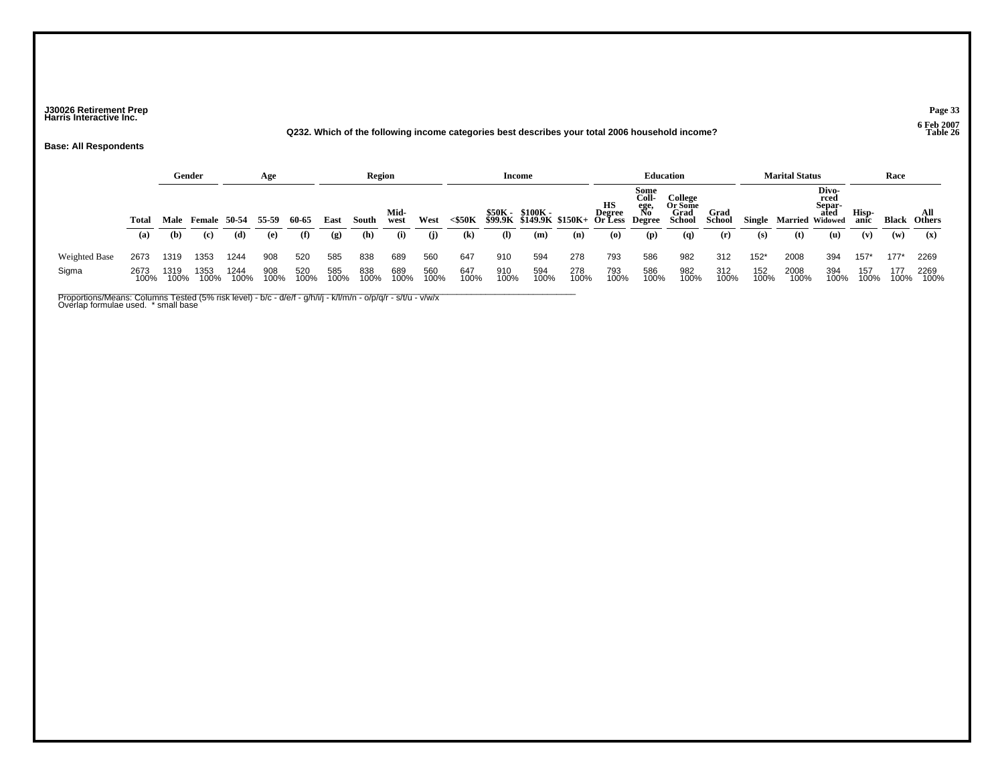### **J30026 Retirement Prep Page 33 Harris Interactive Inc.**

#### **Q232. Which of the following income categories best describes your total 2006 household income? Table 26**

**Base: All Respondents**

|               |              |              | Gender        |              | Age          |              |             | <b>Region</b> |                     |             |                                         | Income       |                                                     |             |                                                                                            |                                    | <b>Education</b>                                     |                              |               | <b>Marital Status</b>         |                                        |                      | Race         |                                        |
|---------------|--------------|--------------|---------------|--------------|--------------|--------------|-------------|---------------|---------------------|-------------|-----------------------------------------|--------------|-----------------------------------------------------|-------------|--------------------------------------------------------------------------------------------|------------------------------------|------------------------------------------------------|------------------------------|---------------|-------------------------------|----------------------------------------|----------------------|--------------|----------------------------------------|
|               | Total<br>(a) | Male<br>(b)  | Female<br>(c) | 50-54<br>(d) | 55-59<br>(e) | 60-65<br>(f) | East<br>(g) | South<br>(h)  | Mid-<br>west<br>(i) | West<br>(i) | $<$ \$50K<br>$\left( \mathbf{k}\right)$ | $\mathbf{I}$ | \$50K - \$100K -<br>\$99.9K \$149.9K \$150K+<br>(m) | (n)         | HS<br>Degree No <sup>V</sup><br>Or Less Degree<br>$\boldsymbol{\left( \mathbf{0} \right)}$ | Some<br>Coll-<br>ege,<br>No<br>(p) | College<br>Or Some<br>Grad<br>School<br>$\mathbf{q}$ | <b>Grad</b><br>School<br>(r) | Single<br>(s) | <b>Married Widowed</b><br>(t) | Divo-<br>rced<br>Separ-<br>ated<br>(u) | Hisp-<br>anic<br>(v) | Black<br>(w) | All<br><b>Others</b><br>$(\mathbf{x})$ |
| Weighted Base | 2673         | 1319         | 1353          | 1244         | 908          | 520          | 585         | 838           | 689                 | 560         | 647                                     | 910          | 594                                                 | 278         | 793                                                                                        | 586                                | 982                                                  | 312                          | $152*$        | 2008                          | 394                                    | 157'                 | $177*$       | 2269                                   |
| Sigma         | 2673<br>100% | 1319<br>100% | 1353<br>100%  | 1244<br>100% | 908<br>100%  | 520<br>100%  | 585<br>100% | 838<br>100%   | 689<br>100%         | 560<br>100% | 647<br>100%                             | 910<br>100%  | 594<br>100%                                         | 278<br>100% | 793<br>100%                                                                                | 586<br>100%                        | 982<br>100%                                          | 312<br>100%                  | 152<br>100%   | 2008<br>100%                  | 394<br>100%                            | 157<br>100%          | 177<br>100%  | 2269<br>100%                           |

Proportions/Means: Columns Tested (5% risk level) - b/c - d/e/f - g/h/i/j - k/l/m/n - o/p/q/r - s/t/u - v/w/x<br>Overlap formulae used. \* small base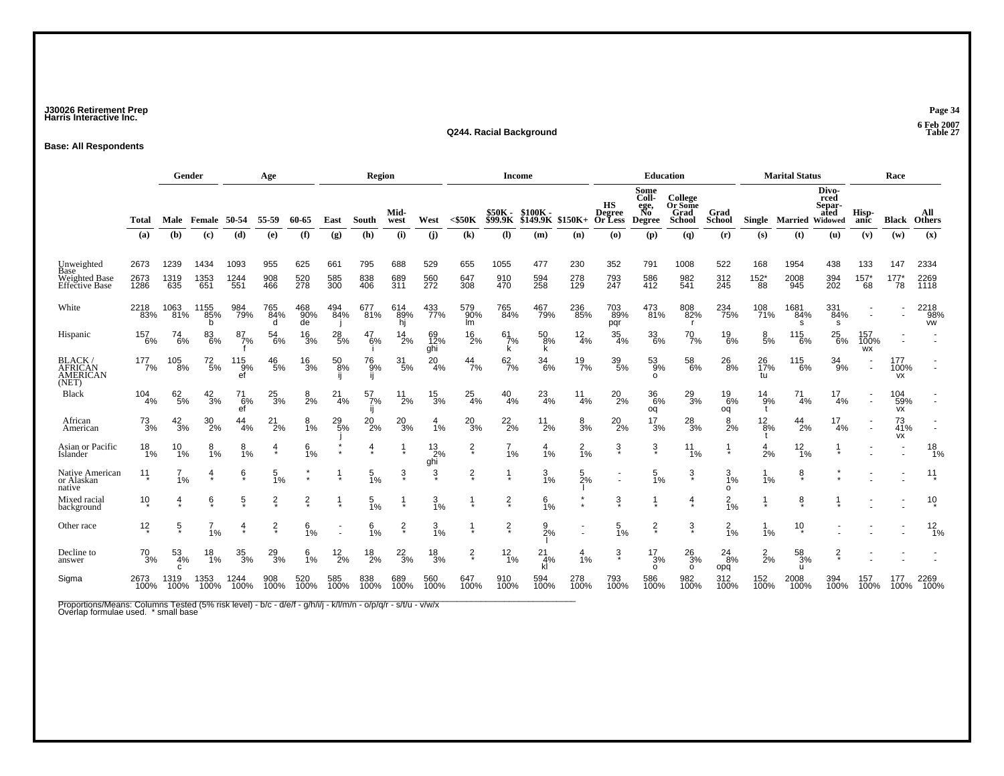### **J30026 Retirement Prep Page 34 Harris Interactive Inc.**

#### **Q244. Racial Background Table 27**

**Base: All Respondents**

|                                                                     |                      | Gender                 |                     |                     | Age               |                   |                   | Region            |                   |                      |                   | <b>Income</b>         |                     |                   |                                          | <b>Education</b>                             |                                             |                       |                             | <b>Marital Status</b>    |                                 |                        | Race                 |                          |
|---------------------------------------------------------------------|----------------------|------------------------|---------------------|---------------------|-------------------|-------------------|-------------------|-------------------|-------------------|----------------------|-------------------|-----------------------|---------------------|-------------------|------------------------------------------|----------------------------------------------|---------------------------------------------|-----------------------|-----------------------------|--------------------------|---------------------------------|------------------------|----------------------|--------------------------|
|                                                                     | Total                |                        | Male Female 50-54   |                     | 55-59             | 60-65             | East              | South             | Mid-<br>west      | West                 | $<$ \$50 $K$      | \$50K -<br>\$99.9K    | \$100K-<br>\$149.9K | \$150K+           | нs<br><b>Degree</b><br><b>Or Less</b>    | Some<br>Coll-<br>ege,<br>No<br><b>Degree</b> | College<br>Or Some<br>Grad<br><b>School</b> | Grad<br><b>School</b> |                             | Single Married Widowed   | Divo-<br>rced<br>Separ-<br>ated | Hisp-<br>anic          | Black                | All<br><b>Others</b>     |
|                                                                     | (a)                  | (b)                    | (c)                 | (d)                 | (e)               | (f)               | (g)               | (h)               | (i)               | (i)                  | (k)               | (1)                   | (m)                 | (n)               | $\boldsymbol{\left( \mathbf{0}\right) }$ | (p)                                          | $\left( q\right)$                           | (r)                   | (s)                         | (t)                      | (u)                             | (v)                    | (w)                  | (x)                      |
| Unweighted<br>Base<br><b>Weighted Base</b><br><b>Effective Base</b> | 2673<br>2673<br>1286 | 1239<br>1319<br>635    | 1434<br>1353<br>651 | 1093<br>1244<br>551 | 955<br>908<br>466 | 625<br>520<br>278 | 661<br>585<br>300 | 795<br>838<br>406 | 688<br>689<br>311 | 529<br>560<br>272    | 655<br>647<br>308 | 1055<br>910<br>470    | 477<br>594<br>258   | 230<br>278<br>129 | 352<br>793<br>247                        | 791<br>586<br>412                            | 1008<br>982<br>541                          | 522<br>312<br>245     | 168<br>$^{152^{\ast}}_{88}$ | 1954<br>2008<br>945      | 438<br>394<br>202               | 133<br>$^{157^*}_{68}$ | 147<br>$^{177}_{78}$ | 2334<br>2269<br>1118     |
| White                                                               | 2218<br>83%          | 1063<br>81%            | 1155<br>85%<br>h    | 984<br>79%          | 765<br>84%<br>d   | 468<br>90%<br>de  | 494<br>84%        | 677<br>81%        | 614<br>89%<br>hi  | 433<br>77%           | 579<br>90%<br>Im  | 765<br>84%            | 467<br>79%          | 236<br>85%        | 703<br>89%<br>pqr                        | 473<br>81%                                   | 808<br>82%<br><b>r</b>                      | 234<br>75%            | 108<br>71%                  | 1681<br>84%<br><b>s</b>  | 331<br>84%<br>s                 |                        |                      | 2218<br>98%<br><b>VW</b> |
| Hispanic                                                            | 157<br>6%            | $^{74}_{6\%}$          | $^{83}_{6\%}$       | 87<br>7%            | 54<br>6%          | $^{16}_{3\%}$     | 28<br>5%          | 47<br>6%          | 14<br>2%          | 12%<br>ghi           | 16<br>2%          | 61<br>7%<br>k         | 50<br>8%<br>ĸ       | $\frac{12}{4\%}$  | 35<br>4%                                 | $\frac{33}{6\%}$                             | $^{70}_{7\%}$                               | $^{19}_{6\%}$         | 8<br>5%                     | $^{115}_{6\%}$           | $^{25}_{6\%}$                   | 157<br>100%<br>WX      |                      |                          |
| <b>BLACK</b><br><b>AFRICAN</b><br><b>AMERICAN</b><br>(NET)          | 177<br>7%            | 105<br>8%              | $^{72}_{\ 5\%}$     | 115<br>9%<br>ef     | 46<br>5%          | $\frac{16}{3%}$   | $^{50}_{8\%}$     | 76<br>9%          | $\frac{31}{5\%}$  | 20<br>4%             | $\frac{44}{7\%}$  | 62<br>$\frac{1}{7}\%$ | 34<br>6%            | 19<br>7%          | 39<br>5%                                 | 53<br>9%<br>$\Omega$                         | 58<br>$-6%$                                 | $^{26}_{\,\,8\%}$     | 26<br>17%<br>tu             | 115<br>6%                | 34<br>9%                        |                        | 177<br>100%<br>VX    |                          |
| <b>Black</b>                                                        | 104<br>4%            | 62<br>$\overline{5}$ % | $\frac{42}{3%}$     | 71<br>6%<br>ef      | $^{25}_{3\%}$     | 2%                | 21<br>4%          | 57<br>7%          | 11<br>2%          | $^{15}_{3\%}$        | $^{25}_{4\%}$     | $^{40}_{4\%}$         | $^{23}_{4\%}$       | 11<br>4%          | $^{20}_{2\%}$                            | $\substack{36 \\ 6\%}$<br>oq                 | $^{29}_{3\%}$                               | $^{19}_{6\%}$<br>oq   | 14<br>9%                    | 71<br>4%                 | 4%                              |                        | 104<br>59%<br>VX     |                          |
| African<br>American                                                 | $\frac{73}{3%}$      | $\frac{42}{3%}$        | $\frac{30}{2\%}$    | 44<br>4%            | $^{21}_{2\%}$     | 8<br>1%           | $^{29}_{5\%}$     | $^{20}_{2\%}$     | $^{20}_{3\%}$     | $\frac{4}{1%}$       | $^{20}_{3\%}$     | $^{22}_{2\%}$         | $^{11}_{2\%}$       | 8<br>3%           | $^{20}_{2\%}$                            | $\frac{17}{3%}$                              | $^{28}_{3\%}$                               | $\frac{8}{2%}$        | 12<br>8%                    | $^{44}_{2\%}$            | 17<br>4%                        |                        | 73<br>41%<br>VX      |                          |
| Asian or Pacific<br>Islander                                        | 18<br>1%             | 10<br>1%               | 1%                  | $8_{1%}$            |                   | 6<br>1%           |                   | 4                 |                   | $^{13}_{2\%}$<br>ghi | $\frac{2}{x}$     | $\overline{7}$<br>1%  | 4<br>1%             | $\frac{2}{1%}$    | ŝ                                        | $\frac{3}{4}$                                | 11<br>1%                                    |                       | 4<br>2%                     | $12_{1\%}$               |                                 |                        |                      | $^{18}_{1\%}$            |
| Native American<br>or Alaskan<br>native                             | 11                   | 1%                     |                     | 6                   | 5<br>1%           |                   |                   | 5<br>1%           | 3                 | 3                    | $\frac{2}{x}$     |                       | 3<br>1%             | 5<br>2%           |                                          | 5<br>1%                                      | 3<br>÷                                      | 3<br>1%<br>o          | 1%                          | 8                        |                                 |                        |                      | $11 \n*$                 |
| Mixed racial<br>background                                          | 10                   | 4                      | $6\overline{6}$     | $\frac{5}{3}$       | $\frac{2}{x}$     | $\frac{2}{\ast}$  |                   | $\frac{5}{1%}$    |                   | $\frac{3}{1\%}$      |                   | $\frac{2}{x}$         | $\frac{6}{1%}$      |                   | ŝ                                        |                                              | 4                                           | $\frac{2}{1%}$        |                             | 8                        |                                 |                        |                      | $10 \choose 2$           |
| Other race                                                          | $12 \times$          | $\frac{5}{3}$          | 1%                  | $\frac{4}{1}$       | $\frac{2}{x}$     | $\frac{6}{1\%}$   |                   | 6<br>1%           | $\frac{2}{x}$     | 3<br>1%              |                   | $\frac{2}{x}$         | 9<br>2%             |                   | 5<br>1%                                  | $\frac{2}{x}$                                | $\frac{3}{4}$                               | $\frac{2}{1\%}$       | 1%                          | 10                       |                                 |                        |                      | $\frac{12}{1\%}$         |
| Decline to<br>answer                                                | $^{70}_{3\%}$        | 53<br>4%<br>C          | 18<br>1%            | $\frac{35}{3\%}$    | $^{29}_{3\%}$     | $\frac{6}{1%}$    | $^{12}_{2\%}$     | $^{18}_{2\%}$     | $^{22}_{3\%}$     | $^{18}_{3\%}$        | $\frac{2}{3}$     | $12_{1\%}$            | 21<br>4%<br>kl      | 4<br>1%           | 3                                        | $\frac{17}{3%}$<br>$\circ$                   | $^{26}_{3\%}$<br>$\circ$                    | $^{24}_{8\%}$<br>opq  | $\frac{2}{2}$ %             | 58<br>3%<br>$\mathbf{u}$ | $\frac{2}{3}$                   |                        |                      |                          |
| Sigma                                                               | 2673<br>100%         | 1319<br>100%           | 1353<br>100%        | 1244<br>100%        | 908<br>100%       | 520<br>100%       | 585<br>100%       | 838<br>100%       | 689<br>100%       | 560<br>100%          | 647<br>100%       | 910<br>100%           | 594<br>100%         | 278<br>100%       | 793<br>100%                              | 586<br>100%                                  | 982<br>100%                                 | 312<br>100%           | 152<br>100%                 | 2008<br>100%             | 394<br>100%                     | 157<br>100%            | 177<br>100%          | 2269<br>100%             |

Proportions/Means: Columns Tested (5% risk level) - b/c - d/e/f - g/h/i/j - k/l/m/n - o/p/q/r - s/t/u - v/w/x<br>Overlap formulae used. \* small base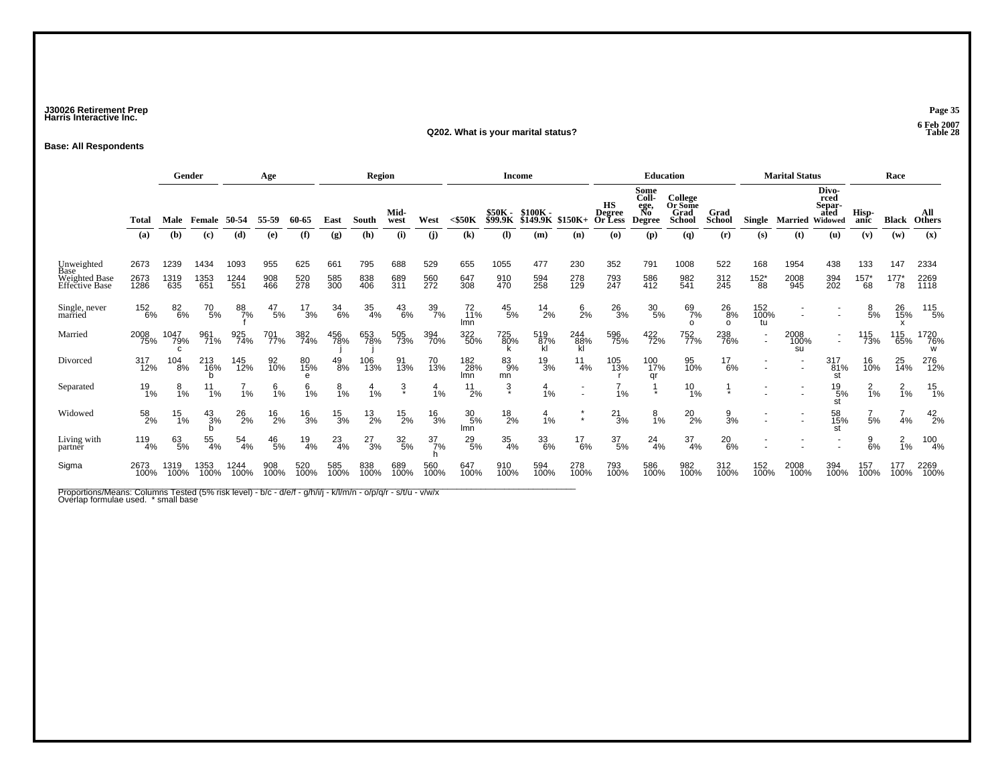### **J30026 Retirement Prep Page 35 Harris Interactive Inc.**

#### **Q202. What is your marital status?**

**Base: All Respondents**

|                                 |              |                  | Gender          |                 | Age             |               |                  | <b>Region</b>    |                     |                  |                                         | <b>Income</b>                    |                                  |                  |                                       |                                                                | <b>Education</b>                                   |                              |                                    | <b>Marital Status</b>    |                                                   |                      | Race                 |                             |
|---------------------------------|--------------|------------------|-----------------|-----------------|-----------------|---------------|------------------|------------------|---------------------|------------------|-----------------------------------------|----------------------------------|----------------------------------|------------------|---------------------------------------|----------------------------------------------------------------|----------------------------------------------------|------------------------------|------------------------------------|--------------------------|---------------------------------------------------|----------------------|----------------------|-----------------------------|
|                                 | Total<br>(a) | Male<br>(b)      | Female<br>(c)   | 50-54<br>(d)    | 55-59<br>(e)    | 60-65<br>(f)  | East<br>(g)      | South<br>(h)     | Mid-<br>west<br>(i) | West<br>(i)      | $<$ \$50K<br>$\left( \mathbf{k}\right)$ | \$50K -<br><b>\$99.9K</b><br>(I) | $$100K -$<br>\$149<br>.9К<br>(m) | \$150K+<br>(n)   | HS<br><b>Degree</b><br>Or Less<br>(o) | Some<br>Coll-<br>ege,<br>No<br><b>Degree</b><br>$(\mathbf{p})$ | College<br>Or Some<br>Grad<br><b>School</b><br>(q) | Grad<br><b>School</b><br>(r) | Single<br>(s)                      | Married<br>(t)           | Divo-<br>rced<br>Separ-<br>ated<br>Widowed<br>(u) | Hisp-<br>anic<br>(v) | Black<br>(w)         | All<br><b>Others</b><br>(x) |
|                                 |              |                  |                 |                 |                 |               |                  |                  |                     |                  |                                         |                                  |                                  |                  |                                       |                                                                |                                                    |                              |                                    |                          |                                                   |                      |                      |                             |
| Unweighted<br>Base              | 2673         | 1239             | 1434            | 1093            | 955             | 625           | 661              | 795              | 688                 | 529              | 655                                     | 1055                             | 477                              | 230              | 352                                   | 791                                                            | 1008                                               | 522                          | 168                                | 1954                     | 438                                               | 133                  | 147                  | 2334                        |
| Weighted Base<br>Effective Base | 2673<br>1286 | 1319<br>635      | 1353<br>651     | 1244<br>551     | 908<br>466      | 520<br>278    | 585<br>300       | 838<br>406       | 689<br>311          | 560<br>272       | 647<br>308                              | 910<br>470                       | 594<br>258                       | 278<br>129       | 793<br>247                            | 586<br>412                                                     | 982<br>541                                         | 312<br>245                   | $^{152^{\ast}}_{88}$               | 2008<br>945              | 394<br>202                                        | $^{157^*}_{68}$      | $^{177^{\ast}}_{78}$ | 2269<br>1118                |
| Single, never<br>married        | 152<br>6%    | 82<br>6%         | $^{70}_{\ 5\%}$ | 88<br>7%        | $^{47}_{\ 5\%}$ | $^{17}_{3\%}$ | $\frac{34}{6\%}$ | $\frac{35}{4\%}$ | $^{43}_{6\%}$       | 39<br>7%         | 72<br>11%<br>Imn                        | $^{45}_{\ 5\%}$                  | $^{14}_{2\%}$                    | $\frac{6}{2%}$   | $^{26}_{3\%}$                         | 30<br>5%                                                       | 69<br>7%<br>$\Omega$                               | 26<br>8%<br>$\Omega$         | 152<br>100%<br>tu                  |                          |                                                   | 8<br>5%              | 26<br>15%            | 115<br>5%                   |
| Married                         | 2008<br>75%  | 1047<br>79%<br>C | 961<br>71%      | 925<br>74%      | 701<br>77%      | 382<br>74%    | 456<br>78%       | 653<br>78%       | 505<br>73%          | 394<br>70%       | 322<br>50%                              | 725<br>80%                       | 519<br>87%<br>kl                 | 244<br>88%<br>kl | 596<br>75%                            | 422<br>72%                                                     | 752<br>77%                                         | 238<br>76%                   | $\overline{\phantom{a}}$<br>$\sim$ | 2008<br>100%<br>su       |                                                   | 115<br>73%           | 115<br>65%           | 1720<br>76%<br>w            |
| Divorced                        | 317<br>12%   | 104<br>8%        | 213<br>16%      | 145<br>12%      | 92<br>10%       | 80<br>15%     | $^{49}_{8\%}$    | 106<br>13%       | 91<br>13%           | 70<br>13%        | 182<br>28%<br>Imn                       | 83<br>9%<br>mn                   | $\frac{19}{3%}$                  | 11<br>4%         | 105<br>13%                            | 100<br>17%<br>qr                                               | 95<br>10%                                          | 17<br>6%                     |                                    |                          | 317<br>81%<br>st                                  | 16<br>10%            | 25<br>14%            | 276<br>12%                  |
| Separated                       | 19<br>1%     | 8<br>1%          | 1%              | 1%              | 6<br>Ī%         | <b>1%</b>     | $\frac{8}{1%}$   | 1%               | Ş                   | 4<br>1%          | $^{11}_{2\%}$                           | $\ddot{3}$                       | 1%                               |                  | 1%                                    |                                                                | $^{10}_{1\%}$                                      |                              |                                    |                          | $^{19}_{5\%}$<br>st                               | $\frac{2}{1}$ %      | $\frac{2}{1%}$       | 15<br>1%                    |
| Widowed                         | 58<br>2%     | $^{15}_{1\%}$    | $^{43}_{3\%}$   | $^{26}_{2\%}$   | $^{16}_{2\%}$   | $^{16}_{3%}$  | $\frac{15}{3%}$  | $^{13}_{2\%}$    | $^{15}_{2\%}$       | $^{16}_{3%}$     | $^{30}_{\ 5\%}$<br>Imn                  | $^{18}_{2\%}$                    | 1%                               |                  | $^{21}_{3\%}$                         | $\frac{8}{1\%}$                                                | 20<br>2%                                           | $\frac{9}{3}$ %              |                                    | $\overline{\phantom{a}}$ | 58<br>15%<br>st                                   | 5%                   | 4%                   | $^{42}_{2\%}$               |
| Living with<br>partner          | 119<br>4%    | 63<br>5%         | 55<br>4%        | $\frac{54}{4%}$ | $^{46}_{5\%}$   | $^{19}_{4\%}$ | $^{23}_{4\%}$    | $^{27}_{3\%}$    | $\frac{32}{5\%}$    | $\frac{37}{7}\%$ | $^{29}_{5\%}$                           | 35<br>4%                         | 33<br>6%                         | $^{17}_{6\%}$    | $\frac{37}{5\%}$                      | $^{24}_{4\%}$                                                  | $\frac{37}{4\%}$                                   | 20<br>6%                     |                                    |                          |                                                   | $\frac{9}{6%}$       | $\frac{2}{1}$ %      | $\frac{100}{4\%}$           |
| Sigma                           | 2673<br>100% | 1319<br>100%     | 1353<br>100%    | 1244<br>100%    | 908<br>100%     | 520<br>100%   | 585<br>100%      | 838<br>100%      | 689<br>100%         | 560<br>100%      | 647<br>100%                             | 910<br>100%                      | 594<br>100%                      | 278<br>100%      | 793<br>100%                           | 586<br>100%                                                    | 982<br>100%                                        | 312<br>100%                  | 152<br>100%                        | 2008<br>100%             | 394<br>100%                                       | 157<br>100%          | 177<br>100%          | 2269<br>100%                |

Proportions/Means: Columns Tested (5% risk level) - b/c - d/e/f - g/h/i/j - k/l/m/n - o/p/q/r - s/t/u - v/w/x<br>Overlap formulae used. \* small base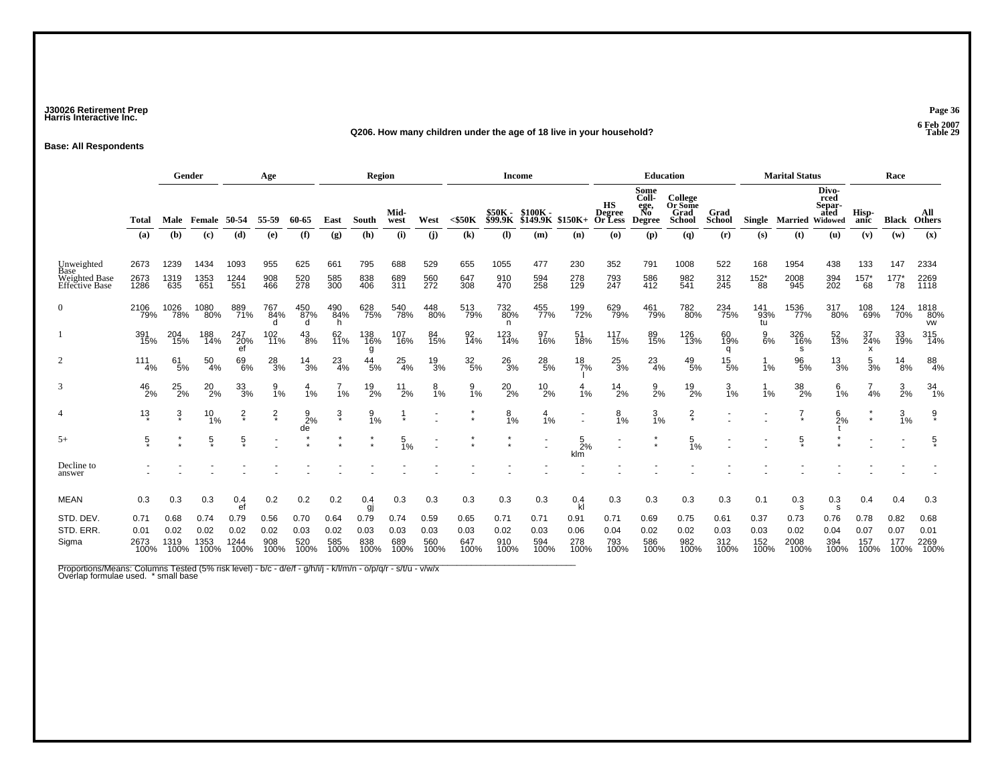### **J30026 Retirement Prep Page 36 Harris Interactive Inc.**

#### **Q206. How many children under the age of 18 live in your household?**

**Base: All Respondents**

|                                               |                              | Gender<br>Age                |                              |                              |                             |                             |                             | <b>Region</b>               |                             |                             |                             | <b>Income</b>               |                                 |                             |                                       | <b>Education</b>                      |                                      |                             |                             | <b>Marital Status</b>        |                                            |                             | Race                        |                              |
|-----------------------------------------------|------------------------------|------------------------------|------------------------------|------------------------------|-----------------------------|-----------------------------|-----------------------------|-----------------------------|-----------------------------|-----------------------------|-----------------------------|-----------------------------|---------------------------------|-----------------------------|---------------------------------------|---------------------------------------|--------------------------------------|-----------------------------|-----------------------------|------------------------------|--------------------------------------------|-----------------------------|-----------------------------|------------------------------|
|                                               | Total                        | Male                         | Female                       | 50-54                        | 55-59                       | 60-65                       | East                        | South                       | Mid-<br>west                | West                        | $<$ \$50 $K$                | \$50K -<br>\$99.9K          | $$100K -$<br>$$149.9K$ $$150K+$ |                             | нs<br><b>Degree</b><br><b>Or</b> Less | Some<br>Coll-<br>ege,<br>No<br>Degree | College<br>Or Some<br>Grad<br>School | Grad<br><b>School</b>       |                             | Single Married               | Divo-<br>rced<br>Separ-<br>ated<br>Widowed | Hisp-<br>anic               | Black                       | All<br><b>Others</b>         |
|                                               | (a)                          | (b)                          | (c)                          | (d)                          | (e)                         | (f)                         | (g)                         | (h)                         | (i)                         | (i)                         | $\left( \mathbf{k}\right)$  | $\left( \mathbf{l}\right)$  | (m)                             | (n)                         | (o)                                   | (p)                                   | (q)                                  | (r)                         | (s)                         | (t)                          | (u)                                        | (v)                         | (w)                         | (x)                          |
| Unweighted<br>Base                            | 2673                         | 1239                         | 1434                         | 1093                         | 955                         | 625                         | 661                         | 795                         | 688                         | 529                         | 655                         | 1055                        | 477                             | 230                         | 352                                   | 791                                   | 1008                                 | 522                         | 168                         | 1954                         | 438                                        | 133                         | 147                         | 2334                         |
| <b>Weighted Base</b><br><b>Effective Base</b> | 2673<br>1286                 | 1319<br>635                  | 1353<br>651                  | 1244<br>551                  | 908<br>466                  | 520<br>278                  | 585<br>300                  | 838<br>406                  | 689<br>311                  | 560<br>272                  | 647<br>308                  | 910<br>470                  | 594<br>258                      | 278<br>129                  | 793<br>247                            | 586<br>412                            | 982<br>541                           | 312<br>245                  | $^{152^{\ast}}_{88}$        | 2008<br>945                  | 394<br>202                                 | $^{157^{\ast}}_{68}$        | $^{177^*}_{78}$             | 2269<br>1118                 |
|                                               | 2106<br>79%                  | 1026<br>78%                  | 1080<br>80%                  | 889<br>71%                   | 767<br>84%                  | 450<br>87%<br>d             | 490<br>84%<br>h             | 628<br>75%                  | 540<br>78%                  | 448<br>80%                  | 513<br>79%                  | 732<br>80%<br>n             | 455<br>77%                      | 199<br>72%                  | 629<br>79%                            | 461<br>79%                            | 782<br>80%                           | 234<br>75%                  | 141<br>93%<br>tu            | 1536<br>77%                  | 317<br>80%                                 | 108<br>69%                  | 124<br>70%                  | 1818<br>80%<br><b>VW</b>     |
|                                               | 391<br>15%                   | 204<br>15%                   | 188<br>14%                   | 247<br>20%<br>ef             | 102<br>11%                  | 43<br>8%                    | 62<br>11%                   | 138<br>16%<br>g             | 107<br>16%                  | 84<br>15%                   | 92<br>14%                   | 123<br>14%                  | 97<br>16%                       | 51<br>18%                   | 117<br>15%                            | 89<br>15%                             | 126<br>13%                           | 60<br>19%<br>q              | 9<br>6%                     | 326<br>16%<br>s              | 52<br>13%                                  | 37<br>24%<br>x              | 33<br>19%                   | 315<br>14%                   |
|                                               | 111<br>4%                    | 61<br>5%                     | 50<br>4%                     | 69<br>6%                     | $^{28}_{3\%}$               | 14<br>3%                    | $^{23}_{4\%}$               | 44<br>5%                    | 25<br>4%                    | $\frac{19}{3%}$             | $\frac{32}{5\%}$            | $^{26}_{3\%}$               | $^{28}_{\ 5\%}$                 | $\frac{18}{7\%}$            | $\frac{25}{3%}$                       | $^{23}_{4\%}$                         | $^{49}_{\ 5\%}$                      | 15<br>5%                    | 1%                          | 96<br>5%                     | $\frac{13}{3%}$                            | 5<br>3%                     | 14<br>8%                    | 88<br>4%                     |
| 3                                             | $^{46}_{2\%}$                | $^{25}_{2\%}$                | $^{20}_{2\%}$                | 33<br>3%                     | $\frac{9}{1\%}$             | 1%                          | 1%                          | $^{19}_{2\%}$               | $^{11}_{2\%}$               | $\frac{8}{1\%}$             | $\frac{9}{1\%}$             | $^{20}_{2\%}$               | $^{10}_{2\%}$                   | 4<br>1%                     | $^{14}_{2\%}$                         | $\frac{9}{2}$ %                       | $^{19}_{2\%}$                        | $\frac{3}{1%}$              | 1%                          | 38<br>2%                     | $\frac{6}{1\%}$                            | 4%                          | $\frac{3}{2\%}$             | $^{34}_{1\%}$                |
|                                               | $1\frac{3}{4}$               | $\frac{3}{4}$                | $^{10}_{1\%}$                | $\frac{2}{x}$                | $\frac{2}{x}$               | $\frac{9}{2%}$<br>de        | $\dot{3}$                   | $\frac{9}{1\%}$             |                             |                             |                             | 8<br>1%                     | 1%                              | $\sim$                      | 8<br>1%                               | $\frac{3}{1\%}$                       | $\frac{2}{x}$                        |                             |                             |                              | $^{6}_{2\%}$                               | $\star$                     | $\frac{3}{1\%}$             | $\hat{\delta}$               |
| $5+$                                          | 5                            |                              | $\frac{5}{3}$                | $\overline{5}$               |                             |                             |                             | $\star$                     | $\frac{5}{1\%}$             |                             |                             |                             |                                 | $\frac{5}{2%}$<br>klm       |                                       | $\star$<br>$\star$                    | 5<br>1%                              |                             |                             | $\overline{5}$               |                                            |                             |                             | $\frac{5}{2}$                |
| Decline to<br>answer                          |                              |                              |                              |                              |                             |                             |                             |                             |                             |                             |                             |                             |                                 |                             |                                       |                                       |                                      |                             |                             |                              |                                            |                             |                             |                              |
| <b>MEAN</b>                                   | 0.3                          | 0.3                          | 0.3                          | 0.4<br>ef                    | 0.2                         | 0.2                         | 0.2                         | 0.4<br>gj                   | 0.3                         | 0.3                         | 0.3                         | 0.3                         | 0.3                             | 0.4                         | 0.3                                   | 0.3                                   | 0.3                                  | 0.3                         | 0.1                         | 0.3<br>s                     | 0.3<br>s                                   | 0.4                         | 0.4                         | 0.3                          |
| STD. DEV.<br>STD. ERR.<br>Sigma               | 0.71<br>0.01<br>2673<br>100% | 0.68<br>0.02<br>1319<br>100% | 0.74<br>0.02<br>1353<br>100% | 0.79<br>0.02<br>1244<br>100% | 0.56<br>0.02<br>908<br>100% | 0.70<br>0.03<br>520<br>100% | 0.64<br>0.02<br>585<br>100% | 0.79<br>0.03<br>838<br>100% | 0.74<br>0.03<br>689<br>100% | 0.59<br>0.03<br>560<br>100% | 0.65<br>0.03<br>647<br>100% | 0.71<br>0.02<br>910<br>100% | 0.71<br>0.03<br>594<br>100%     | 0.91<br>0.06<br>278<br>100% | 0.71<br>0.04<br>793<br>100%           | 0.69<br>0.02<br>586<br>100%           | 0.75<br>0.02<br>982<br>100%          | 0.61<br>0.03<br>312<br>100% | 0.37<br>0.03<br>152<br>100% | 0.73<br>0.02<br>2008<br>100% | 0.76<br>0.04<br>394<br>100%                | 0.78<br>0.07<br>157<br>100% | 0.82<br>0.07<br>177<br>100% | 0.68<br>0.01<br>2269<br>100% |

Proportions/Means: Columns Tested (5% risk level) - b/c - d/e/f - g/h/i/j - k/l/m/n - o/p/q/r - s/t/u - v/w/x<br>Overlap formulae used. \*small base